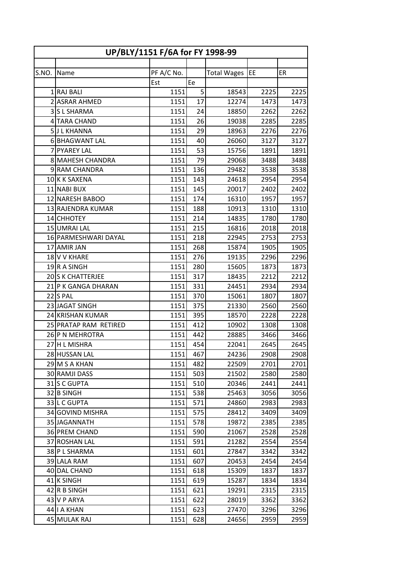| PF A/C No.<br>EE<br>ER<br>S.NO.<br><b>Total Wages</b><br>Name<br>Ee<br>Est<br>5 <sup>1</sup><br>1 RAJ BALI<br>1151<br>18543<br>2225<br>2225<br>2 ASRAR AHMED<br>17<br>1473<br>1151<br>12274<br>1473<br>3 S L SHARMA<br>1151<br>24<br>2262<br>2262<br>18850<br>26<br>4 TARA CHAND<br>1151<br>2285<br>2285<br>19038<br>29<br>5JL KHANNA<br>1151<br>18963<br>2276<br>2276<br>3127<br>3127<br>6 BHAGWANT LAL<br>1151<br>26060<br>40<br>53<br>1891<br>7 PYAREY LAL<br>1151<br>15756<br>1891<br>79<br>8 MAHESH CHANDRA<br>1151<br>29068<br>3488<br>3488<br>136<br>9 RAM CHANDRA<br>1151<br>3538<br>3538<br>29482<br>10K K SAXENA<br>1151<br>143<br>24618<br>2954<br>2954<br>11 NABI BUX<br>145<br>2402<br>1151<br>20017<br>2402<br>1957<br>12 NARESH BABOO<br>1151<br>174<br>16310<br>1957<br>1151<br>188<br>10913<br>1310<br>1310<br>13 RAJENDRA KUMAR<br>14 CHHOTEY<br>214<br>1780<br>1151<br>14835<br>1780<br>15 UMRAI LAL<br>1151<br>215<br>16816<br>2018<br>2018<br>218<br>16 PARMESHWARI DAYAL<br>1151<br>22945<br>2753<br>2753<br>17 AMIR JAN<br>268<br>1905<br>1905<br>1151<br>15874<br>276<br>1151<br>2296<br>18 V V KHARE<br>19135<br>2296<br>19R A SINGH<br>280<br>1873<br>1151<br>15605<br>1873<br>20 S K CHATTERJEE<br>2212<br>2212<br>1151<br>317<br>18435<br>21 P K GANGA DHARAN<br>331<br>2934<br>1151<br>24451<br>2934<br>22 S PAL<br>370<br>1151<br>15061<br>1807<br>1807<br>23 JAGAT SINGH<br>375<br>1151<br>2560<br>2560<br>21330<br>24 KRISHAN KUMAR<br>395<br>18570<br>2228<br>2228<br>1151<br>1308<br>25 PRATAP RAM RETIRED<br>1151<br>412<br>10902<br>1308<br>442<br>26 P N MEHROTRA<br>1151<br>28885<br>3466<br>3466<br>454<br>2645<br>27 H L MISHRA<br>1151<br>2645<br>22041<br>28 HUSSAN LAL<br>467<br>2908<br>2908<br>1151<br>24236<br>29 M S A KHAN<br>1151<br>482<br>22509<br>2701<br>2701<br>30 RAMJI DASS<br>1151<br>503<br>2580<br>21502<br>2580<br>31 S C GUPTA<br>1151<br>510<br>2441<br>2441<br>20346<br>1151<br>538<br>25463<br>32 B SINGH<br>3056<br>3056<br>33 L C GUPTA<br>571<br>2983<br>1151<br>24860<br>2983<br>575<br>34 GOVIND MISHRA<br>1151<br>3409<br>3409<br>28412<br>578<br>35 JAGANNATH<br>1151<br>2385<br>19872<br>2385<br>36 PREM CHAND<br>1151<br>590<br>21067<br>2528<br>2528<br>2554<br>37 ROSHAN LAL<br>1151<br>591<br>21282<br>2554<br>38 P L SHARMA<br>1151<br>601<br>27847<br>3342<br>3342<br>39 LALA RAM<br>1151<br>20453<br>2454<br>2454<br>607<br>1837<br>40 DAL CHAND<br>1151<br>618<br>15309<br>1837<br>41 K SINGH<br>1151<br>619<br>15287<br>1834<br>1834<br>42 R B SINGH<br>1151<br>621<br>19291<br>2315<br>2315<br>622<br>3362<br>43 V P ARYA<br>1151<br>28019<br>3362<br>44 I A KHAN<br>1151<br>27470<br>623<br>3296<br>3296<br>45 MULAK RAJ | UP/BLY/1151 F/6A for FY 1998-99 |  |      |     |       |      |      |
|-------------------------------------------------------------------------------------------------------------------------------------------------------------------------------------------------------------------------------------------------------------------------------------------------------------------------------------------------------------------------------------------------------------------------------------------------------------------------------------------------------------------------------------------------------------------------------------------------------------------------------------------------------------------------------------------------------------------------------------------------------------------------------------------------------------------------------------------------------------------------------------------------------------------------------------------------------------------------------------------------------------------------------------------------------------------------------------------------------------------------------------------------------------------------------------------------------------------------------------------------------------------------------------------------------------------------------------------------------------------------------------------------------------------------------------------------------------------------------------------------------------------------------------------------------------------------------------------------------------------------------------------------------------------------------------------------------------------------------------------------------------------------------------------------------------------------------------------------------------------------------------------------------------------------------------------------------------------------------------------------------------------------------------------------------------------------------------------------------------------------------------------------------------------------------------------------------------------------------------------------------------------------------------------------------------------------------------------------------------------------------------------------------------------------------------------------------------------------------------------------------------------------------------------------------------------------------------------------------------------------------------------------------------------------------------------------------------|---------------------------------|--|------|-----|-------|------|------|
|                                                                                                                                                                                                                                                                                                                                                                                                                                                                                                                                                                                                                                                                                                                                                                                                                                                                                                                                                                                                                                                                                                                                                                                                                                                                                                                                                                                                                                                                                                                                                                                                                                                                                                                                                                                                                                                                                                                                                                                                                                                                                                                                                                                                                                                                                                                                                                                                                                                                                                                                                                                                                                                                                                             |                                 |  |      |     |       |      |      |
|                                                                                                                                                                                                                                                                                                                                                                                                                                                                                                                                                                                                                                                                                                                                                                                                                                                                                                                                                                                                                                                                                                                                                                                                                                                                                                                                                                                                                                                                                                                                                                                                                                                                                                                                                                                                                                                                                                                                                                                                                                                                                                                                                                                                                                                                                                                                                                                                                                                                                                                                                                                                                                                                                                             |                                 |  |      |     |       |      |      |
|                                                                                                                                                                                                                                                                                                                                                                                                                                                                                                                                                                                                                                                                                                                                                                                                                                                                                                                                                                                                                                                                                                                                                                                                                                                                                                                                                                                                                                                                                                                                                                                                                                                                                                                                                                                                                                                                                                                                                                                                                                                                                                                                                                                                                                                                                                                                                                                                                                                                                                                                                                                                                                                                                                             |                                 |  |      |     |       |      |      |
|                                                                                                                                                                                                                                                                                                                                                                                                                                                                                                                                                                                                                                                                                                                                                                                                                                                                                                                                                                                                                                                                                                                                                                                                                                                                                                                                                                                                                                                                                                                                                                                                                                                                                                                                                                                                                                                                                                                                                                                                                                                                                                                                                                                                                                                                                                                                                                                                                                                                                                                                                                                                                                                                                                             |                                 |  |      |     |       |      |      |
|                                                                                                                                                                                                                                                                                                                                                                                                                                                                                                                                                                                                                                                                                                                                                                                                                                                                                                                                                                                                                                                                                                                                                                                                                                                                                                                                                                                                                                                                                                                                                                                                                                                                                                                                                                                                                                                                                                                                                                                                                                                                                                                                                                                                                                                                                                                                                                                                                                                                                                                                                                                                                                                                                                             |                                 |  |      |     |       |      |      |
|                                                                                                                                                                                                                                                                                                                                                                                                                                                                                                                                                                                                                                                                                                                                                                                                                                                                                                                                                                                                                                                                                                                                                                                                                                                                                                                                                                                                                                                                                                                                                                                                                                                                                                                                                                                                                                                                                                                                                                                                                                                                                                                                                                                                                                                                                                                                                                                                                                                                                                                                                                                                                                                                                                             |                                 |  |      |     |       |      |      |
|                                                                                                                                                                                                                                                                                                                                                                                                                                                                                                                                                                                                                                                                                                                                                                                                                                                                                                                                                                                                                                                                                                                                                                                                                                                                                                                                                                                                                                                                                                                                                                                                                                                                                                                                                                                                                                                                                                                                                                                                                                                                                                                                                                                                                                                                                                                                                                                                                                                                                                                                                                                                                                                                                                             |                                 |  |      |     |       |      |      |
|                                                                                                                                                                                                                                                                                                                                                                                                                                                                                                                                                                                                                                                                                                                                                                                                                                                                                                                                                                                                                                                                                                                                                                                                                                                                                                                                                                                                                                                                                                                                                                                                                                                                                                                                                                                                                                                                                                                                                                                                                                                                                                                                                                                                                                                                                                                                                                                                                                                                                                                                                                                                                                                                                                             |                                 |  |      |     |       |      |      |
|                                                                                                                                                                                                                                                                                                                                                                                                                                                                                                                                                                                                                                                                                                                                                                                                                                                                                                                                                                                                                                                                                                                                                                                                                                                                                                                                                                                                                                                                                                                                                                                                                                                                                                                                                                                                                                                                                                                                                                                                                                                                                                                                                                                                                                                                                                                                                                                                                                                                                                                                                                                                                                                                                                             |                                 |  |      |     |       |      |      |
|                                                                                                                                                                                                                                                                                                                                                                                                                                                                                                                                                                                                                                                                                                                                                                                                                                                                                                                                                                                                                                                                                                                                                                                                                                                                                                                                                                                                                                                                                                                                                                                                                                                                                                                                                                                                                                                                                                                                                                                                                                                                                                                                                                                                                                                                                                                                                                                                                                                                                                                                                                                                                                                                                                             |                                 |  |      |     |       |      |      |
|                                                                                                                                                                                                                                                                                                                                                                                                                                                                                                                                                                                                                                                                                                                                                                                                                                                                                                                                                                                                                                                                                                                                                                                                                                                                                                                                                                                                                                                                                                                                                                                                                                                                                                                                                                                                                                                                                                                                                                                                                                                                                                                                                                                                                                                                                                                                                                                                                                                                                                                                                                                                                                                                                                             |                                 |  |      |     |       |      |      |
|                                                                                                                                                                                                                                                                                                                                                                                                                                                                                                                                                                                                                                                                                                                                                                                                                                                                                                                                                                                                                                                                                                                                                                                                                                                                                                                                                                                                                                                                                                                                                                                                                                                                                                                                                                                                                                                                                                                                                                                                                                                                                                                                                                                                                                                                                                                                                                                                                                                                                                                                                                                                                                                                                                             |                                 |  |      |     |       |      |      |
|                                                                                                                                                                                                                                                                                                                                                                                                                                                                                                                                                                                                                                                                                                                                                                                                                                                                                                                                                                                                                                                                                                                                                                                                                                                                                                                                                                                                                                                                                                                                                                                                                                                                                                                                                                                                                                                                                                                                                                                                                                                                                                                                                                                                                                                                                                                                                                                                                                                                                                                                                                                                                                                                                                             |                                 |  |      |     |       |      |      |
|                                                                                                                                                                                                                                                                                                                                                                                                                                                                                                                                                                                                                                                                                                                                                                                                                                                                                                                                                                                                                                                                                                                                                                                                                                                                                                                                                                                                                                                                                                                                                                                                                                                                                                                                                                                                                                                                                                                                                                                                                                                                                                                                                                                                                                                                                                                                                                                                                                                                                                                                                                                                                                                                                                             |                                 |  |      |     |       |      |      |
|                                                                                                                                                                                                                                                                                                                                                                                                                                                                                                                                                                                                                                                                                                                                                                                                                                                                                                                                                                                                                                                                                                                                                                                                                                                                                                                                                                                                                                                                                                                                                                                                                                                                                                                                                                                                                                                                                                                                                                                                                                                                                                                                                                                                                                                                                                                                                                                                                                                                                                                                                                                                                                                                                                             |                                 |  |      |     |       |      |      |
|                                                                                                                                                                                                                                                                                                                                                                                                                                                                                                                                                                                                                                                                                                                                                                                                                                                                                                                                                                                                                                                                                                                                                                                                                                                                                                                                                                                                                                                                                                                                                                                                                                                                                                                                                                                                                                                                                                                                                                                                                                                                                                                                                                                                                                                                                                                                                                                                                                                                                                                                                                                                                                                                                                             |                                 |  |      |     |       |      |      |
|                                                                                                                                                                                                                                                                                                                                                                                                                                                                                                                                                                                                                                                                                                                                                                                                                                                                                                                                                                                                                                                                                                                                                                                                                                                                                                                                                                                                                                                                                                                                                                                                                                                                                                                                                                                                                                                                                                                                                                                                                                                                                                                                                                                                                                                                                                                                                                                                                                                                                                                                                                                                                                                                                                             |                                 |  |      |     |       |      |      |
|                                                                                                                                                                                                                                                                                                                                                                                                                                                                                                                                                                                                                                                                                                                                                                                                                                                                                                                                                                                                                                                                                                                                                                                                                                                                                                                                                                                                                                                                                                                                                                                                                                                                                                                                                                                                                                                                                                                                                                                                                                                                                                                                                                                                                                                                                                                                                                                                                                                                                                                                                                                                                                                                                                             |                                 |  |      |     |       |      |      |
|                                                                                                                                                                                                                                                                                                                                                                                                                                                                                                                                                                                                                                                                                                                                                                                                                                                                                                                                                                                                                                                                                                                                                                                                                                                                                                                                                                                                                                                                                                                                                                                                                                                                                                                                                                                                                                                                                                                                                                                                                                                                                                                                                                                                                                                                                                                                                                                                                                                                                                                                                                                                                                                                                                             |                                 |  |      |     |       |      |      |
|                                                                                                                                                                                                                                                                                                                                                                                                                                                                                                                                                                                                                                                                                                                                                                                                                                                                                                                                                                                                                                                                                                                                                                                                                                                                                                                                                                                                                                                                                                                                                                                                                                                                                                                                                                                                                                                                                                                                                                                                                                                                                                                                                                                                                                                                                                                                                                                                                                                                                                                                                                                                                                                                                                             |                                 |  |      |     |       |      |      |
|                                                                                                                                                                                                                                                                                                                                                                                                                                                                                                                                                                                                                                                                                                                                                                                                                                                                                                                                                                                                                                                                                                                                                                                                                                                                                                                                                                                                                                                                                                                                                                                                                                                                                                                                                                                                                                                                                                                                                                                                                                                                                                                                                                                                                                                                                                                                                                                                                                                                                                                                                                                                                                                                                                             |                                 |  |      |     |       |      |      |
|                                                                                                                                                                                                                                                                                                                                                                                                                                                                                                                                                                                                                                                                                                                                                                                                                                                                                                                                                                                                                                                                                                                                                                                                                                                                                                                                                                                                                                                                                                                                                                                                                                                                                                                                                                                                                                                                                                                                                                                                                                                                                                                                                                                                                                                                                                                                                                                                                                                                                                                                                                                                                                                                                                             |                                 |  |      |     |       |      |      |
|                                                                                                                                                                                                                                                                                                                                                                                                                                                                                                                                                                                                                                                                                                                                                                                                                                                                                                                                                                                                                                                                                                                                                                                                                                                                                                                                                                                                                                                                                                                                                                                                                                                                                                                                                                                                                                                                                                                                                                                                                                                                                                                                                                                                                                                                                                                                                                                                                                                                                                                                                                                                                                                                                                             |                                 |  |      |     |       |      |      |
|                                                                                                                                                                                                                                                                                                                                                                                                                                                                                                                                                                                                                                                                                                                                                                                                                                                                                                                                                                                                                                                                                                                                                                                                                                                                                                                                                                                                                                                                                                                                                                                                                                                                                                                                                                                                                                                                                                                                                                                                                                                                                                                                                                                                                                                                                                                                                                                                                                                                                                                                                                                                                                                                                                             |                                 |  |      |     |       |      |      |
|                                                                                                                                                                                                                                                                                                                                                                                                                                                                                                                                                                                                                                                                                                                                                                                                                                                                                                                                                                                                                                                                                                                                                                                                                                                                                                                                                                                                                                                                                                                                                                                                                                                                                                                                                                                                                                                                                                                                                                                                                                                                                                                                                                                                                                                                                                                                                                                                                                                                                                                                                                                                                                                                                                             |                                 |  |      |     |       |      |      |
|                                                                                                                                                                                                                                                                                                                                                                                                                                                                                                                                                                                                                                                                                                                                                                                                                                                                                                                                                                                                                                                                                                                                                                                                                                                                                                                                                                                                                                                                                                                                                                                                                                                                                                                                                                                                                                                                                                                                                                                                                                                                                                                                                                                                                                                                                                                                                                                                                                                                                                                                                                                                                                                                                                             |                                 |  |      |     |       |      |      |
|                                                                                                                                                                                                                                                                                                                                                                                                                                                                                                                                                                                                                                                                                                                                                                                                                                                                                                                                                                                                                                                                                                                                                                                                                                                                                                                                                                                                                                                                                                                                                                                                                                                                                                                                                                                                                                                                                                                                                                                                                                                                                                                                                                                                                                                                                                                                                                                                                                                                                                                                                                                                                                                                                                             |                                 |  |      |     |       |      |      |
|                                                                                                                                                                                                                                                                                                                                                                                                                                                                                                                                                                                                                                                                                                                                                                                                                                                                                                                                                                                                                                                                                                                                                                                                                                                                                                                                                                                                                                                                                                                                                                                                                                                                                                                                                                                                                                                                                                                                                                                                                                                                                                                                                                                                                                                                                                                                                                                                                                                                                                                                                                                                                                                                                                             |                                 |  |      |     |       |      |      |
|                                                                                                                                                                                                                                                                                                                                                                                                                                                                                                                                                                                                                                                                                                                                                                                                                                                                                                                                                                                                                                                                                                                                                                                                                                                                                                                                                                                                                                                                                                                                                                                                                                                                                                                                                                                                                                                                                                                                                                                                                                                                                                                                                                                                                                                                                                                                                                                                                                                                                                                                                                                                                                                                                                             |                                 |  |      |     |       |      |      |
|                                                                                                                                                                                                                                                                                                                                                                                                                                                                                                                                                                                                                                                                                                                                                                                                                                                                                                                                                                                                                                                                                                                                                                                                                                                                                                                                                                                                                                                                                                                                                                                                                                                                                                                                                                                                                                                                                                                                                                                                                                                                                                                                                                                                                                                                                                                                                                                                                                                                                                                                                                                                                                                                                                             |                                 |  |      |     |       |      |      |
|                                                                                                                                                                                                                                                                                                                                                                                                                                                                                                                                                                                                                                                                                                                                                                                                                                                                                                                                                                                                                                                                                                                                                                                                                                                                                                                                                                                                                                                                                                                                                                                                                                                                                                                                                                                                                                                                                                                                                                                                                                                                                                                                                                                                                                                                                                                                                                                                                                                                                                                                                                                                                                                                                                             |                                 |  |      |     |       |      |      |
|                                                                                                                                                                                                                                                                                                                                                                                                                                                                                                                                                                                                                                                                                                                                                                                                                                                                                                                                                                                                                                                                                                                                                                                                                                                                                                                                                                                                                                                                                                                                                                                                                                                                                                                                                                                                                                                                                                                                                                                                                                                                                                                                                                                                                                                                                                                                                                                                                                                                                                                                                                                                                                                                                                             |                                 |  |      |     |       |      |      |
|                                                                                                                                                                                                                                                                                                                                                                                                                                                                                                                                                                                                                                                                                                                                                                                                                                                                                                                                                                                                                                                                                                                                                                                                                                                                                                                                                                                                                                                                                                                                                                                                                                                                                                                                                                                                                                                                                                                                                                                                                                                                                                                                                                                                                                                                                                                                                                                                                                                                                                                                                                                                                                                                                                             |                                 |  |      |     |       |      |      |
|                                                                                                                                                                                                                                                                                                                                                                                                                                                                                                                                                                                                                                                                                                                                                                                                                                                                                                                                                                                                                                                                                                                                                                                                                                                                                                                                                                                                                                                                                                                                                                                                                                                                                                                                                                                                                                                                                                                                                                                                                                                                                                                                                                                                                                                                                                                                                                                                                                                                                                                                                                                                                                                                                                             |                                 |  |      |     |       |      |      |
|                                                                                                                                                                                                                                                                                                                                                                                                                                                                                                                                                                                                                                                                                                                                                                                                                                                                                                                                                                                                                                                                                                                                                                                                                                                                                                                                                                                                                                                                                                                                                                                                                                                                                                                                                                                                                                                                                                                                                                                                                                                                                                                                                                                                                                                                                                                                                                                                                                                                                                                                                                                                                                                                                                             |                                 |  |      |     |       |      |      |
|                                                                                                                                                                                                                                                                                                                                                                                                                                                                                                                                                                                                                                                                                                                                                                                                                                                                                                                                                                                                                                                                                                                                                                                                                                                                                                                                                                                                                                                                                                                                                                                                                                                                                                                                                                                                                                                                                                                                                                                                                                                                                                                                                                                                                                                                                                                                                                                                                                                                                                                                                                                                                                                                                                             |                                 |  |      |     |       |      |      |
|                                                                                                                                                                                                                                                                                                                                                                                                                                                                                                                                                                                                                                                                                                                                                                                                                                                                                                                                                                                                                                                                                                                                                                                                                                                                                                                                                                                                                                                                                                                                                                                                                                                                                                                                                                                                                                                                                                                                                                                                                                                                                                                                                                                                                                                                                                                                                                                                                                                                                                                                                                                                                                                                                                             |                                 |  |      |     |       |      |      |
|                                                                                                                                                                                                                                                                                                                                                                                                                                                                                                                                                                                                                                                                                                                                                                                                                                                                                                                                                                                                                                                                                                                                                                                                                                                                                                                                                                                                                                                                                                                                                                                                                                                                                                                                                                                                                                                                                                                                                                                                                                                                                                                                                                                                                                                                                                                                                                                                                                                                                                                                                                                                                                                                                                             |                                 |  |      |     |       |      |      |
|                                                                                                                                                                                                                                                                                                                                                                                                                                                                                                                                                                                                                                                                                                                                                                                                                                                                                                                                                                                                                                                                                                                                                                                                                                                                                                                                                                                                                                                                                                                                                                                                                                                                                                                                                                                                                                                                                                                                                                                                                                                                                                                                                                                                                                                                                                                                                                                                                                                                                                                                                                                                                                                                                                             |                                 |  |      |     |       |      |      |
|                                                                                                                                                                                                                                                                                                                                                                                                                                                                                                                                                                                                                                                                                                                                                                                                                                                                                                                                                                                                                                                                                                                                                                                                                                                                                                                                                                                                                                                                                                                                                                                                                                                                                                                                                                                                                                                                                                                                                                                                                                                                                                                                                                                                                                                                                                                                                                                                                                                                                                                                                                                                                                                                                                             |                                 |  |      |     |       |      |      |
|                                                                                                                                                                                                                                                                                                                                                                                                                                                                                                                                                                                                                                                                                                                                                                                                                                                                                                                                                                                                                                                                                                                                                                                                                                                                                                                                                                                                                                                                                                                                                                                                                                                                                                                                                                                                                                                                                                                                                                                                                                                                                                                                                                                                                                                                                                                                                                                                                                                                                                                                                                                                                                                                                                             |                                 |  |      |     |       |      |      |
|                                                                                                                                                                                                                                                                                                                                                                                                                                                                                                                                                                                                                                                                                                                                                                                                                                                                                                                                                                                                                                                                                                                                                                                                                                                                                                                                                                                                                                                                                                                                                                                                                                                                                                                                                                                                                                                                                                                                                                                                                                                                                                                                                                                                                                                                                                                                                                                                                                                                                                                                                                                                                                                                                                             |                                 |  |      |     |       |      |      |
|                                                                                                                                                                                                                                                                                                                                                                                                                                                                                                                                                                                                                                                                                                                                                                                                                                                                                                                                                                                                                                                                                                                                                                                                                                                                                                                                                                                                                                                                                                                                                                                                                                                                                                                                                                                                                                                                                                                                                                                                                                                                                                                                                                                                                                                                                                                                                                                                                                                                                                                                                                                                                                                                                                             |                                 |  |      |     |       |      |      |
|                                                                                                                                                                                                                                                                                                                                                                                                                                                                                                                                                                                                                                                                                                                                                                                                                                                                                                                                                                                                                                                                                                                                                                                                                                                                                                                                                                                                                                                                                                                                                                                                                                                                                                                                                                                                                                                                                                                                                                                                                                                                                                                                                                                                                                                                                                                                                                                                                                                                                                                                                                                                                                                                                                             |                                 |  |      |     |       |      |      |
|                                                                                                                                                                                                                                                                                                                                                                                                                                                                                                                                                                                                                                                                                                                                                                                                                                                                                                                                                                                                                                                                                                                                                                                                                                                                                                                                                                                                                                                                                                                                                                                                                                                                                                                                                                                                                                                                                                                                                                                                                                                                                                                                                                                                                                                                                                                                                                                                                                                                                                                                                                                                                                                                                                             |                                 |  |      |     |       |      |      |
|                                                                                                                                                                                                                                                                                                                                                                                                                                                                                                                                                                                                                                                                                                                                                                                                                                                                                                                                                                                                                                                                                                                                                                                                                                                                                                                                                                                                                                                                                                                                                                                                                                                                                                                                                                                                                                                                                                                                                                                                                                                                                                                                                                                                                                                                                                                                                                                                                                                                                                                                                                                                                                                                                                             |                                 |  |      |     |       |      |      |
|                                                                                                                                                                                                                                                                                                                                                                                                                                                                                                                                                                                                                                                                                                                                                                                                                                                                                                                                                                                                                                                                                                                                                                                                                                                                                                                                                                                                                                                                                                                                                                                                                                                                                                                                                                                                                                                                                                                                                                                                                                                                                                                                                                                                                                                                                                                                                                                                                                                                                                                                                                                                                                                                                                             |                                 |  |      |     |       |      |      |
|                                                                                                                                                                                                                                                                                                                                                                                                                                                                                                                                                                                                                                                                                                                                                                                                                                                                                                                                                                                                                                                                                                                                                                                                                                                                                                                                                                                                                                                                                                                                                                                                                                                                                                                                                                                                                                                                                                                                                                                                                                                                                                                                                                                                                                                                                                                                                                                                                                                                                                                                                                                                                                                                                                             |                                 |  | 1151 | 628 | 24656 | 2959 | 2959 |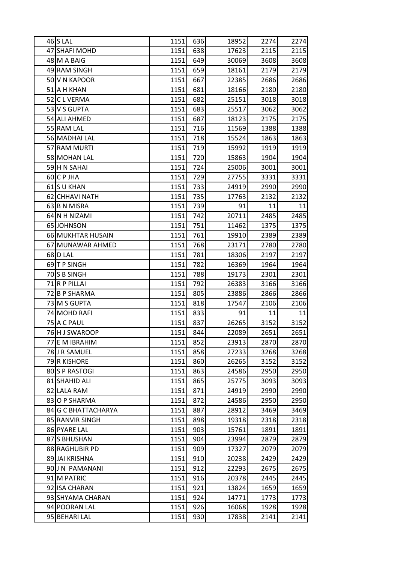| $46$ SLAL           | 1151 | 636 | 18952 | 2274 | 2274 |
|---------------------|------|-----|-------|------|------|
| 47 SHAFI MOHD       | 1151 | 638 | 17623 | 2115 | 2115 |
| 48 M A BAIG         | 1151 | 649 | 30069 | 3608 | 3608 |
| 49 RAM SINGH        | 1151 | 659 | 18161 | 2179 | 2179 |
| 50 V N KAPOOR       | 1151 | 667 | 22385 | 2686 | 2686 |
| 51 A H KHAN         | 1151 | 681 | 18166 | 2180 | 2180 |
| 52 C L VERMA        | 1151 | 682 | 25151 | 3018 | 3018 |
| 53 V S GUPTA        | 1151 | 683 | 25517 | 3062 | 3062 |
| 54 ALI AHMED        | 1151 | 687 | 18123 | 2175 | 2175 |
| 55 RAM LAL          | 1151 | 716 | 11569 | 1388 | 1388 |
| 56 MADHAI LAL       | 1151 | 718 | 15524 | 1863 | 1863 |
| 57 RAM MURTI        | 1151 | 719 | 15992 | 1919 | 1919 |
| 58 MOHAN LAL        | 1151 | 720 | 15863 | 1904 | 1904 |
| 59 H N SAHAI        | 1151 | 724 | 25006 | 3001 | 3001 |
| 60 C P JHA          | 1151 | 729 | 27755 | 3331 | 3331 |
| 61S U KHAN          | 1151 | 733 | 24919 | 2990 | 2990 |
| 62 CHHAVI NATH      | 1151 | 735 | 17763 | 2132 | 2132 |
| 63 B N MISRA        | 1151 | 739 | 91    | 11   | 11   |
| 64 N H NIZAMI       | 1151 | 742 | 20711 | 2485 | 2485 |
| 65 JOHNSON          | 1151 | 751 | 11462 | 1375 | 1375 |
| 66 MUKHTAR HUSAIN   | 1151 | 761 | 19910 | 2389 | 2389 |
| 67 MUNAWAR AHMED    | 1151 | 768 | 23171 | 2780 | 2780 |
| 68 D LAL            | 1151 | 781 | 18306 | 2197 | 2197 |
| 69 T P SINGH        | 1151 | 782 | 16369 | 1964 | 1964 |
| 70 S B SINGH        | 1151 | 788 | 19173 | 2301 | 2301 |
| 71 R P PILLAI       | 1151 | 792 | 26383 | 3166 | 3166 |
| 72 B P SHARMA       | 1151 | 805 | 23886 | 2866 | 2866 |
| 73 M S GUPTA        | 1151 | 818 | 17547 | 2106 | 2106 |
| 74 MOHD RAFI        | 1151 | 833 | 91    | 11   | 11   |
| 75 A C PAUL         | 1151 | 837 | 26265 | 3152 | 3152 |
| 76 H J SWAROOP      | 1151 | 844 | 22089 | 2651 | 2651 |
| 77 E M IBRAHIM      | 1151 | 852 | 23913 | 2870 | 2870 |
| 78 J R SAMUEL       | 1151 | 858 | 27233 | 3268 | 3268 |
| 79 R KISHORE        | 1151 | 860 | 26265 | 3152 | 3152 |
| 80 S P RASTOGI      | 1151 | 863 | 24586 | 2950 | 2950 |
| 81 SHAHID ALI       | 1151 | 865 | 25775 | 3093 | 3093 |
| 82 LALA RAM         | 1151 | 871 | 24919 | 2990 | 2990 |
| 83 O P SHARMA       | 1151 | 872 | 24586 | 2950 | 2950 |
| 84 G C BHATTACHARYA | 1151 | 887 | 28912 | 3469 | 3469 |
| 85 RANVIR SINGH     | 1151 | 898 | 19318 | 2318 | 2318 |
| 86 PYARE LAL        | 1151 | 903 | 15761 | 1891 | 1891 |
| 87 S BHUSHAN        | 1151 | 904 | 23994 | 2879 | 2879 |
| 88 RAGHUBIR PD      | 1151 | 909 | 17327 | 2079 | 2079 |
| 89 JAI KRISHNA      | 1151 | 910 | 20238 | 2429 | 2429 |
| 90 J N PAMANANI     | 1151 | 912 | 22293 | 2675 | 2675 |
| 91 M PATRIC         | 1151 | 916 | 20378 | 2445 | 2445 |
| 92 ISA CHARAN       | 1151 | 921 | 13824 | 1659 | 1659 |
| 93 SHYAMA CHARAN    | 1151 | 924 | 14771 | 1773 | 1773 |
| 94 POORAN LAL       | 1151 | 926 | 16068 | 1928 | 1928 |
| 95 BEHARI LAL       | 1151 | 930 | 17838 | 2141 | 2141 |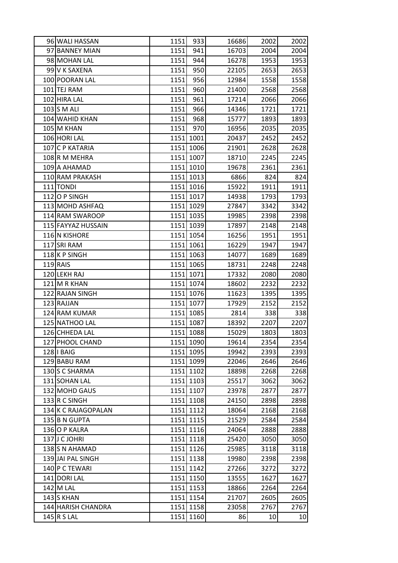| 96 WALI HASSAN      | 1151 | 933       | 16686 | 2002 | 2002 |
|---------------------|------|-----------|-------|------|------|
| 97 BANNEY MIAN      | 1151 | 941       | 16703 | 2004 | 2004 |
| 98 MOHAN LAL        | 1151 | 944       | 16278 | 1953 | 1953 |
| 99 V K SAXENA       | 1151 | 950       | 22105 | 2653 | 2653 |
| 100 POORAN LAL      | 1151 | 956       | 12984 | 1558 | 1558 |
| 101 TEJ RAM         | 1151 | 960       | 21400 | 2568 | 2568 |
| 102 HIRA LAL        | 1151 | 961       | 17214 | 2066 | 2066 |
| $103$ S M ALI       | 1151 | 966       | 14346 | 1721 | 1721 |
| 104 WAHID KHAN      | 1151 | 968       | 15777 | 1893 | 1893 |
| 105 M KHAN          | 1151 | 970       | 16956 | 2035 | 2035 |
| 106 HORI LAL        |      | 1151 1001 | 20437 | 2452 | 2452 |
| 107 C P KATARIA     |      | 1151 1006 | 21901 | 2628 | 2628 |
| 108R M MEHRA        |      | 1151 1007 | 18710 | 2245 | 2245 |
| 109 A AHAMAD        |      | 1151 1010 | 19678 | 2361 | 2361 |
| 110 RAM PRAKASH     |      | 1151 1013 | 6866  | 824  | 824  |
| 111 TONDI           |      | 1151 1016 | 15922 | 1911 | 1911 |
| $112$ O P SINGH     |      | 1151 1017 | 14938 | 1793 | 1793 |
| 113 MOHD ASHFAQ     |      | 1151 1029 | 27847 | 3342 | 3342 |
| 114 RAM SWAROOP     |      | 1151 1035 | 19985 | 2398 | 2398 |
| 115 FAYYAZ HUSSAIN  |      | 1151 1039 | 17897 | 2148 | 2148 |
| 116 N KISHORE       |      | 1151 1054 | 16256 | 1951 | 1951 |
| 117 SRI RAM         |      | 1151 1061 | 16229 | 1947 | 1947 |
| 118K P SINGH        |      | 1151 1063 | 14077 | 1689 | 1689 |
| $119$ RAIS          |      | 1151 1065 | 18731 | 2248 | 2248 |
| 120 LEKH RAJ        |      | 1151 1071 | 17332 | 2080 | 2080 |
| 121 M R KHAN        |      | 1151 1074 | 18602 | 2232 | 2232 |
| 122 RAJAN SINGH     |      | 1151 1076 | 11623 | 1395 | 1395 |
| 123 RAJJAN          |      | 1151 1077 | 17929 | 2152 | 2152 |
| 124 RAM KUMAR       |      | 1151 1085 | 2814  | 338  | 338  |
| 125 NATHOO LAL      |      | 1151 1087 | 18392 | 2207 | 2207 |
| 126 CHHEDA LAL      |      | 1151 1088 | 15029 | 1803 | 1803 |
| 127 PHOOL CHAND     |      | 1151 1090 | 19614 | 2354 | 2354 |
| 128   BAIG          |      | 1151 1095 | 19942 | 2393 | 2393 |
| 129 BABU RAM        |      | 1151 1099 | 22046 | 2646 | 2646 |
| 130 S C SHARMA      |      | 1151 1102 | 18898 | 2268 | 2268 |
| 131 SOHAN LAL       |      | 1151 1103 | 25517 | 3062 | 3062 |
| 132 MOHD GAUS       |      | 1151 1107 | 23978 | 2877 | 2877 |
| 133 R C SINGH       |      | 1151 1108 | 24150 | 2898 | 2898 |
| 134 K C RAJAGOPALAN |      | 1151 1112 | 18064 | 2168 | 2168 |
| 135 B N GUPTA       |      | 1151 1115 | 21529 | 2584 | 2584 |
| 136 O P KALRA       |      | 1151 1116 | 24064 | 2888 | 2888 |
| 137 J C JOHRI       |      | 1151 1118 | 25420 | 3050 | 3050 |
| 138 S N AHAMAD      |      | 1151 1126 | 25985 | 3118 | 3118 |
| 139 JAI PAL SINGH   |      | 1151 1138 | 19980 | 2398 | 2398 |
| 140 P C TEWARI      |      | 1151 1142 | 27266 | 3272 | 3272 |
| 141 DORI LAL        |      | 1151 1150 | 13555 | 1627 | 1627 |
| 142 M LAL           |      | 1151 1153 | 18866 | 2264 | 2264 |
| $143$ S KHAN        |      | 1151 1154 | 21707 | 2605 | 2605 |
| 144 HARISH CHANDRA  |      | 1151 1158 | 23058 | 2767 | 2767 |
| 145 R S LAL         |      | 1151 1160 | 86    | 10   | 10   |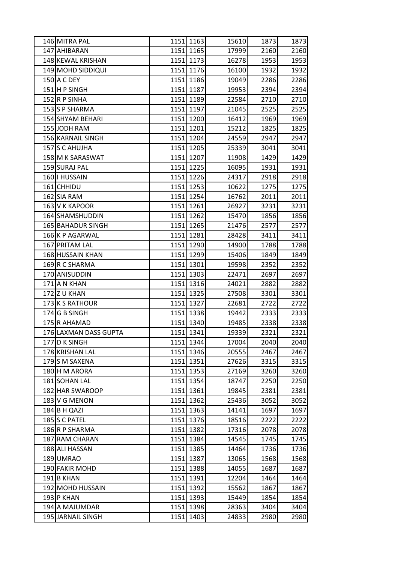| 146 MITRA PAL         |      | 1151 1163 | 15610 | 1873 | 1873 |
|-----------------------|------|-----------|-------|------|------|
| 147 AHIBARAN          |      | 1151 1165 | 17999 | 2160 | 2160 |
| 148 KEWAL KRISHAN     |      | 1151 1173 | 16278 | 1953 | 1953 |
| 149 MOHD SIDDIQUI     |      | 1151 1176 | 16100 | 1932 | 1932 |
| 150 A C DEY           |      | 1151 1186 | 19049 | 2286 | 2286 |
| 151 H P SINGH         |      | 1151 1187 | 19953 | 2394 | 2394 |
| 152 R P SINHA         |      | 1151 1189 | 22584 | 2710 | 2710 |
| 153 S P SHARMA        |      | 1151 1197 | 21045 | 2525 | 2525 |
| 154 SHYAM BEHARI      |      | 1151 1200 | 16412 | 1969 | 1969 |
| 155 JODH RAM          |      | 1151 1201 | 15212 | 1825 | 1825 |
| 156 KARNAIL SINGH     |      | 1151 1204 | 24559 | 2947 | 2947 |
| 157 S C AHUJHA        |      | 1151 1205 | 25339 | 3041 | 3041 |
| 158 M K SARASWAT      |      | 1151 1207 | 11908 | 1429 | 1429 |
| 159 SURAJ PAL         |      | 1151 1225 | 16095 | 1931 | 1931 |
| 160   HUSSAIN         |      | 1151 1226 | 24317 | 2918 | 2918 |
| 161 CHHIDU            |      | 1151 1253 | 10622 | 1275 | 1275 |
| 162 SIA RAM           |      | 1151 1254 | 16762 | 2011 | 2011 |
| 163 V K KAPOOR        |      | 1151 1261 | 26927 | 3231 | 3231 |
| 164 SHAMSHUDDIN       |      | 1151 1262 | 15470 | 1856 | 1856 |
| 165 BAHADUR SINGH     |      | 1151 1265 | 21476 | 2577 | 2577 |
| 166 K P AGARWAL       |      | 1151 1281 | 28428 | 3411 | 3411 |
| 167 PRITAM LAL        |      | 1151 1290 | 14900 | 1788 | 1788 |
| 168 HUSSAIN KHAN      |      | 1151 1299 | 15406 | 1849 | 1849 |
| 169R C SHARMA         |      | 1151 1301 | 19598 | 2352 | 2352 |
| 170 ANISUDDIN         |      | 1151 1303 | 22471 | 2697 | 2697 |
| 171 A N KHAN          |      | 1151 1316 | 24021 | 2882 | 2882 |
| 172 U KHAN            |      | 1151 1325 | 27508 | 3301 | 3301 |
| 173 K S RATHOUR       |      | 1151 1327 | 22681 | 2722 | 2722 |
| 174 G B SINGH         |      | 1151 1338 | 19442 | 2333 | 2333 |
| 175 R AHAMAD          |      | 1151 1340 | 19485 | 2338 | 2338 |
| 176 LAXMAN DASS GUPTA |      | 1151 1341 | 19339 | 2321 | 2321 |
| 177 D K SINGH         |      | 1151 1344 | 17004 | 2040 | 2040 |
| 178 KRISHAN LAL       |      | 1151 1346 | 20555 | 2467 | 2467 |
| 179S M SAXENA         |      | 1151 1351 | 27626 | 3315 | 3315 |
| 180 H M ARORA         |      | 1151 1353 | 27169 | 3260 | 3260 |
| 181 SOHAN LAL         |      | 1151 1354 | 18747 | 2250 | 2250 |
| 182 HAR SWAROOP       |      | 1151 1361 | 19845 | 2381 | 2381 |
| 183 V G MENON         |      | 1151 1362 | 25436 | 3052 | 3052 |
| 184 B H QAZI          | 1151 | 1363      | 14141 | 1697 | 1697 |
| 185 S C PATEL         |      | 1151 1376 | 18516 | 2222 | 2222 |
| 186 R P SHARMA        |      | 1151 1382 | 17316 | 2078 | 2078 |
| 187 RAM CHARAN        |      | 1151 1384 | 14545 | 1745 | 1745 |
| 188 ALI HASSAN        |      | 1151 1385 | 14464 | 1736 | 1736 |
| 189 UMRAO             |      | 1151 1387 | 13065 | 1568 | 1568 |
| 190 FAKIR MOHD        |      | 1151 1388 | 14055 | 1687 | 1687 |
| $191$ B KHAN          |      | 1151 1391 | 12204 | 1464 | 1464 |
| 192 MOHD HUSSAIN      |      | 1151 1392 | 15562 | 1867 | 1867 |
| 193 P KHAN            | 1151 | 1393      | 15449 | 1854 | 1854 |
| 194 A MAJUMDAR        |      | 1151 1398 | 28363 | 3404 | 3404 |
| 195 JARNAIL SINGH     |      | 1151 1403 | 24833 | 2980 | 2980 |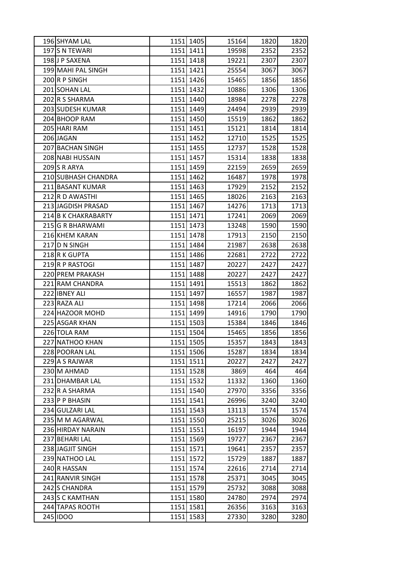| 196 SHYAM LAL       | 1151 1405 | 15164 | 1820 | 1820 |
|---------------------|-----------|-------|------|------|
| 197 S N TEWARI      | 1151 1411 | 19598 | 2352 | 2352 |
| 198J P SAXENA       | 1151 1418 | 19221 | 2307 | 2307 |
| 199 MAHI PAL SINGH  | 1151 1421 | 25554 | 3067 | 3067 |
| 200R P SINGH        | 1151 1426 | 15465 | 1856 | 1856 |
| 201 SOHAN LAL       | 1151 1432 | 10886 | 1306 | 1306 |
| 202 R S SHARMA      | 1151 1440 | 18984 | 2278 | 2278 |
| 203 SUDESH KUMAR    | 1151 1449 | 24494 | 2939 | 2939 |
| 204 BHOOP RAM       | 1151 1450 | 15519 | 1862 | 1862 |
| 205 HARI RAM        | 1151 1451 | 15121 | 1814 | 1814 |
| 206 JAGAN           | 1151 1452 | 12710 | 1525 | 1525 |
| 207 BACHAN SINGH    | 1151 1455 | 12737 | 1528 | 1528 |
| 208 NABI HUSSAIN    | 1151 1457 | 15314 | 1838 | 1838 |
| 209S R ARYA         | 1151 1459 | 22159 | 2659 | 2659 |
| 210 SUBHASH CHANDRA | 1151 1462 | 16487 | 1978 | 1978 |
| 211 BASANT KUMAR    | 1151 1463 | 17929 | 2152 | 2152 |
| 212 R D AWASTHI     | 1151 1465 | 18026 | 2163 | 2163 |
| 213 JAGDISH PRASAD  | 1151 1467 | 14276 | 1713 | 1713 |
| 214 B K CHAKRABARTY | 1151 1471 | 17241 | 2069 | 2069 |
| 215 G R BHARWAMI    | 1151 1473 | 13248 | 1590 | 1590 |
| 216 KHEM KARAN      | 1151 1478 | 17913 | 2150 | 2150 |
| 217 D N SINGH       | 1151 1484 | 21987 | 2638 | 2638 |
| 218R K GUPTA        | 1151 1486 | 22681 | 2722 | 2722 |
| 219R P RASTOGI      | 1151 1487 | 20227 | 2427 | 2427 |
| 220 PREM PRAKASH    | 1151 1488 | 20227 | 2427 | 2427 |
| 221 RAM CHANDRA     | 1151 1491 | 15513 | 1862 | 1862 |
| 222 IBNEY ALI       | 1151 1497 | 16557 | 1987 | 1987 |
| 223 RAZA ALI        | 1151 1498 | 17214 | 2066 | 2066 |
| 224 HAZOOR MOHD     | 1151 1499 | 14916 | 1790 | 1790 |
| 225 ASGAR KHAN      | 1151 1503 | 15384 | 1846 | 1846 |
| 226 TOLA RAM        | 1151 1504 | 15465 | 1856 | 1856 |
| 227 NATHOO KHAN     | 1151 1505 | 15357 | 1843 | 1843 |
| 228 POORAN LAL      | 1151 1506 | 15287 | 1834 | 1834 |
| 229 A S RAJWAR      | 1151 1511 | 20227 | 2427 | 2427 |
| 230 M AHMAD         | 1151 1528 | 3869  | 464  | 464  |
| 231 DHAMBAR LAL     | 1151 1532 | 11332 | 1360 | 1360 |
| 232 R A SHARMA      | 1151 1540 | 27970 | 3356 | 3356 |
| 233 P P BHASIN      | 1151 1541 | 26996 | 3240 | 3240 |
| 234 GULZARI LAL     | 1151 1543 | 13113 | 1574 | 1574 |
| 235 M M AGARWAL     | 1151 1550 | 25215 | 3026 | 3026 |
| 236 HIRDAY NARAIN   | 1151 1551 | 16197 | 1944 | 1944 |
| 237 BEHARI LAL      | 1151 1569 | 19727 | 2367 | 2367 |
| 238 JAGJIT SINGH    | 1151 1571 | 19641 | 2357 | 2357 |
| 239 NATHOO LAL      | 1151 1572 | 15729 | 1887 | 1887 |
| 240 R HASSAN        | 1151 1574 | 22616 | 2714 | 2714 |
| 241 RANVIR SINGH    | 1151 1578 | 25371 | 3045 | 3045 |
| 242 S CHANDRA       | 1151 1579 | 25732 | 3088 | 3088 |
| 243 S C KAMTHAN     | 1151 1580 | 24780 | 2974 | 2974 |
| 244 TAPAS ROOTH     | 1151 1581 | 26356 | 3163 | 3163 |
| 245 IDOO            | 1151 1583 | 27330 | 3280 | 3280 |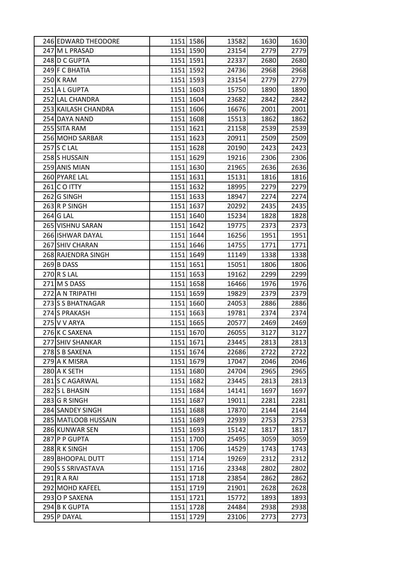| 246 EDWARD THEODORE | 1151 1586 | 13582 | 1630 | 1630 |
|---------------------|-----------|-------|------|------|
| 247 M L PRASAD      | 1151 1590 | 23154 | 2779 | 2779 |
| 248 D C GUPTA       | 1151 1591 | 22337 | 2680 | 2680 |
| 249 F C BHATIA      | 1151 1592 | 24736 | 2968 | 2968 |
| 250 K RAM           | 1151 1593 | 23154 | 2779 | 2779 |
| 251 A L GUPTA       | 1151 1603 | 15750 | 1890 | 1890 |
| 252 LAL CHANDRA     | 1151 1604 | 23682 | 2842 | 2842 |
| 253 KAILASH CHANDRA | 1151 1606 | 16676 | 2001 | 2001 |
| 254 DAYA NAND       | 1151 1608 | 15513 | 1862 | 1862 |
| 255 SITA RAM        | 1151 1621 | 21158 | 2539 | 2539 |
| 256 MOHD SARBAR     | 1151 1623 | 20911 | 2509 | 2509 |
| 257 S C LAL         | 1151 1628 | 20190 | 2423 | 2423 |
| 258 S HUSSAIN       | 1151 1629 | 19216 | 2306 | 2306 |
| 259 ANIS MIAN       | 1151 1630 | 21965 | 2636 | 2636 |
| 260 PYARE LAL       | 1151 1631 | 15131 | 1816 | 1816 |
| $261$ CO ITTY       | 1151 1632 | 18995 | 2279 | 2279 |
| 262 G SINGH         | 1151 1633 | 18947 | 2274 | 2274 |
| 263R P SINGH        | 1151 1637 | 20292 | 2435 | 2435 |
| $264$ G LAL         | 1151 1640 | 15234 | 1828 | 1828 |
| 265 VISHNU SARAN    | 1151 1642 | 19775 | 2373 | 2373 |
| 266 ISHWAR DAYAL    | 1151 1644 | 16256 | 1951 | 1951 |
| 267 SHIV CHARAN     | 1151 1646 | 14755 | 1771 | 1771 |
| 268 RAJENDRA SINGH  | 1151 1649 | 11149 | 1338 | 1338 |
| 269 B DASS          | 1151 1651 | 15051 | 1806 | 1806 |
| $270$ R S LAL       | 1151 1653 | 19162 | 2299 | 2299 |
| 271 M S DASS        | 1151 1658 | 16466 | 1976 | 1976 |
| 272 A N TRIPATHI    | 1151 1659 | 19829 | 2379 | 2379 |
| 273 S BHATNAGAR     | 1151 1660 | 24053 | 2886 | 2886 |
| 274 S PRAKASH       | 1151 1663 | 19781 | 2374 | 2374 |
| $275$ V V ARYA      | 1151 1665 | 20577 | 2469 | 2469 |
| 276 K C SAXENA      | 1151 1670 | 26055 | 3127 | 3127 |
| 277 SHIV SHANKAR    | 1151 1671 | 23445 | 2813 | 2813 |
| 278 S B SAXENA      | 1151 1674 | 22686 | 2722 | 2722 |
| 279 A K MISRA       | 1151 1679 | 17047 | 2046 | 2046 |
| 280 A K SETH        | 1151 1680 | 24704 | 2965 | 2965 |
| 281 S C AGARWAL     | 1151 1682 | 23445 | 2813 | 2813 |
| 282 S L BHASIN      | 1151 1684 | 14141 | 1697 | 1697 |
| 283 G R SINGH       | 1151 1687 | 19011 | 2281 | 2281 |
| 284 SANDEY SINGH    | 1151 1688 | 17870 | 2144 | 2144 |
| 285 MATLOOB HUSSAIN | 1151 1689 | 22939 | 2753 | 2753 |
| 286 KUNWAR SEN      | 1151 1693 | 15142 | 1817 | 1817 |
| 287 P GUPTA         | 1151 1700 | 25495 | 3059 | 3059 |
| 288 R K SINGH       | 1151 1706 | 14529 | 1743 | 1743 |
| 289 BHOOPAL DUTT    | 1151 1714 | 19269 | 2312 | 2312 |
| 290 S S SRIVASTAVA  | 1151 1716 | 23348 | 2802 | 2802 |
| $291$ R A RAI       | 1151 1718 | 23854 | 2862 | 2862 |
| 292 MOHD KAFEEL     | 1151 1719 | 21901 | 2628 | 2628 |
| 293 O P SAXENA      | 1151 1721 | 15772 | 1893 | 1893 |
| 294 B K GUPTA       | 1151 1728 | 24484 | 2938 | 2938 |
| 295 P DAYAL         | 1151 1729 | 23106 | 2773 | 2773 |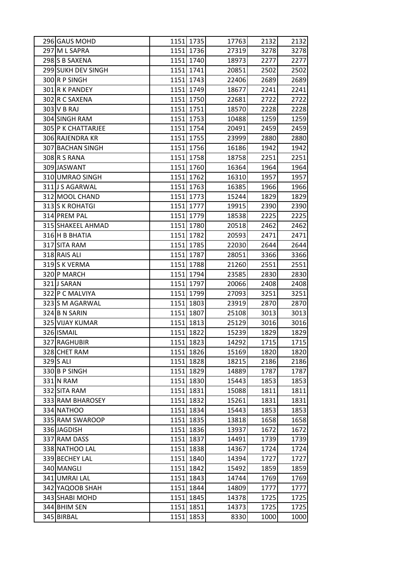| 296 GAUS MOHD      |      | 1151 1735 | 17763 | 2132 | 2132 |
|--------------------|------|-----------|-------|------|------|
| 297 M L SAPRA      |      | 1151 1736 | 27319 | 3278 | 3278 |
| 298 S B SAXENA     |      | 1151 1740 | 18973 | 2277 | 2277 |
| 299 SUKH DEV SINGH |      | 1151 1741 | 20851 | 2502 | 2502 |
| 300R P SINGH       |      | 1151 1743 | 22406 | 2689 | 2689 |
| 301 R K PANDEY     |      | 1151 1749 | 18677 | 2241 | 2241 |
| 302 R C SAXENA     |      | 1151 1750 | 22681 | 2722 | 2722 |
| 303 V B RAJ        |      | 1151 1751 | 18570 | 2228 | 2228 |
| 304 SINGH RAM      |      | 1151 1753 | 10488 | 1259 | 1259 |
| 305 P K CHATTARJEE |      | 1151 1754 | 20491 | 2459 | 2459 |
| 306 RAJENDRA KR    |      | 1151 1755 | 23999 | 2880 | 2880 |
| 307 BACHAN SINGH   |      | 1151 1756 | 16186 | 1942 | 1942 |
| 308 R S RANA       |      | 1151 1758 | 18758 | 2251 | 2251 |
| 309 JASWANT        |      | 1151 1760 | 16364 | 1964 | 1964 |
| 310 UMRAO SINGH    |      | 1151 1762 | 16310 | 1957 | 1957 |
| 311 J S AGARWAL    |      | 1151 1763 | 16385 | 1966 | 1966 |
| 312 MOOL CHAND     |      | 1151 1773 | 15244 | 1829 | 1829 |
| 313 S K ROHATGI    |      | 1151 1777 | 19915 | 2390 | 2390 |
| 314 PREM PAL       |      | 1151 1779 | 18538 | 2225 | 2225 |
| 315 SHAKEEL AHMAD  |      | 1151 1780 | 20518 | 2462 | 2462 |
| 316 H B BHATIA     |      | 1151 1782 | 20593 | 2471 | 2471 |
| 317 SITA RAM       |      | 1151 1785 | 22030 | 2644 | 2644 |
| 318 RAIS ALI       |      | 1151 1787 | 28051 | 3366 | 3366 |
| 319S K VERMA       |      | 1151 1788 | 21260 | 2551 | 2551 |
| 320 P MARCH        |      | 1151 1794 | 23585 | 2830 | 2830 |
| 321J SARAN         |      | 1151 1797 | 20066 | 2408 | 2408 |
| 322 P C MALVIYA    |      | 1151 1799 | 27093 | 3251 | 3251 |
| 323 S M AGARWAL    |      | 1151 1803 | 23919 | 2870 | 2870 |
| 324 B N SARIN      |      | 1151 1807 | 25108 | 3013 | 3013 |
| 325 VIJAY KUMAR    |      | 1151 1813 | 25129 | 3016 | 3016 |
| 326 ISMAIL         |      | 1151 1822 | 15239 | 1829 | 1829 |
| 327 RAGHUBIR       |      | 1151 1823 | 14292 | 1715 | 1715 |
| 328 CHET RAM       |      | 1151 1826 | 15169 | 1820 | 1820 |
| $329$ S ALI        |      | 1151 1828 | 18215 | 2186 | 2186 |
| 330 B P SINGH      |      | 1151 1829 | 14889 | 1787 | 1787 |
| 331 N RAM          | 1151 | 1830      | 15443 | 1853 | 1853 |
| 332 SITA RAM       |      | 1151 1831 | 15088 | 1811 | 1811 |
| 333 RAM BHAROSEY   |      | 1151 1832 | 15261 | 1831 | 1831 |
| 334 NATHOO         |      | 1151 1834 | 15443 | 1853 | 1853 |
| 335 RAM SWAROOP    |      | 1151 1835 | 13818 | 1658 | 1658 |
| 336 JAGDISH        |      | 1151 1836 | 13937 | 1672 | 1672 |
| 337 RAM DASS       |      | 1151 1837 | 14491 | 1739 | 1739 |
| 338 NATHOO LAL     | 1151 | 1838      | 14367 | 1724 | 1724 |
| 339 BECHEY LAL     |      | 1151 1840 | 14394 | 1727 | 1727 |
| 340 MANGLI         |      | 1151 1842 | 15492 | 1859 | 1859 |
| 341 UMRAI LAL      |      | 1151 1843 | 14744 | 1769 | 1769 |
| 342 YAQOOB SHAH    |      | 1151 1844 | 14809 | 1777 | 1777 |
| 343 SHABI MOHD     | 1151 | 1845      | 14378 | 1725 | 1725 |
| 344 BHIM SEN       |      | 1151 1851 | 14373 | 1725 | 1725 |
| 345 BIRBAL         |      |           |       |      |      |
|                    | 1151 | 1853      | 8330  | 1000 | 1000 |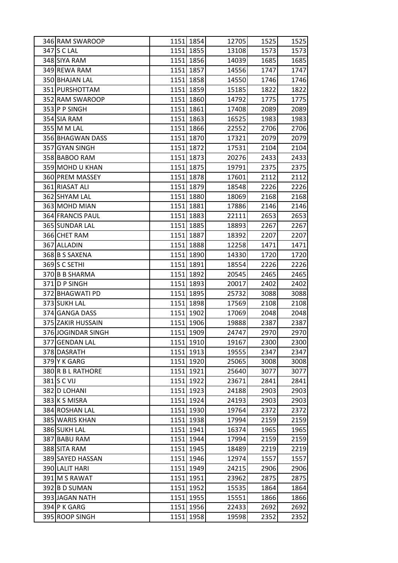| 346 RAM SWAROOP    |      | 1151 1854 | 12705 | 1525 | 1525 |
|--------------------|------|-----------|-------|------|------|
| 347 S C LAL        |      | 1151 1855 | 13108 | 1573 | 1573 |
| 348 SIYA RAM       |      | 1151 1856 | 14039 | 1685 | 1685 |
| 349 REWA RAM       |      | 1151 1857 | 14556 | 1747 | 1747 |
| 350 BHAJAN LAL     |      | 1151 1858 | 14550 | 1746 | 1746 |
| 351 PURSHOTTAM     |      | 1151 1859 | 15185 | 1822 | 1822 |
| 352 RAM SWAROOP    |      | 1151 1860 | 14792 | 1775 | 1775 |
| 353 P P SINGH      |      | 1151 1861 | 17408 | 2089 | 2089 |
| 354 SIA RAM        |      | 1151 1863 | 16525 | 1983 | 1983 |
| 355 M M LAL        |      | 1151 1866 | 22552 | 2706 | 2706 |
| 356 BHAGWAN DASS   |      | 1151 1870 | 17321 | 2079 | 2079 |
| 357 GYAN SINGH     |      | 1151 1872 | 17531 | 2104 | 2104 |
| 358 BABOO RAM      |      | 1151 1873 | 20276 | 2433 | 2433 |
| 359 MOHD U KHAN    |      | 1151 1875 | 19791 | 2375 | 2375 |
| 360 PREM MASSEY    |      | 1151 1878 | 17601 | 2112 | 2112 |
| 361 RIASAT ALI     |      | 1151 1879 | 18548 | 2226 | 2226 |
| 362 SHYAM LAL      |      | 1151 1880 | 18069 | 2168 | 2168 |
| 363 MOHD MIAN      |      | 1151 1881 | 17886 | 2146 | 2146 |
| 364 FRANCIS PAUL   |      | 1151 1883 | 22111 | 2653 | 2653 |
| 365 SUNDAR LAL     |      | 1151 1885 | 18893 | 2267 | 2267 |
| 366 CHET RAM       |      | 1151 1887 | 18392 | 2207 | 2207 |
| 367 ALLADIN        |      | 1151 1888 | 12258 | 1471 | 1471 |
| 368 B S SAXENA     |      | 1151 1890 | 14330 | 1720 | 1720 |
| 369 S C SETHI      |      | 1151 1891 | 18554 | 2226 | 2226 |
| 370 B B SHARMA     |      | 1151 1892 | 20545 | 2465 | 2465 |
| 371 D P SINGH      |      | 1151 1893 | 20017 | 2402 | 2402 |
| 372 BHAGWATI PD    |      | 1151 1895 | 25732 | 3088 | 3088 |
| 373 SUKH LAL       |      | 1151 1898 | 17569 | 2108 | 2108 |
| 374 GANGA DASS     |      | 1151 1902 | 17069 | 2048 | 2048 |
| 375 ZAKIR HUSSAIN  |      | 1151 1906 | 19888 | 2387 | 2387 |
| 376 JOGINDAR SINGH |      | 1151 1909 | 24747 | 2970 | 2970 |
| 377 GENDAN LAL     |      | 1151 1910 | 19167 | 2300 | 2300 |
| 378 DASRATH        |      | 1151 1913 | 19555 | 2347 | 2347 |
| 379 Y K GARG       |      | 1151 1920 | 25065 | 3008 | 3008 |
| 380 R B L RATHORE  |      | 1151 1921 | 25640 | 3077 | 3077 |
| 381 S C VIJ        | 1151 | 1922      | 23671 | 2841 | 2841 |
| 382 D LOHANI       |      | 1151 1923 | 24188 | 2903 | 2903 |
| 383 K S MISRA      |      | 1151 1924 | 24193 | 2903 | 2903 |
| 384 ROSHAN LAL     |      | 1151 1930 | 19764 | 2372 | 2372 |
| 385 WARIS KHAN     | 1151 | 1938      | 17994 | 2159 | 2159 |
| 386 SUKH LAL       |      | 1151 1941 | 16374 | 1965 | 1965 |
| 387 BABU RAM       |      | 1151 1944 | 17994 | 2159 | 2159 |
| 388 SITA RAM       | 1151 | 1945      | 18489 | 2219 | 2219 |
| 389 SAYED HASSAN   |      | 1151 1946 | 12974 | 1557 | 1557 |
| 390 LALIT HARI     |      | 1151 1949 | 24215 | 2906 | 2906 |
| 391 M S RAWAT      |      | 1151 1951 | 23962 | 2875 | 2875 |
| 392 B D SUMAN      |      | 1151 1952 | 15535 | 1864 | 1864 |
| 393 JAGAN NATH     | 1151 | 1955      | 15551 | 1866 | 1866 |
| 394 P K GARG       |      | 1151 1956 | 22433 | 2692 | 2692 |
| 395 ROOP SINGH     | 1151 | 1958      | 19598 | 2352 | 2352 |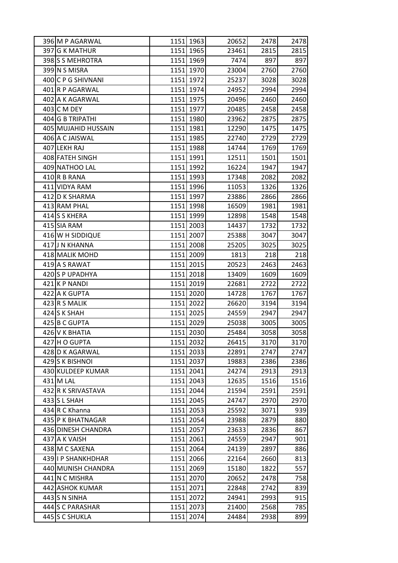| 396 M P AGARWAL     |      | 1151 1963 | 20652 | 2478 | 2478 |
|---------------------|------|-----------|-------|------|------|
| 397 G K MATHUR      |      | 1151 1965 | 23461 | 2815 | 2815 |
| 398 S MEHROTRA      |      | 1151 1969 | 7474  | 897  | 897  |
| 399 N S MISRA       |      | 1151 1970 | 23004 | 2760 | 2760 |
| 400 C P G SHIVNANI  |      | 1151 1972 | 25237 | 3028 | 3028 |
| 401 R P AGARWAL     |      | 1151 1974 | 24952 | 2994 | 2994 |
| 402 A K AGARWAL     |      | 1151 1975 | 20496 | 2460 | 2460 |
| 403 C M DEY         |      | 1151 1977 | 20485 | 2458 | 2458 |
| 404 G B TRIPATHI    |      | 1151 1980 | 23962 | 2875 | 2875 |
| 405 MUJAHID HUSSAIN |      | 1151 1981 | 12290 | 1475 | 1475 |
| 406 A C JAISWAL     |      | 1151 1985 | 22740 | 2729 | 2729 |
| 407 LEKH RAJ        |      | 1151 1988 | 14744 | 1769 | 1769 |
| 408 FATEH SINGH     |      | 1151 1991 | 12511 | 1501 | 1501 |
| 409 NATHOO LAL      |      | 1151 1992 | 16224 | 1947 | 1947 |
| 410 R B RANA        |      | 1151 1993 | 17348 | 2082 | 2082 |
| 411 VIDYA RAM       |      | 1151 1996 | 11053 | 1326 | 1326 |
| 412 D K SHARMA      |      | 1151 1997 | 23886 | 2866 | 2866 |
| 413 RAM PHAL        |      | 1151 1998 | 16509 | 1981 | 1981 |
| 414 S S KHERA       |      | 1151 1999 | 12898 | 1548 | 1548 |
| 415 SIA RAM         |      | 1151 2003 | 14437 | 1732 | 1732 |
| 416 W H SIDDIQUE    |      | 1151 2007 | 25388 | 3047 | 3047 |
| 417 J N KHANNA      |      | 1151 2008 | 25205 | 3025 | 3025 |
| 418 MALIK MOHD      |      | 1151 2009 | 1813  | 218  | 218  |
| 419 A S RAWAT       |      | 1151 2015 | 20523 | 2463 | 2463 |
| 420 S P UPADHYA     |      | 1151 2018 | 13409 | 1609 | 1609 |
| 421 K P NANDI       |      | 1151 2019 | 22681 | 2722 | 2722 |
| 422 A K GUPTA       |      | 1151 2020 | 14728 | 1767 | 1767 |
| 423 R S MALIK       |      | 1151 2022 | 26620 | 3194 | 3194 |
| 424 S K SHAH        |      | 1151 2025 | 24559 | 2947 | 2947 |
| 425 B C GUPTA       |      | 1151 2029 | 25038 | 3005 | 3005 |
| 426 V K BHATIA      |      | 1151 2030 | 25484 | 3058 | 3058 |
| 427 H O GUPTA       |      | 1151 2032 | 26415 | 3170 | 3170 |
| 428 D K AGARWAL     |      | 1151 2033 | 22891 | 2747 | 2747 |
| 429 S K BISHNOI     |      | 1151 2037 | 19883 | 2386 | 2386 |
| 430 KULDEEP KUMAR   |      | 1151 2041 | 24274 | 2913 | 2913 |
| 431 M LAL           | 1151 | 2043      | 12635 | 1516 | 1516 |
| 432 R K SRIVASTAVA  |      | 1151 2044 | 21594 | 2591 | 2591 |
| 433 S L SHAH        |      | 1151 2045 | 24747 | 2970 | 2970 |
| 434 R C Khanna      |      | 1151 2053 | 25592 | 3071 | 939  |
| 435 P K BHATNAGAR   | 1151 | 2054      | 23988 | 2879 | 880  |
| 436 DINESH CHANDRA  |      | 1151 2057 | 23633 | 2836 | 867  |
| 437 A K VAISH       |      | 1151 2061 | 24559 | 2947 | 901  |
| 438 M C SAXENA      | 1151 | 2064      | 24139 | 2897 | 886  |
| 439 I P SHANKHDHAR  |      | 1151 2066 | 22164 | 2660 | 813  |
| 440 MUNISH CHANDRA  |      | 1151 2069 | 15180 | 1822 | 557  |
| 441 N C MISHRA      |      | 1151 2070 | 20652 | 2478 | 758  |
| 442 ASHOK KUMAR     |      | 1151 2071 | 22848 | 2742 | 839  |
| 443 S N SINHA       |      | 1151 2072 | 24941 | 2993 | 915  |
| 444 S C PARASHAR    |      | 1151 2073 | 21400 | 2568 | 785  |
| 445 S C SHUKLA      | 1151 | 2074      | 24484 | 2938 | 899  |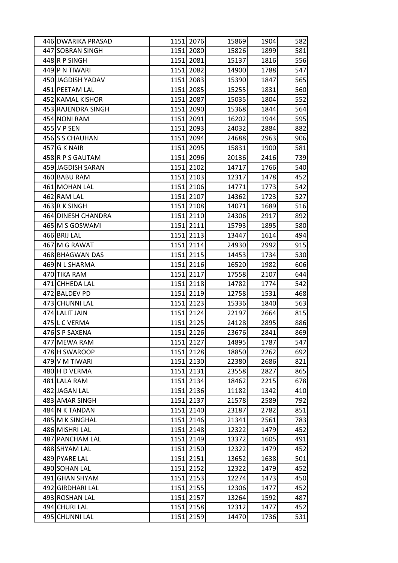| 446 DWARIKA PRASAD | 1151 2076 | 15869 | 1904 | 582 |
|--------------------|-----------|-------|------|-----|
| 447 SOBRAN SINGH   | 1151 2080 | 15826 | 1899 | 581 |
| 448R P SINGH       | 1151 2081 | 15137 | 1816 | 556 |
| 449 P N TIWARI     | 1151 2082 | 14900 | 1788 | 547 |
| 450 JAGDISH YADAV  | 1151 2083 | 15390 | 1847 | 565 |
| 451 PEETAM LAL     | 1151 2085 | 15255 | 1831 | 560 |
| 452 KAMAL KISHOR   | 1151 2087 | 15035 | 1804 | 552 |
| 453 RAJENDRA SINGH | 1151 2090 | 15368 | 1844 | 564 |
| 454 NONI RAM       | 1151 2091 | 16202 | 1944 | 595 |
| 455 V P SEN        | 1151 2093 | 24032 | 2884 | 882 |
| 456 S CHAUHAN      | 1151 2094 | 24688 | 2963 | 906 |
| $457$ G K NAIR     | 1151 2095 | 15831 | 1900 | 581 |
| 458 R P S GAUTAM   | 1151 2096 | 20136 | 2416 | 739 |
| 459 JAGDISH SARAN  | 1151 2102 | 14717 | 1766 | 540 |
| 460 BABU RAM       | 1151 2103 | 12317 | 1478 | 452 |
| 461 MOHAN LAL      | 1151 2106 | 14771 | 1773 | 542 |
| 462 RAM LAL        | 1151 2107 | 14362 | 1723 | 527 |
| 463 R K SINGH      | 1151 2108 | 14071 | 1689 | 516 |
| 464 DINESH CHANDRA | 1151 2110 | 24306 | 2917 | 892 |
| 465 M S GOSWAMI    | 1151 2111 | 15793 | 1895 | 580 |
| 466 BRIJ LAL       | 1151 2113 | 13447 | 1614 | 494 |
| 467 M G RAWAT      | 1151 2114 | 24930 | 2992 | 915 |
| 468 BHAGWAN DAS    | 1151 2115 | 14453 | 1734 | 530 |
| 469 N L SHARMA     | 1151 2116 | 16520 | 1982 | 606 |
| 470 TIKA RAM       | 1151 2117 | 17558 | 2107 | 644 |
| 471 CHHEDA LAL     | 1151 2118 | 14782 | 1774 | 542 |
| 472 BALDEV PD      | 1151 2119 | 12758 | 1531 | 468 |
| 473 CHUNNI LAL     | 1151 2123 | 15336 | 1840 | 563 |
| 474 LALIT JAIN     | 1151 2124 | 22197 | 2664 | 815 |
| 475 L C VERMA      | 1151 2125 | 24128 | 2895 | 886 |
| 476 S P SAXENA     | 1151 2126 | 23676 | 2841 | 869 |
| 477 MEWA RAM       | 1151 2127 | 14895 | 1787 | 547 |
| 478 H SWAROOP      | 1151 2128 | 18850 | 2262 | 692 |
| 479 V M TIWARI     | 1151 2130 | 22380 | 2686 | 821 |
| 480 H D VERMA      | 1151 2131 | 23558 | 2827 | 865 |
| 481 LALA RAM       | 1151 2134 | 18462 | 2215 | 678 |
| 482 JAGAN LAL      | 1151 2136 | 11182 | 1342 | 410 |
| 483 AMAR SINGH     | 1151 2137 | 21578 | 2589 | 792 |
| 484 N K TANDAN     | 1151 2140 | 23187 | 2782 | 851 |
| 485 M K SINGHAL    | 1151 2146 | 21341 | 2561 | 783 |
| 486 MISHRI LAL     | 1151 2148 | 12322 | 1479 | 452 |
| 487 PANCHAM LAL    | 1151 2149 | 13372 | 1605 | 491 |
| 488 SHYAM LAL      | 1151 2150 | 12322 | 1479 | 452 |
| 489 PYARE LAL      | 1151 2151 | 13652 | 1638 | 501 |
| 490 SOHAN LAL      | 1151 2152 | 12322 | 1479 | 452 |
| 491 GHAN SHYAM     | 1151 2153 | 12274 | 1473 | 450 |
| 492 GIRDHARI LAL   | 1151 2155 | 12306 | 1477 | 452 |
| 493 ROSHAN LAL     | 1151 2157 | 13264 | 1592 | 487 |
| 494 CHURI LAL      | 1151 2158 | 12312 | 1477 | 452 |
| 495 CHUNNI LAL     | 1151 2159 | 14470 | 1736 | 531 |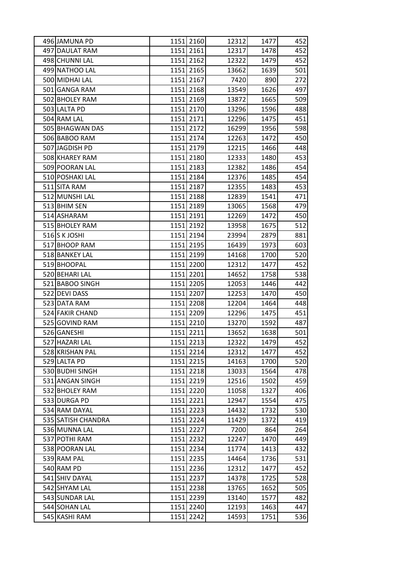| 496 JAMUNA PD      | 1151 2160 | 12312 | 1477 | 452 |
|--------------------|-----------|-------|------|-----|
| 497 DAULAT RAM     | 1151 2161 | 12317 | 1478 | 452 |
| 498 CHUNNI LAL     | 1151 2162 | 12322 | 1479 | 452 |
| 499 NATHOO LAL     | 1151 2165 | 13662 | 1639 | 501 |
| 500 MIDHAI LAL     | 1151 2167 | 7420  | 890  | 272 |
| 501 GANGA RAM      | 1151 2168 | 13549 | 1626 | 497 |
| 502 BHOLEY RAM     | 1151 2169 | 13872 | 1665 | 509 |
| 503 LALTA PD       | 1151 2170 | 13296 | 1596 | 488 |
| 504 RAM LAL        | 1151 2171 | 12296 | 1475 | 451 |
| 505 BHAGWAN DAS    | 1151 2172 | 16299 | 1956 | 598 |
| 506 BABOO RAM      | 1151 2174 | 12263 | 1472 | 450 |
| 507 JAGDISH PD     | 1151 2179 | 12215 | 1466 | 448 |
| 508 KHAREY RAM     | 1151 2180 | 12333 | 1480 | 453 |
| 509 POORAN LAL     | 1151 2183 | 12382 | 1486 | 454 |
| 510 POSHAKI LAL    | 1151 2184 | 12376 | 1485 | 454 |
| 511 SITA RAM       | 1151 2187 | 12355 | 1483 | 453 |
| 512 MUNSHI LAL     | 1151 2188 | 12839 | 1541 | 471 |
| 513 BHIM SEN       | 1151 2189 | 13065 | 1568 | 479 |
| 514 ASHARAM        | 1151 2191 | 12269 | 1472 | 450 |
| 515 BHOLEY RAM     | 1151 2192 | 13958 | 1675 | 512 |
| 516 S K JOSHI      | 1151 2194 | 23994 | 2879 | 881 |
| 517 BHOOP RAM      | 1151 2195 | 16439 | 1973 | 603 |
| 518 BANKEY LAL     | 1151 2199 | 14168 | 1700 | 520 |
| 519 BHOOPAL        | 1151 2200 | 12312 | 1477 | 452 |
| 520 BEHARI LAL     | 1151 2201 | 14652 | 1758 | 538 |
| 521 BABOO SINGH    | 1151 2205 | 12053 | 1446 | 442 |
| 522 DEVI DASS      | 1151 2207 | 12253 | 1470 | 450 |
| 523 DATA RAM       | 1151 2208 | 12204 | 1464 | 448 |
| 524 FAKIR CHAND    | 1151 2209 | 12296 | 1475 | 451 |
| 525 GOVIND RAM     | 1151 2210 | 13270 | 1592 | 487 |
| 526 GANESHI        | 1151 2211 | 13652 | 1638 | 501 |
| 527 HAZARI LAL     | 1151 2213 | 12322 | 1479 | 452 |
| 528 KRISHAN PAL    | 1151 2214 | 12312 | 1477 | 452 |
| 529 LALTA PD       | 1151 2215 | 14163 | 1700 | 520 |
| 530 BUDHI SINGH    | 1151 2218 | 13033 | 1564 | 478 |
| 531 ANGAN SINGH    | 1151 2219 | 12516 | 1502 | 459 |
| 532 BHOLEY RAM     | 1151 2220 | 11058 | 1327 | 406 |
| 533 DURGA PD       | 1151 2221 | 12947 | 1554 | 475 |
| 534 RAM DAYAL      | 1151 2223 | 14432 | 1732 | 530 |
| 535 SATISH CHANDRA | 1151 2224 | 11429 | 1372 | 419 |
| 536 MUNNA LAL      | 1151 2227 | 7200  | 864  | 264 |
| 537 POTHI RAM      | 1151 2232 | 12247 | 1470 | 449 |
| 538 POORAN LAL     | 1151 2234 | 11774 | 1413 | 432 |
| 539 RAM PAL        | 1151 2235 | 14464 | 1736 | 531 |
| 540 RAM PD         | 1151 2236 | 12312 | 1477 | 452 |
| 541 SHIV DAYAL     | 1151 2237 | 14378 | 1725 | 528 |
| 542 SHYAM LAL      | 1151 2238 | 13765 | 1652 | 505 |
| 543 SUNDAR LAL     | 1151 2239 | 13140 | 1577 | 482 |
| 544 SOHAN LAL      | 1151 2240 | 12193 | 1463 | 447 |
| 545 KASHI RAM      | 1151 2242 | 14593 | 1751 | 536 |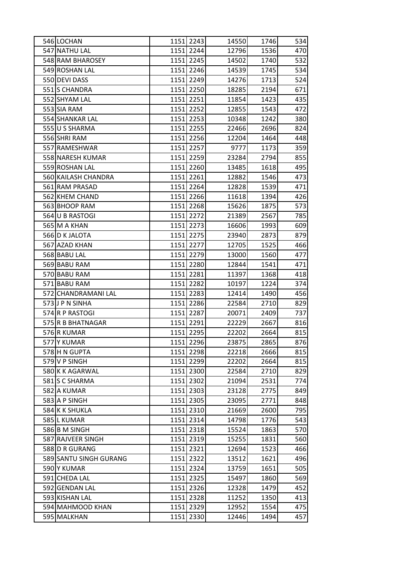| 546 LOCHAN             |      | 1151 2243 | 14550 | 1746 | 534 |
|------------------------|------|-----------|-------|------|-----|
| 547 NATHU LAL          |      | 1151 2244 | 12796 | 1536 | 470 |
| 548 RAM BHAROSEY       |      | 1151 2245 | 14502 | 1740 | 532 |
| 549 ROSHAN LAL         |      | 1151 2246 | 14539 | 1745 | 534 |
| 550 DEVI DASS          |      | 1151 2249 | 14276 | 1713 | 524 |
| 551 S CHANDRA          |      | 1151 2250 | 18285 | 2194 | 671 |
| 552 SHYAM LAL          |      | 1151 2251 | 11854 | 1423 | 435 |
| 553 SIA RAM            |      | 1151 2252 | 12855 | 1543 | 472 |
| 554 SHANKAR LAL        |      | 1151 2253 | 10348 | 1242 | 380 |
| 555 U S SHARMA         |      | 1151 2255 | 22466 | 2696 | 824 |
| 556 SHRI RAM           |      | 1151 2256 | 12204 | 1464 | 448 |
| 557 RAMESHWAR          |      | 1151 2257 | 9777  | 1173 | 359 |
| 558 NARESH KUMAR       |      | 1151 2259 | 23284 | 2794 | 855 |
| 559 ROSHAN LAL         |      | 1151 2260 | 13485 | 1618 | 495 |
| 560 KAILASH CHANDRA    |      | 1151 2261 | 12882 | 1546 | 473 |
| 561 RAM PRASAD         |      | 1151 2264 | 12828 | 1539 | 471 |
| 562 KHEM CHAND         |      | 1151 2266 | 11618 | 1394 | 426 |
| 563 BHOOP RAM          |      | 1151 2268 | 15626 | 1875 | 573 |
| 564 U B RASTOGI        |      | 1151 2272 | 21389 | 2567 | 785 |
| 565 M A KHAN           |      | 1151 2273 | 16606 | 1993 | 609 |
| 566 D K JALOTA         |      | 1151 2275 | 23940 | 2873 | 879 |
| 567 AZAD KHAN          |      | 1151 2277 | 12705 | 1525 | 466 |
| 568 BABU LAL           |      | 1151 2279 | 13000 | 1560 | 477 |
| 569 BABU RAM           |      | 1151 2280 | 12844 | 1541 | 471 |
| 570 BABU RAM           |      | 1151 2281 | 11397 | 1368 | 418 |
| 571 BABU RAM           |      | 1151 2282 | 10197 | 1224 | 374 |
| 572 CHANDRAMANI LAL    |      | 1151 2283 | 12414 | 1490 | 456 |
| 573JJP N SINHA         |      | 1151 2286 | 22584 | 2710 | 829 |
| 574 R P RASTOGI        |      | 1151 2287 | 20071 | 2409 | 737 |
| 575 R B BHATNAGAR      |      | 1151 2291 | 22229 | 2667 | 816 |
| 576R KUMAR             |      | 1151 2295 | 22202 | 2664 | 815 |
| 577 Y KUMAR            | 1151 | 2296      | 23875 | 2865 | 876 |
| 578 H N GUPTA          | 1151 | 2298      | 22218 | 2666 | 815 |
| 579 V P SINGH          |      | 1151 2299 | 22202 | 2664 | 815 |
| 580 K K AGARWAL        |      | 1151 2300 | 22584 | 2710 | 829 |
| 581 S C SHARMA         | 1151 | 2302      | 21094 | 2531 | 774 |
| 582 A KUMAR            |      | 1151 2303 | 23128 | 2775 | 849 |
| 583 A P SINGH          |      | 1151 2305 | 23095 | 2771 | 848 |
| 584 K K SHUKLA         | 1151 | 2310      | 21669 | 2600 | 795 |
| 585 L KUMAR            |      | 1151 2314 | 14798 | 1776 | 543 |
| 586 B M SINGH          |      | 1151 2318 | 15524 | 1863 | 570 |
| 587 RAJVEER SINGH      |      | 1151 2319 | 15255 | 1831 | 560 |
| 588 D R GURANG         | 1151 | 2321      | 12694 | 1523 | 466 |
| 589 SANTU SINGH GURANG |      | 1151 2322 | 13512 | 1621 | 496 |
| 590 Y KUMAR            | 1151 | 2324      | 13759 | 1651 | 505 |
| 591 CHEDA LAL          |      | 1151 2325 | 15497 | 1860 | 569 |
| 592 GENDAN LAL         |      | 1151 2326 | 12328 | 1479 | 452 |
| 593 KISHAN LAL         | 1151 | 2328      | 11252 | 1350 | 413 |
| 594 MAHMOOD KHAN       | 1151 | 2329      | 12952 | 1554 | 475 |
| 595 MALKHAN            |      | 1151 2330 | 12446 | 1494 | 457 |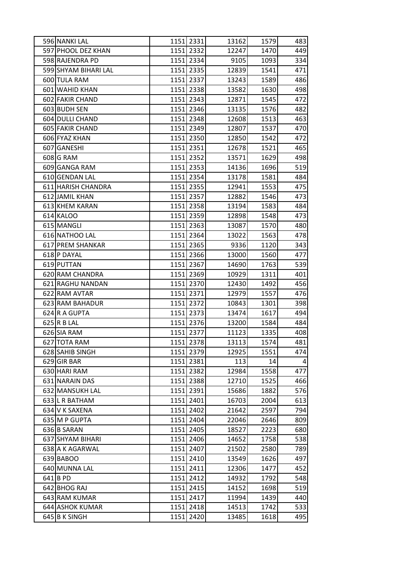| 596 NANKI LAL        |      | 1151 2331 | 13162 | 1579 | 483 |
|----------------------|------|-----------|-------|------|-----|
| 597 PHOOL DEZ KHAN   |      | 1151 2332 | 12247 | 1470 | 449 |
| 598 RAJENDRA PD      |      | 1151 2334 | 9105  | 1093 | 334 |
| 599 SHYAM BIHARI LAL |      | 1151 2335 | 12839 | 1541 | 471 |
| 600 TULA RAM         |      | 1151 2337 | 13243 | 1589 | 486 |
| 601 WAHID KHAN       |      | 1151 2338 | 13582 | 1630 | 498 |
| 602 FAKIR CHAND      |      | 1151 2343 | 12871 | 1545 | 472 |
| 603 BUDH SEN         |      | 1151 2346 | 13135 | 1576 | 482 |
| 604 DULLI CHAND      |      | 1151 2348 | 12608 | 1513 | 463 |
| 605 FAKIR CHAND      |      | 1151 2349 | 12807 | 1537 | 470 |
| 606 FYAZ KHAN        |      | 1151 2350 | 12850 | 1542 | 472 |
| 607 GANESHI          |      | 1151 2351 | 12678 | 1521 | 465 |
| 608 G RAM            |      | 1151 2352 | 13571 | 1629 | 498 |
| 609 GANGA RAM        |      | 1151 2353 | 14136 | 1696 | 519 |
| 610 GENDAN LAL       |      | 1151 2354 | 13178 | 1581 | 484 |
| 611 HARISH CHANDRA   |      | 1151 2355 | 12941 | 1553 | 475 |
| 612 JAMIL KHAN       |      | 1151 2357 | 12882 | 1546 | 473 |
| 613 KHEM KARAN       |      | 1151 2358 | 13194 | 1583 | 484 |
| 614 KALOO            |      | 1151 2359 | 12898 | 1548 | 473 |
| 615 MANGLI           |      | 1151 2363 | 13087 | 1570 | 480 |
| 616 NATHOO LAL       |      | 1151 2364 | 13022 | 1563 | 478 |
| 617 PREM SHANKAR     |      | 1151 2365 | 9336  | 1120 | 343 |
| 618 P DAYAL          |      | 1151 2366 | 13000 | 1560 | 477 |
| 619 PUTTAN           |      | 1151 2367 | 14690 | 1763 | 539 |
| 620 RAM CHANDRA      |      | 1151 2369 | 10929 | 1311 | 401 |
| 621 RAGHU NANDAN     |      | 1151 2370 | 12430 | 1492 | 456 |
| 622 RAM AVTAR        |      | 1151 2371 | 12979 | 1557 | 476 |
| 623 RAM BAHADUR      |      | 1151 2372 | 10843 | 1301 | 398 |
| 624 R A GUPTA        |      | 1151 2373 | 13474 | 1617 | 494 |
| 625 R B LAL          |      | 1151 2376 | 13200 | 1584 | 484 |
| 626 SIA RAM          |      | 1151 2377 | 11123 | 1335 | 408 |
| 627 TOTA RAM         |      | 1151 2378 | 13113 | 1574 | 481 |
| 628 SAHIB SINGH      |      | 1151 2379 | 12925 | 1551 | 474 |
| 629 GIR BAR          |      | 1151 2381 | 113   | 14   | 4   |
| 630 HARI RAM         |      | 1151 2382 | 12984 | 1558 | 477 |
| 631 NARAIN DAS       | 1151 | 2388      | 12710 | 1525 | 466 |
| 632 MANSUKH LAL      |      | 1151 2391 | 15686 | 1882 | 576 |
| 633 L R BATHAM       |      | 1151 2401 | 16703 | 2004 | 613 |
| 634 V K SAXENA       |      | 1151 2402 | 21642 | 2597 | 794 |
| 635 M P GUPTA        | 1151 | 2404      | 22046 | 2646 | 809 |
| 636 B SARAN          | 1151 | 2405      | 18527 | 2223 | 680 |
| 637 SHYAM BIHARI     |      | 1151 2406 | 14652 | 1758 | 538 |
| 638 A K AGARWAL      | 1151 | 2407      | 21502 | 2580 | 789 |
| 639 BABOO            |      | 1151 2410 | 13549 | 1626 | 497 |
| 640 MUNNA LAL        | 1151 | 2411      | 12306 | 1477 | 452 |
| $641$ BPD            | 1151 | 2412      | 14932 | 1792 | 548 |
| 642 BHOG RAJ         |      | 1151 2415 | 14152 | 1698 | 519 |
| 643 RAM KUMAR        | 1151 | 2417      | 11994 | 1439 | 440 |
| 644 ASHOK KUMAR      | 1151 | 2418      | 14513 | 1742 | 533 |
| 645 B K SINGH        | 1151 | 2420      | 13485 | 1618 | 495 |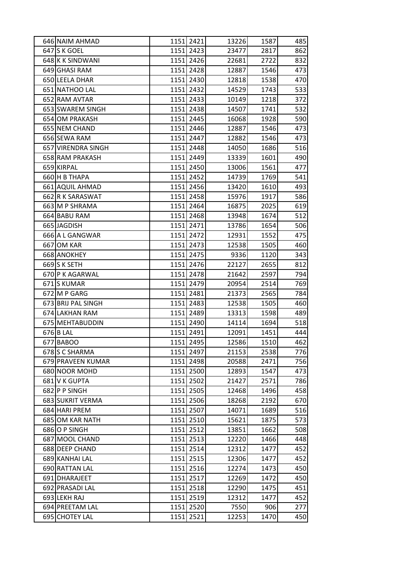| 646 NAIM AHMAD     |      | 1151 2421 | 13226 | 1587 | 485 |
|--------------------|------|-----------|-------|------|-----|
| 647 S K GOEL       |      | 1151 2423 | 23477 | 2817 | 862 |
| 648 K K SINDWANI   |      | 1151 2426 | 22681 | 2722 | 832 |
| 649 GHASI RAM      |      | 1151 2428 | 12887 | 1546 | 473 |
| 650 LEELA DHAR     |      | 1151 2430 | 12818 | 1538 | 470 |
| 651 NATHOO LAL     |      | 1151 2432 | 14529 | 1743 | 533 |
| 652 RAM AVTAR      |      | 1151 2433 | 10149 | 1218 | 372 |
| 653 SWAREM SINGH   |      | 1151 2438 | 14507 | 1741 | 532 |
| 654 OM PRAKASH     |      | 1151 2445 | 16068 | 1928 | 590 |
| 655 NEM CHAND      |      | 1151 2446 | 12887 | 1546 | 473 |
| 656 SEWA RAM       |      | 1151 2447 | 12882 | 1546 | 473 |
| 657 VIRENDRA SINGH |      | 1151 2448 | 14050 | 1686 | 516 |
| 658 RAM PRAKASH    |      | 1151 2449 | 13339 | 1601 | 490 |
| 659 KIRPAL         |      | 1151 2450 | 13006 | 1561 | 477 |
| 660 H B THAPA      |      | 1151 2452 | 14739 | 1769 | 541 |
| 661 AQUIL AHMAD    |      | 1151 2456 | 13420 | 1610 | 493 |
| 662 R K SARASWAT   |      | 1151 2458 | 15976 | 1917 | 586 |
| 663 M P SHRAMA     |      | 1151 2464 | 16875 | 2025 | 619 |
| 664 BABU RAM       |      | 1151 2468 | 13948 | 1674 | 512 |
| 665 JAGDISH        |      | 1151 2471 | 13786 | 1654 | 506 |
| 666 A L GANGWAR    |      | 1151 2472 | 12931 | 1552 | 475 |
| 667 OM KAR         |      | 1151 2473 | 12538 | 1505 | 460 |
| 668 ANOKHEY        |      | 1151 2475 | 9336  | 1120 | 343 |
| 669 S K SETH       |      | 1151 2476 | 22127 | 2655 | 812 |
| 670 P K AGARWAL    |      | 1151 2478 | 21642 | 2597 | 794 |
| 671 S KUMAR        |      | 1151 2479 | 20954 | 2514 | 769 |
| 672 M P GARG       |      | 1151 2481 | 21373 | 2565 | 784 |
| 673 BRIJ PAL SINGH |      | 1151 2483 | 12538 | 1505 | 460 |
| 674 LAKHAN RAM     |      | 1151 2489 | 13313 | 1598 | 489 |
| 675 MEHTABUDDIN    |      | 1151 2490 | 14114 | 1694 | 518 |
| 676 B LAL          |      | 1151 2491 | 12091 | 1451 | 444 |
| 677 BABOO          | 1151 | 2495      | 12586 | 1510 | 462 |
| 678 S C SHARMA     |      | 1151 2497 | 21153 | 2538 | 776 |
| 679 PRAVEEN KUMAR  |      | 1151 2498 | 20588 | 2471 | 756 |
| 680 NOOR MOHD      |      | 1151 2500 | 12893 | 1547 | 473 |
| 681 V K GUPTA      | 1151 | 2502      | 21427 | 2571 | 786 |
| 682 P P SINGH      |      | 1151 2505 | 12468 | 1496 | 458 |
| 683 SUKRIT VERMA   |      | 1151 2506 | 18268 | 2192 | 670 |
| 684 HARI PREM      |      | 1151 2507 | 14071 | 1689 | 516 |
| 685 OM KAR NATH    | 1151 | 2510      | 15621 | 1875 | 573 |
| 686 O P SINGH      |      | 1151 2512 | 13851 | 1662 | 508 |
| 687 MOOL CHAND     |      | 1151 2513 | 12220 | 1466 | 448 |
| 688 DEEP CHAND     | 1151 | 2514      | 12312 | 1477 | 452 |
| 689 KANHAI LAL     |      | 1151 2515 | 12306 | 1477 | 452 |
| 690 RATTAN LAL     |      | 1151 2516 | 12274 | 1473 | 450 |
| 691 DHARAJEET      |      | 1151 2517 | 12269 | 1472 | 450 |
| 692 PRASADI LAL    |      | 1151 2518 | 12290 | 1475 | 451 |
| 693 LEKH RAJ       |      | 1151 2519 | 12312 | 1477 | 452 |
| 694 PREETAM LAL    | 1151 | 2520      | 7550  | 906  | 277 |
| 695 CHOTEY LAL     | 1151 | 2521      | 12253 | 1470 | 450 |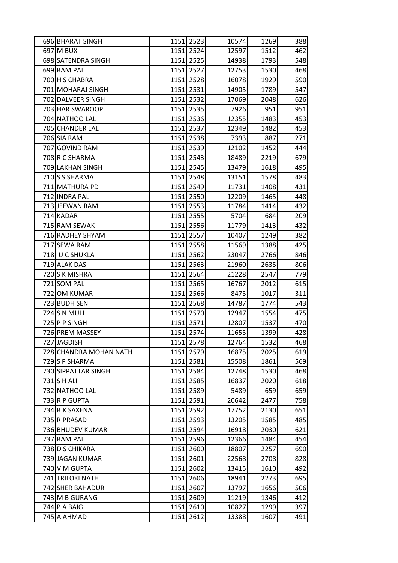| 696 BHARAT SINGH       |      | 1151 2523 | 10574 | 1269 | 388 |
|------------------------|------|-----------|-------|------|-----|
| 697 M BUX              |      | 1151 2524 | 12597 | 1512 | 462 |
| 698 SATENDRA SINGH     |      | 1151 2525 | 14938 | 1793 | 548 |
| 699 RAM PAL            |      | 1151 2527 | 12753 | 1530 | 468 |
| 700 H S CHABRA         |      | 1151 2528 | 16078 | 1929 | 590 |
| 701 MOHARAJ SINGH      |      | 1151 2531 | 14905 | 1789 | 547 |
| 702 DALVEER SINGH      |      | 1151 2532 | 17069 | 2048 | 626 |
| 703 HAR SWAROOP        |      | 1151 2535 | 7926  | 951  | 951 |
| 704 NATHOO LAL         |      | 1151 2536 | 12355 | 1483 | 453 |
| 705 CHANDER LAL        |      | 1151 2537 | 12349 | 1482 | 453 |
| 706 SIA RAM            |      | 1151 2538 | 7393  | 887  | 271 |
| 707 GOVIND RAM         |      | 1151 2539 | 12102 | 1452 | 444 |
| 708 R C SHARMA         |      | 1151 2543 | 18489 | 2219 | 679 |
| 709 LAKHAN SINGH       |      | 1151 2545 | 13479 | 1618 | 495 |
| 710 S SHARMA           |      | 1151 2548 | 13151 | 1578 | 483 |
| 711 MATHURA PD         |      | 1151 2549 | 11731 | 1408 | 431 |
| 712 INDRA PAL          |      | 1151 2550 | 12209 | 1465 | 448 |
| 713 JEEWAN RAM         |      | 1151 2553 | 11784 | 1414 | 432 |
| 714 KADAR              |      | 1151 2555 | 5704  | 684  | 209 |
| 715 RAM SEWAK          |      | 1151 2556 | 11779 | 1413 | 432 |
| 716 RADHEY SHYAM       |      | 1151 2557 | 10407 | 1249 | 382 |
| 717 SEWA RAM           |      | 1151 2558 | 11569 | 1388 | 425 |
| 718 U C SHUKLA         |      | 1151 2562 | 23047 | 2766 | 846 |
| 719 ALAK DAS           |      | 1151 2563 | 21960 | 2635 | 806 |
| 720 S K MISHRA         |      | 1151 2564 | 21228 | 2547 | 779 |
| 721 SOM PAL            |      | 1151 2565 | 16767 | 2012 | 615 |
| 722 OM KUMAR           |      | 1151 2566 | 8475  | 1017 | 311 |
| 723 BUDH SEN           |      | 1151 2568 | 14787 | 1774 | 543 |
| 724 S N MULL           |      | 1151 2570 | 12947 | 1554 | 475 |
| 725 P P SINGH          |      | 1151 2571 | 12807 | 1537 | 470 |
| 726 PREM MASSEY        |      | 1151 2574 | 11655 | 1399 | 428 |
| 727 JAGDISH            |      | 1151 2578 | 12764 | 1532 | 468 |
| 728 CHANDRA MOHAN NATH |      | 1151 2579 | 16875 | 2025 | 619 |
| 729 S P SHARMA         |      | 1151 2581 | 15508 | 1861 | 569 |
| 730 SIPPATTAR SINGH    |      | 1151 2584 | 12748 | 1530 | 468 |
| 731 S H ALI            | 1151 | 2585      | 16837 | 2020 | 618 |
| 732 NATHOO LAL         | 1151 | 2589      | 5489  | 659  | 659 |
| 733 R P GUPTA          |      | 1151 2591 | 20642 | 2477 | 758 |
| 734 R K SAXENA         |      | 1151 2592 | 17752 | 2130 | 651 |
| 735 R PRASAD           | 1151 | 2593      | 13205 | 1585 | 485 |
| 736 BHUDEV KUMAR       |      | 1151 2594 | 16918 | 2030 | 621 |
| 737 RAM PAL            |      | 1151 2596 | 12366 | 1484 | 454 |
| 738 D S CHIKARA        | 1151 | 2600      | 18807 | 2257 | 690 |
| 739 JAGAN KUMAR        |      | 1151 2601 | 22568 | 2708 | 828 |
| 740 V M GUPTA          | 1151 | 2602      | 13415 | 1610 | 492 |
| 741 TRILOKI NATH       | 1151 | 2606      | 18941 | 2273 | 695 |
| 742 SHER BAHADUR       |      | 1151 2607 | 13797 | 1656 | 506 |
| 743 M B GURANG         | 1151 | 2609      | 11219 | 1346 | 412 |
| 744 P A BAIG           | 1151 | 2610      | 10827 | 1299 | 397 |
| 745 A AHMAD            | 1151 | 2612      | 13388 | 1607 | 491 |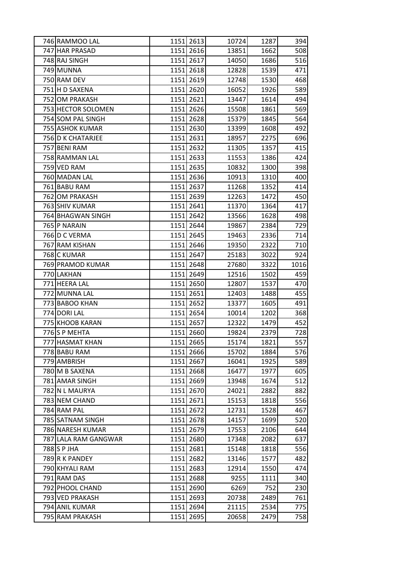| 746 RAMMOO LAL       |      | 1151 2613 | 10724 | 1287 | 394  |
|----------------------|------|-----------|-------|------|------|
| 747 HAR PRASAD       |      | 1151 2616 | 13851 | 1662 | 508  |
| 748 RAJ SINGH        |      | 1151 2617 | 14050 | 1686 | 516  |
| 749 MUNNA            |      | 1151 2618 | 12828 | 1539 | 471  |
| 750 RAM DEV          |      | 1151 2619 | 12748 | 1530 | 468  |
| 751 H D SAXENA       |      | 1151 2620 | 16052 | 1926 | 589  |
| 752 OM PRAKASH       |      | 1151 2621 | 13447 | 1614 | 494  |
| 753 HECTOR SOLOMEN   |      | 1151 2626 | 15508 | 1861 | 569  |
| 754 SOM PAL SINGH    |      | 1151 2628 | 15379 | 1845 | 564  |
| 755 ASHOK KUMAR      |      | 1151 2630 | 13399 | 1608 | 492  |
| 756 D K CHATARJEE    |      | 1151 2631 | 18957 | 2275 | 696  |
| 757 BENI RAM         |      | 1151 2632 | 11305 | 1357 | 415  |
| 758 RAMMAN LAL       |      | 1151 2633 | 11553 | 1386 | 424  |
| 759 VED RAM          |      | 1151 2635 | 10832 | 1300 | 398  |
| 760 MADAN LAL        |      | 1151 2636 | 10913 | 1310 | 400  |
| 761 BABU RAM         |      | 1151 2637 | 11268 | 1352 | 414  |
| 762 OM PRAKASH       |      | 1151 2639 | 12263 | 1472 | 450  |
| 763 SHIV KUMAR       |      | 1151 2641 | 11370 | 1364 | 417  |
| 764 BHAGWAN SINGH    |      | 1151 2642 | 13566 | 1628 | 498  |
| 765 P NARAIN         |      | 1151 2644 | 19867 | 2384 | 729  |
| 766 D C VERMA        |      | 1151 2645 | 19463 | 2336 | 714  |
| 767 RAM KISHAN       |      | 1151 2646 | 19350 | 2322 | 710  |
| 768 C KUMAR          |      | 1151 2647 | 25183 | 3022 | 924  |
| 769 PRAMOD KUMAR     |      | 1151 2648 | 27680 | 3322 | 1016 |
| 770 LAKHAN           |      | 1151 2649 | 12516 | 1502 | 459  |
| 771 HEERA LAL        |      | 1151 2650 | 12807 | 1537 | 470  |
| 772 MUNNA LAL        |      | 1151 2651 | 12403 | 1488 | 455  |
| 773 BABOO KHAN       |      | 1151 2652 | 13377 | 1605 | 491  |
| 774 DORI LAL         |      | 1151 2654 | 10014 | 1202 | 368  |
| 775 KHOOB KARAN      |      | 1151 2657 | 12322 | 1479 | 452  |
| 776S P MEHTA         |      | 1151 2660 | 19824 | 2379 | 728  |
| 777 HASMAT KHAN      |      | 1151 2665 | 15174 | 1821 | 557  |
| 778 BABU RAM         |      | 1151 2666 | 15702 | 1884 | 576  |
| 779 AMBRISH          |      | 1151 2667 | 16041 | 1925 | 589  |
| 780 M B SAXENA       |      | 1151 2668 | 16477 | 1977 | 605  |
| 781 AMAR SINGH       |      | 1151 2669 | 13948 | 1674 | 512  |
| 782 N L MAURYA       |      | 1151 2670 | 24021 | 2882 | 882  |
| 783 NEM CHAND        |      | 1151 2671 | 15153 | 1818 | 556  |
| 784 RAM PAL          |      | 1151 2672 | 12731 | 1528 | 467  |
| 785 SATNAM SINGH     |      | 1151 2678 | 14157 | 1699 | 520  |
| 786 NARESH KUMAR     |      | 1151 2679 | 17553 | 2106 | 644  |
| 787 LALA RAM GANGWAR |      | 1151 2680 | 17348 | 2082 | 637  |
| 788 S P JHA          |      | 1151 2681 | 15148 | 1818 | 556  |
| 789 R K PANDEY       |      | 1151 2682 | 13146 | 1577 | 482  |
| 790 KHYALI RAM       |      | 1151 2683 | 12914 | 1550 | 474  |
| 791 RAM DAS          |      | 1151 2688 | 9255  | 1111 | 340  |
| 792 PHOOL CHAND      |      | 1151 2690 | 6269  | 752  | 230  |
| 793 VED PRAKASH      | 1151 | 2693      | 20738 | 2489 | 761  |
| 794 ANIL KUMAR       |      | 1151 2694 | 21115 | 2534 | 775  |
| 795 RAM PRAKASH      | 1151 | 2695      | 20658 | 2479 | 758  |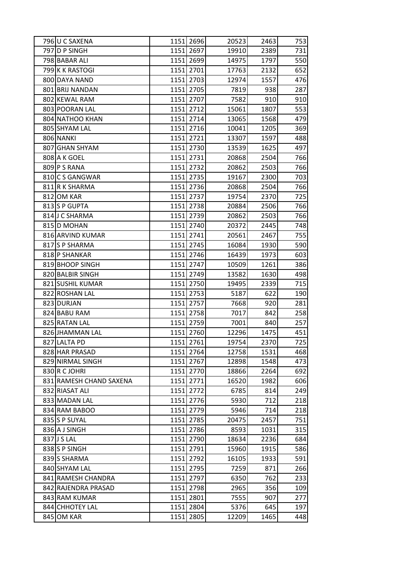| 796 U C SAXENA          | 1151 2696 | 20523 | 2463 | 753 |
|-------------------------|-----------|-------|------|-----|
| 797 D P SINGH           | 1151 2697 | 19910 | 2389 | 731 |
| 798 BABAR ALI           | 1151 2699 | 14975 | 1797 | 550 |
| 799K K RASTOGI          | 1151 2701 | 17763 | 2132 | 652 |
| 800 DAYA NAND           | 1151 2703 | 12974 | 1557 | 476 |
| 801 BRIJ NANDAN         | 1151 2705 | 7819  | 938  | 287 |
| 802 KEWAL RAM           | 1151 2707 | 7582  | 910  | 910 |
| 803 POORAN LAL          | 1151 2712 | 15061 | 1807 | 553 |
| 804 NATHOO KHAN         | 1151 2714 | 13065 | 1568 | 479 |
| 805 SHYAM LAL           | 1151 2716 | 10041 | 1205 | 369 |
| 806 NANKI               | 1151 2721 | 13307 | 1597 | 488 |
| 807 GHAN SHYAM          | 1151 2730 | 13539 | 1625 | 497 |
| 808 A K GOEL            | 1151 2731 | 20868 | 2504 | 766 |
| 809 P S RANA            | 1151 2732 | 20862 | 2503 | 766 |
| 810 C S GANGWAR         | 1151 2735 | 19167 | 2300 | 703 |
| 811 R K SHARMA          | 1151 2736 | 20868 | 2504 | 766 |
| 812 OM KAR              | 1151 2737 | 19754 | 2370 | 725 |
| 813 S P GUPTA           | 1151 2738 | 20884 | 2506 | 766 |
| 814 J C SHARMA          | 1151 2739 | 20862 | 2503 | 766 |
| 815 D MOHAN             | 1151 2740 | 20372 | 2445 | 748 |
| 816 ARVIND KUMAR        | 1151 2741 | 20561 | 2467 | 755 |
| 817 S P SHARMA          | 1151 2745 | 16084 | 1930 | 590 |
| 818 P SHANKAR           | 1151 2746 | 16439 | 1973 | 603 |
| 819 BHOOP SINGH         | 1151 2747 | 10509 | 1261 | 386 |
| 820 BALBIR SINGH        | 1151 2749 | 13582 | 1630 | 498 |
| 821 SUSHIL KUMAR        | 1151 2750 | 19495 | 2339 | 715 |
| 822 ROSHAN LAL          | 1151 2753 | 5187  | 622  | 190 |
| 823 DURJAN              | 1151 2757 | 7668  | 920  | 281 |
| 824 BABU RAM            | 1151 2758 | 7017  | 842  | 258 |
| 825 RATAN LAL           | 1151 2759 | 7001  | 840  | 257 |
| 826 JHAMMAN LAL         | 1151 2760 | 12296 | 1475 | 451 |
| 827 LALTA PD            | 1151 2761 | 19754 | 2370 | 725 |
| 828 HAR PRASAD          | 1151 2764 | 12758 | 1531 | 468 |
| 829 NIRMAL SINGH        | 1151 2767 | 12898 | 1548 | 473 |
| 830 R C JOHRI           | 1151 2770 | 18866 | 2264 | 692 |
| 831 RAMESH CHAND SAXENA | 1151 2771 | 16520 | 1982 | 606 |
| 832 RIASAT ALI          | 1151 2772 | 6785  | 814  | 249 |
| 833 MADAN LAL           | 1151 2776 | 5930  | 712  | 218 |
| 834 RAM BABOO           | 1151 2779 | 5946  | 714  | 218 |
| 835 S P SUYAL           | 1151 2785 | 20475 | 2457 | 751 |
| 836 A J SINGH           | 1151 2786 | 8593  | 1031 | 315 |
| 837 J S LAL             | 1151 2790 | 18634 | 2236 | 684 |
| 838 S P SINGH           | 1151 2791 | 15960 | 1915 | 586 |
| 839 S SHARMA            | 1151 2792 | 16105 | 1933 | 591 |
| 840 SHYAM LAL           | 1151 2795 | 7259  | 871  | 266 |
| 841 RAMESH CHANDRA      | 1151 2797 | 6350  | 762  | 233 |
| 842 RAJENDRA PRASAD     | 1151 2798 | 2965  | 356  | 109 |
| 843 RAM KUMAR           | 1151 2801 | 7555  | 907  | 277 |
| 844 CHHOTEY LAL         | 1151 2804 | 5376  | 645  | 197 |
| 845 OM KAR              | 1151 2805 | 12209 | 1465 | 448 |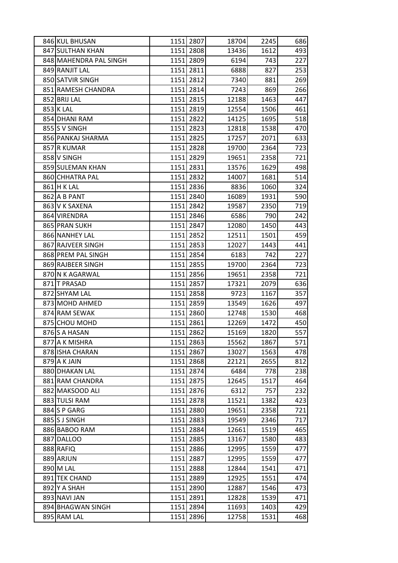| 846 KUL BHUSAN         | 1151 2807 | 18704 | 2245 | 686 |
|------------------------|-----------|-------|------|-----|
| 847 SULTHAN KHAN       | 1151 2808 | 13436 | 1612 | 493 |
| 848 MAHENDRA PAL SINGH | 1151 2809 | 6194  | 743  | 227 |
| 849 RANJIT LAL         | 1151 2811 | 6888  | 827  | 253 |
| 850 SATVIR SINGH       | 1151 2812 | 7340  | 881  | 269 |
| 851 RAMESH CHANDRA     | 1151 2814 | 7243  | 869  | 266 |
| 852 BRIJ LAL           | 1151 2815 | 12188 | 1463 | 447 |
| 853 K LAL              | 1151 2819 | 12554 | 1506 | 461 |
| 854 DHANI RAM          | 1151 2822 | 14125 | 1695 | 518 |
| 855 S V SINGH          | 1151 2823 | 12818 | 1538 | 470 |
| 856 PANKAJ SHARMA      | 1151 2825 | 17257 | 2071 | 633 |
| 857 R KUMAR            | 1151 2828 | 19700 | 2364 | 723 |
| 858 V SINGH            | 1151 2829 | 19651 | 2358 | 721 |
| 859 SULEMAN KHAN       | 1151 2831 | 13576 | 1629 | 498 |
| 860 CHHATRA PAL        | 1151 2832 | 14007 | 1681 | 514 |
| 861 H K LAL            | 1151 2836 | 8836  | 1060 | 324 |
| 862 A B PANT           | 1151 2840 | 16089 | 1931 | 590 |
| 863 V K SAXENA         | 1151 2842 | 19587 | 2350 | 719 |
| 864 VIRENDRA           | 1151 2846 | 6586  | 790  | 242 |
| 865 PRAN SUKH          | 1151 2847 | 12080 | 1450 | 443 |
| 866 NANHEY LAL         | 1151 2852 | 12511 | 1501 | 459 |
| 867 RAJVEER SINGH      | 1151 2853 | 12027 | 1443 | 441 |
| 868 PREM PAL SINGH     | 1151 2854 | 6183  | 742  | 227 |
| 869 RAJBEER SINGH      | 1151 2855 | 19700 | 2364 | 723 |
| 870 N K AGARWAL        | 1151 2856 | 19651 | 2358 | 721 |
| 871 T PRASAD           | 1151 2857 | 17321 | 2079 | 636 |
| 872 SHYAM LAL          | 1151 2858 | 9723  | 1167 | 357 |
| 873 MOHD AHMED         | 1151 2859 | 13549 | 1626 | 497 |
| 874 RAM SEWAK          | 1151 2860 | 12748 | 1530 | 468 |
| 875 CHOU MOHD          | 1151 2861 | 12269 | 1472 | 450 |
| 876 S A HASAN          | 1151 2862 | 15169 | 1820 | 557 |
| 877 A K MISHRA         | 1151 2863 | 15562 | 1867 | 571 |
| 878 ISHA CHARAN        | 1151 2867 | 13027 | 1563 | 478 |
| 879 A K JAIN           | 1151 2868 | 22121 | 2655 | 812 |
| 880 DHAKAN LAL         | 1151 2874 | 6484  | 778  | 238 |
| 881 RAM CHANDRA        | 1151 2875 | 12645 | 1517 | 464 |
| 882 MAKSOOD ALI        | 1151 2876 | 6312  | 757  | 232 |
| 883 TULSI RAM          | 1151 2878 | 11521 | 1382 | 423 |
| 884 S P GARG           | 1151 2880 | 19651 | 2358 | 721 |
| 885 S J SINGH          | 1151 2883 | 19549 | 2346 | 717 |
| 886 BABOO RAM          | 1151 2884 | 12661 | 1519 | 465 |
| 887 DALLOO             | 1151 2885 | 13167 | 1580 | 483 |
| 888 RAFIQ              | 1151 2886 | 12995 | 1559 | 477 |
| 889 ARJUN              | 1151 2887 | 12995 | 1559 | 477 |
| 890 M LAL              | 1151 2888 | 12844 | 1541 | 471 |
| 891 TEK CHAND          | 1151 2889 | 12925 | 1551 | 474 |
| 892 Y A SHAH           | 1151 2890 | 12887 | 1546 | 473 |
| 893 NAVI JAN           | 1151 2891 | 12828 | 1539 | 471 |
| 894 BHAGWAN SINGH      | 1151 2894 | 11693 | 1403 | 429 |
| 895 RAM LAL            | 1151 2896 | 12758 | 1531 | 468 |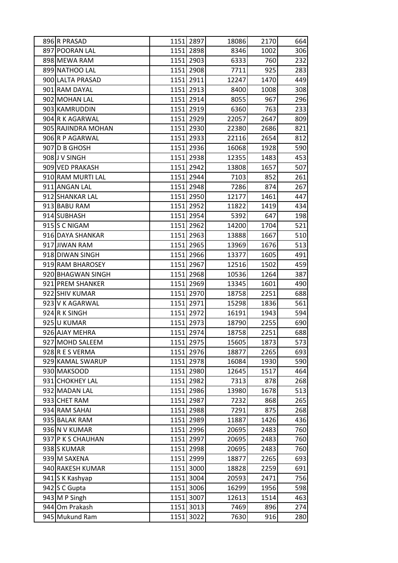| 896 R PRASAD       | 1151   2897 | 18086 | 2170 | 664 |
|--------------------|-------------|-------|------|-----|
| 897 POORAN LAL     | 1151 2898   | 8346  | 1002 | 306 |
| 898 MEWA RAM       | 1151 2903   | 6333  | 760  | 232 |
| 899 NATHOO LAL     | 1151 2908   | 7711  | 925  | 283 |
| 900 LALTA PRASAD   | 1151 2911   | 12247 | 1470 | 449 |
| 901 RAM DAYAL      | 1151 2913   | 8400  | 1008 | 308 |
| 902 MOHAN LAL      | 1151 2914   | 8055  | 967  | 296 |
| 903 KAMRUDDIN      | 1151 2919   | 6360  | 763  | 233 |
| 904 R K AGARWAL    | 1151 2929   | 22057 | 2647 | 809 |
| 905 RAJINDRA MOHAN | 1151 2930   | 22380 | 2686 | 821 |
| 906 R P AGARWAL    | 1151 2933   | 22116 | 2654 | 812 |
| 907 D B GHOSH      | 1151 2936   | 16068 | 1928 | 590 |
| 908 J V SINGH      | 1151 2938   | 12355 | 1483 | 453 |
| 909 VED PRAKASH    | 1151 2942   | 13808 | 1657 | 507 |
| 910 RAM MURTI LAL  | 1151 2944   | 7103  | 852  | 261 |
| 911 ANGAN LAL      | 1151 2948   | 7286  | 874  | 267 |
| 912 SHANKAR LAL    | 1151 2950   | 12177 | 1461 | 447 |
| 913 BABU RAM       | 1151 2952   | 11822 | 1419 | 434 |
| 914 SUBHASH        | 1151 2954   | 5392  | 647  | 198 |
| 915 S C NIGAM      | 1151 2962   | 14200 | 1704 | 521 |
| 916 DAYA SHANKAR   | 1151 2963   | 13888 | 1667 | 510 |
| 917 JIWAN RAM      | 1151 2965   | 13969 | 1676 | 513 |
| 918 DIWAN SINGH    | 1151 2966   | 13377 | 1605 | 491 |
| 919 RAM BHAROSEY   | 1151 2967   | 12516 | 1502 | 459 |
| 920 BHAGWAN SINGH  | 1151 2968   | 10536 | 1264 | 387 |
| 921 PREM SHANKER   | 1151 2969   | 13345 | 1601 | 490 |
| 922 SHIV KUMAR     | 1151 2970   | 18758 | 2251 | 688 |
| 923 V K AGARWAL    | 1151 2971   | 15298 | 1836 | 561 |
| 924 R K SINGH      | 1151 2972   | 16191 | 1943 | 594 |
| 925 U KUMAR        | 1151 2973   | 18790 | 2255 | 690 |
| 926 AJAY MEHRA     | 1151 2974   | 18758 | 2251 | 688 |
| 927 MOHD SALEEM    | 1151 2975   | 15605 | 1873 | 573 |
| 928 R E S VERMA    | 1151 2976   | 18877 | 2265 | 693 |
| 929 KAMAL SWARUP   | 1151 2978   | 16084 | 1930 | 590 |
| 930 MAKSOOD        | 1151 2980   | 12645 | 1517 | 464 |
| 931 CHOKHEY LAL    | 1151 2982   | 7313  | 878  | 268 |
| 932 MADAN LAL      | 1151 2986   | 13980 | 1678 | 513 |
| 933 CHET RAM       | 1151 2987   | 7232  | 868  | 265 |
| 934 RAM SAHAI      | 1151 2988   | 7291  | 875  | 268 |
| 935 BALAK RAM      | 1151 2989   | 11887 | 1426 | 436 |
| 936 N V KUMAR      | 1151 2996   | 20695 | 2483 | 760 |
| 937 P K S CHAUHAN  | 1151 2997   | 20695 | 2483 | 760 |
| 938 S KUMAR        | 1151 2998   | 20695 | 2483 | 760 |
| 939 M SAXENA       | 1151 2999   | 18877 | 2265 | 693 |
| 940 RAKESH KUMAR   | 1151 3000   | 18828 | 2259 | 691 |
| 941 S K Kashyap    | 1151 3004   | 20593 | 2471 | 756 |
| 942 S C Gupta      | 1151 3006   | 16299 | 1956 | 598 |
| 943 M P Singh      | 1151 3007   | 12613 | 1514 | 463 |
| 944 Om Prakash     | 1151 3013   | 7469  | 896  | 274 |
| 945 Mukund Ram     | 1151 3022   | 7630  | 916  | 280 |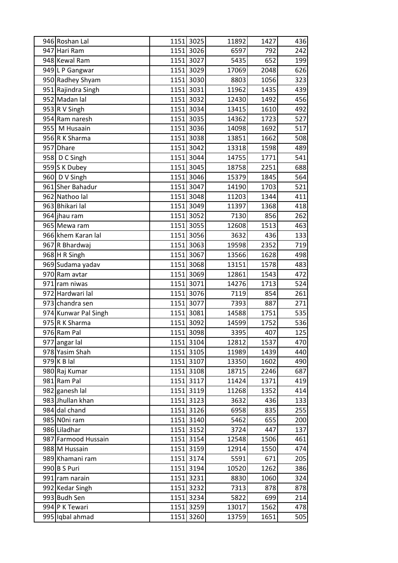| 946 Roshan Lal       |      | 1151 3025 | 11892 | 1427 | 436               |
|----------------------|------|-----------|-------|------|-------------------|
| 947 Hari Ram         |      | 1151 3026 | 6597  | 792  | 242               |
| 948 Kewal Ram        |      | 1151 3027 | 5435  | 652  | 199               |
| 949 L P Gangwar      |      | 1151 3029 | 17069 | 2048 | 626               |
| 950 Radhey Shyam     |      | 1151 3030 | 8803  | 1056 | 323               |
| 951 Rajindra Singh   | 1151 | 3031      | 11962 | 1435 | 439               |
| 952 Madan lal        |      | 1151 3032 | 12430 | 1492 | 456               |
| 953 R V Singh        |      | 1151 3034 | 13415 | 1610 | 492               |
| 954 Ram naresh       |      | 1151 3035 | 14362 | 1723 | 527               |
| 955 M Husaain        |      | 1151 3036 | 14098 | 1692 | 517               |
| 956 R K Sharma       |      | 1151 3038 | 13851 | 1662 | 508               |
| 957 Dhare            |      | 1151 3042 | 13318 | 1598 | 489               |
| 958 D C Singh        | 1151 | 3044      | 14755 | 1771 | 541               |
| 959 S K Dubey        |      | 1151 3045 | 18758 | 2251 | 688               |
| 960 D V Singh        |      | 1151 3046 | 15379 | 1845 | 564               |
| 961 Sher Bahadur     |      | 1151 3047 | 14190 | 1703 | 521               |
| 962 Nathoo lal       |      | 1151 3048 | 11203 | 1344 | 411               |
| 963 Bhikari lal      |      | 1151 3049 | 11397 | 1368 | 418               |
| 964 jhau ram         |      | 1151 3052 | 7130  | 856  | 262               |
| 965 Mewa ram         |      | 1151 3055 | 12608 | 1513 | 463               |
| 966 khem Karan lal   |      | 1151 3056 | 3632  | 436  | 133               |
| 967 R Bhardwaj       |      | 1151 3063 | 19598 | 2352 | 719               |
| 968 H R Singh        |      | 1151 3067 | 13566 | 1628 | 498               |
| 969 Sudama yadav     |      | 1151 3068 | 13151 | 1578 | 483               |
| 970 Ram avtar        | 1151 | 3069      | 12861 | 1543 | 472               |
| 971 ram niwas        |      | 1151 3071 | 14276 | 1713 | 524               |
| 972 Hardwari lal     |      | 1151 3076 | 7119  | 854  | 261               |
| 973 chandra sen      |      | 1151 3077 | 7393  | 887  | 271               |
| 974 Kunwar Pal Singh |      | 1151 3081 | 14588 | 1751 | 535               |
| 975 R K Sharma       |      | 1151 3092 | 14599 | 1752 | 536               |
| 976 Ram Pal          | 1151 | 3098      | 3395  | 407  | $\overline{1}$ 25 |
| 977 angar lal        |      | 1151 3104 | 12812 | 1537 | 470               |
| 978 Yasim Shah       |      | 1151 3105 | 11989 | 1439 | 440               |
| $979$ K B lal        |      | 1151 3107 | 13350 | 1602 | 490               |
| 980 Raj Kumar        |      | 1151 3108 | 18715 | 2246 | 687               |
| 981 Ram Pal          |      | 1151 3117 | 11424 | 1371 | 419               |
| 982 ganesh lal       |      | 1151 3119 | 11268 | 1352 | 414               |
| 983 Jhullan khan     |      | 1151 3123 | 3632  | 436  | 133               |
| 984 dal chand        |      | 1151 3126 | 6958  | 835  | 255               |
| 985 Noni ram         |      | 1151 3140 | 5462  | 655  | 200               |
| 986 Liladhar         |      | 1151 3152 | 3724  | 447  | 137               |
| 987 Farmood Hussain  |      | 1151 3154 | 12548 | 1506 | 461               |
| 988 M Hussain        |      | 1151 3159 | 12914 | 1550 | 474               |
| 989 Khamani ram      |      | 1151 3174 | 5591  | 671  | 205               |
| 990 B S Puri         |      | 1151 3194 | 10520 | 1262 | 386               |
| 991 ram narain       |      | 1151 3231 | 8830  | 1060 | 324               |
| 992 Kedar Singh      |      | 1151 3232 | 7313  | 878  | 878               |
| 993 Budh Sen         |      | 1151 3234 | 5822  | 699  | 214               |
| 994 P K Tewari       |      | 1151 3259 | 13017 | 1562 | 478               |
| 995 Iqbal ahmad      |      | 1151 3260 | 13759 | 1651 | 505               |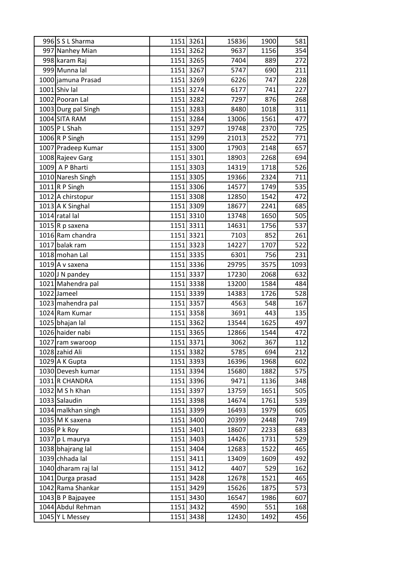| 996 S L Sharma      |      | 1151 3261 | 15836 | 1900 | 581  |
|---------------------|------|-----------|-------|------|------|
| 997 Nanhey Mian     |      | 1151 3262 | 9637  | 1156 | 354  |
| 998 karam Raj       |      | 1151 3265 | 7404  | 889  | 272  |
| 999 Munna lal       |      | 1151 3267 | 5747  | 690  | 211  |
| 1000 jamuna Prasad  |      | 1151 3269 | 6226  | 747  | 228  |
| $1001$ Shiv lal     |      | 1151 3274 | 6177  | 741  | 227  |
| 1002 Pooran Lal     |      | 1151 3282 | 7297  | 876  | 268  |
| 1003 Durg pal Singh | 1151 | 3283      | 8480  | 1018 | 311  |
| 1004 SITA RAM       |      | 1151 3284 | 13006 | 1561 | 477  |
| 1005 P L Shah       | 1151 | 3297      | 19748 | 2370 | 725  |
| 1006 R P Singh      |      | 1151 3299 | 21013 | 2522 | 771  |
| 1007 Pradeep Kumar  |      | 1151 3300 | 17903 | 2148 | 657  |
| 1008 Rajeev Garg    | 1151 | 3301      | 18903 | 2268 | 694  |
| 1009 A P Bharti     |      | 1151 3303 | 14319 | 1718 | 526  |
| 1010 Naresh Singh   |      | 1151 3305 | 19366 | 2324 | 711  |
| $1011$ R P Singh    |      | 1151 3306 | 14577 | 1749 | 535  |
| 1012 A chirstopur   |      | 1151 3308 | 12850 | 1542 | 472  |
| 1013 A K Singhal    |      | 1151 3309 | 18677 | 2241 | 685  |
| 1014 ratal lal      |      | 1151 3310 | 13748 | 1650 | 505  |
| 1015 R p saxena     |      | 1151 3311 | 14631 | 1756 | 537  |
| 1016 Ram chandra    |      | 1151 3321 | 7103  | 852  | 261  |
| 1017 balak ram      | 1151 | 3323      | 14227 | 1707 | 522  |
| 1018 mohan Lal      |      | 1151 3335 | 6301  | 756  | 231  |
| 1019 A v saxena     |      | 1151 3336 | 29795 | 3575 | 1093 |
| 1020 J N pandey     |      | 1151 3337 | 17230 | 2068 | 632  |
| 1021 Mahendra pal   |      | 1151 3338 | 13200 | 1584 | 484  |
| 1022 Jameel         |      | 1151 3339 | 14383 | 1726 | 528  |
| 1023 mahendra pal   |      | 1151 3357 | 4563  | 548  | 167  |
| 1024 Ram Kumar      | 1151 | 3358      | 3691  | 443  | 135  |
| 1025 bhajan lal     |      | 1151 3362 | 13544 | 1625 | 497  |
| 1026 haider nabi    |      | 1151 3365 | 12866 | 1544 | 472  |
| 1027 ram swaroop    |      | 1151 3371 | 3062  | 367  | 112  |
| 1028 zahid Ali      |      | 1151 3382 | 5785  | 694  | 212  |
| 1029 A K Gupta      |      | 1151 3393 | 16396 | 1968 | 602  |
| 1030 Devesh kumar   |      | 1151 3394 | 15680 | 1882 | 575  |
| 1031 R CHANDRA      |      | 1151 3396 | 9471  | 1136 | 348  |
| $1032$ M S h Khan   |      | 1151 3397 | 13759 | 1651 | 505  |
| 1033 Salaudin       |      | 1151 3398 | 14674 | 1761 | 539  |
| 1034 malkhan singh  |      | 1151 3399 | 16493 | 1979 | 605  |
| $1035$ M K saxena   |      | 1151 3400 | 20399 | 2448 | 749  |
| 1036 P k Roy        |      | 1151 3401 | 18607 | 2233 | 683  |
| 1037 p L maurya     |      | 1151 3403 | 14426 | 1731 | 529  |
| 1038 bhajrang lal   |      | 1151 3404 | 12683 | 1522 | 465  |
| 1039 chhada lal     |      | 1151 3411 | 13409 | 1609 | 492  |
| 1040 dharam raj lal |      | 1151 3412 | 4407  | 529  | 162  |
| 1041 Durga prasad   |      | 1151 3428 | 12678 | 1521 | 465  |
| 1042 Rama Shankar   |      | 1151 3429 | 15626 | 1875 | 573  |
| 1043 B P Bajpayee   | 1151 | 3430      | 16547 | 1986 | 607  |
| 1044 Abdul Rehman   |      | 1151 3432 | 4590  | 551  | 168  |
| 1045 Y L Messey     |      | 1151 3438 | 12430 | 1492 | 456  |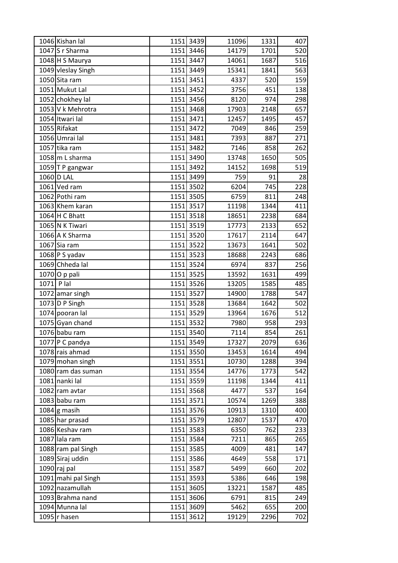|              | 1046 Kishan lal     |      | 1151 3439 | 11096 | 1331 | 407 |
|--------------|---------------------|------|-----------|-------|------|-----|
|              | $1047$ S r Sharma   |      | 1151 3446 | 14179 | 1701 | 520 |
|              | 1048 H S Maurya     |      | 1151 3447 | 14061 | 1687 | 516 |
|              | 1049 vleslay Singh  |      | 1151 3449 | 15341 | 1841 | 563 |
|              | 1050 Sita ram       |      | 1151 3451 | 4337  | 520  | 159 |
|              | 1051 Mukut Lal      |      | 1151 3452 | 3756  | 451  | 138 |
|              | 1052 chokhey lal    |      | 1151 3456 | 8120  | 974  | 298 |
|              | 1053 V k Mehrotra   |      | 1151 3468 | 17903 | 2148 | 657 |
|              | 1054 Itwari lal     |      | 1151 3471 | 12457 | 1495 | 457 |
|              | 1055 Rifakat        |      | 1151 3472 | 7049  | 846  | 259 |
|              | 1056 Umrai lal      |      | 1151 3481 | 7393  | 887  | 271 |
|              | 1057 tika ram       |      | 1151 3482 | 7146  | 858  | 262 |
|              | $1058$ m L sharma   | 1151 | 3490      | 13748 | 1650 | 505 |
|              | 1059 T P gangwar    |      | 1151 3492 | 14152 | 1698 | 519 |
|              | 1060 D LAL          |      | 1151 3499 | 759   | 91   | 28  |
|              | 1061 Ved ram        |      | 1151 3502 | 6204  | 745  | 228 |
|              | 1062 Pothi ram      |      | 1151 3505 | 6759  | 811  | 248 |
|              | 1063 Khem karan     |      | 1151 3517 | 11198 | 1344 | 411 |
|              | $1064$ H C Bhatt    |      | 1151 3518 | 18651 | 2238 | 684 |
|              | 1065 N K Tiwari     |      | 1151 3519 | 17773 | 2133 | 652 |
|              | 1066 A K Sharma     |      | 1151 3520 | 17617 | 2114 | 647 |
|              | $1067$ Sia ram      |      | 1151 3522 | 13673 | 1641 | 502 |
|              | 1068 P S yadav      |      | 1151 3523 | 18688 | 2243 | 686 |
|              | 1069 Chheda lal     |      | 1151 3524 | 6974  | 837  | 256 |
|              | 1070 O p pali       |      | 1151 3525 | 13592 | 1631 | 499 |
| $1071$ P lal |                     |      | 1151 3526 | 13205 | 1585 | 485 |
|              | 1072 amar singh     |      | 1151 3527 | 14900 | 1788 | 547 |
|              | 1073 D P Singh      |      | 1151 3528 | 13684 | 1642 | 502 |
|              | 1074 pooran lal     |      | 1151 3529 | 13964 | 1676 | 512 |
|              | 1075 Gyan chand     |      | 1151 3532 | 7980  | 958  | 293 |
|              | $1076$ babu ram     |      | 1151 3540 | 7114  | 854  | 261 |
|              | 1077 P C pandya     |      | 1151 3549 | 17327 | 2079 | 636 |
|              | 1078 rais ahmad     |      | 1151 3550 | 13453 | 1614 | 494 |
|              | 1079 mohan singh    |      | 1151 3551 | 10730 | 1288 | 394 |
|              | 1080 ram das suman  |      | 1151 3554 | 14776 | 1773 | 542 |
|              | 1081 nanki lal      |      | 1151 3559 | 11198 | 1344 | 411 |
|              | 1082 ram avtar      |      | 1151 3568 | 4477  | 537  | 164 |
|              | 1083 babu ram       |      | 1151 3571 | 10574 | 1269 | 388 |
|              | $1084$ g masih      |      | 1151 3576 | 10913 | 1310 | 400 |
|              | 1085 har prasad     |      | 1151 3579 | 12807 | 1537 | 470 |
|              | 1086 Keshav ram     |      | 1151 3583 | 6350  | 762  | 233 |
|              | 1087 lala ram       |      | 1151 3584 | 7211  | 865  | 265 |
|              | 1088 ram pal Singh  |      | 1151 3585 | 4009  | 481  | 147 |
|              | 1089 Siraj uddin    |      | 1151 3586 | 4649  | 558  | 171 |
|              | $1090$ raj pal      |      | 1151 3587 | 5499  | 660  | 202 |
|              | 1091 mahi pal Singh |      | 1151 3593 | 5386  | 646  | 198 |
|              | 1092 nazamullah     |      | 1151 3605 | 13221 | 1587 | 485 |
|              | 1093 Brahma nand    |      | 1151 3606 | 6791  | 815  | 249 |
|              | 1094 Munna lal      |      | 1151 3609 | 5462  | 655  | 200 |
|              | 1095 r hasen        |      | 1151 3612 | 19129 | 2296 | 702 |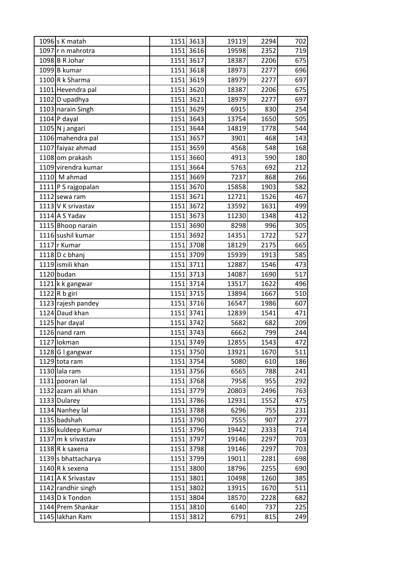| 1096 s K matah        |      | 1151 3613 | 19119 | 2294 | 702 |
|-----------------------|------|-----------|-------|------|-----|
| 1097 r n mahrotra     |      | 1151 3616 | 19598 | 2352 | 719 |
| $1098$ B R Johar      |      | 1151 3617 | 18387 | 2206 | 675 |
| 1099 B kumar          |      | 1151 3618 | 18973 | 2277 | 696 |
| 1100R k Sharma        |      | 1151 3619 | 18979 | 2277 | 697 |
| 1101 Hevendra pal     |      | 1151 3620 | 18387 | 2206 | 675 |
| 1102 D upadhya        |      | 1151 3621 | 18979 | 2277 | 697 |
| 1103 narain Singh     | 1151 | 3629      | 6915  | 830  | 254 |
| $1104$ P dayal        |      | 1151 3643 | 13754 | 1650 | 505 |
| $1105$ N j angari     |      | 1151 3644 | 14819 | 1778 | 544 |
| 1106 mahendra pal     |      | 1151 3657 | 3901  | 468  | 143 |
| 1107 faiyaz ahmad     |      | 1151 3659 | 4568  | 548  | 168 |
| 1108 om prakash       |      | 1151 3660 | 4913  | 590  | 180 |
| 1109 virendra kumar   |      | 1151 3664 | 5763  | 692  | 212 |
| $1110$ M ahmad        |      | 1151 3669 | 7237  | 868  | 266 |
| 1111 P S rajgopalan   |      | 1151 3670 | 15858 | 1903 | 582 |
| 1112 sewa ram         |      | 1151 3671 | 12721 | 1526 | 467 |
| 1113 V K srivastav    |      | 1151 3672 | 13592 | 1631 | 499 |
| $1114$ A S Yadav      |      | 1151 3673 | 11230 | 1348 | 412 |
| 1115 Bhoop narain     |      | 1151 3690 | 8298  | 996  | 305 |
| 1116 sushil kumar     |      | 1151 3692 | 14351 | 1722 | 527 |
| 1117 r Kumar          |      | 1151 3708 | 18129 | 2175 | 665 |
| 1118 $D c bhani$      |      | 1151 3709 | 15939 | 1913 | 585 |
| 1119 ismili khan      |      | 1151 3711 | 12887 | 1546 | 473 |
| 1120 budan            |      | 1151 3713 | 14087 | 1690 | 517 |
| 1121 k k gangwar      |      | 1151 3714 | 13517 | 1622 | 496 |
| 1122 R b giri         |      | 1151 3715 | 13894 | 1667 | 510 |
| 1123 rajesh pandey    |      | 1151 3716 | 16547 | 1986 | 607 |
| 1124 Daud khan        |      | 1151 3741 | 12839 | 1541 | 471 |
| 1125 har dayal        |      | 1151 3742 | 5682  | 682  | 209 |
| 1126 nand ram         |      | 1151 3743 | 6662  | 799  | 244 |
| 1127 lokman           |      | 1151 3749 | 12855 | 1543 | 472 |
| 1128 G I gangwar      |      | 1151 3750 | 13921 | 1670 | 511 |
| 1129 tota ram         |      | 1151 3754 | 5080  | 610  | 186 |
| 1130 lala ram         |      | 1151 3756 | 6565  | 788  | 241 |
| 1131 pooran lal       |      | 1151 3768 | 7958  | 955  | 292 |
| 1132 azam ali khan    |      | 1151 3779 | 20803 | 2496 | 763 |
| 1133 Dularey          |      | 1151 3786 | 12931 | 1552 | 475 |
| 1134 Nanhey lal       |      | 1151 3788 | 6296  | 755  | 231 |
| 1135 badshah          |      | 1151 3790 | 7555  | 907  | 277 |
| 1136 kuldeep Kumar    |      | 1151 3796 | 19442 | 2333 | 714 |
| 1137 $ m$ k srivastav |      | 1151 3797 | 19146 | 2297 | 703 |
| 1138 R k saxena       |      | 1151 3798 | 19146 | 2297 | 703 |
| 1139 s bhattacharya   |      | 1151 3799 | 19011 | 2281 | 698 |
| 1140 $R$ k sexena     |      | 1151 3800 | 18796 | 2255 | 690 |
| 1141 A K Srivastav    |      | 1151 3801 | 10498 | 1260 | 385 |
| 1142 randhir singh    |      | 1151 3802 | 13915 | 1670 | 511 |
| 1143 D k Tondon       |      | 1151 3804 | 18570 | 2228 | 682 |
| 1144 Prem Shankar     |      | 1151 3810 | 6140  | 737  | 225 |
| 1145 lakhan Ram       |      | 1151 3812 | 6791  | 815  | 249 |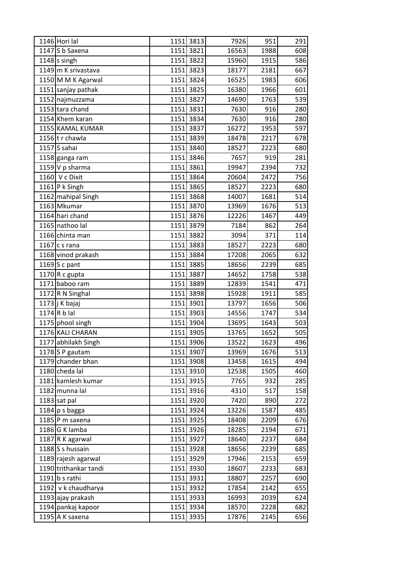| 1146 Hori lal         | 1151 | 3813      | 7926  | 951  | 291 |
|-----------------------|------|-----------|-------|------|-----|
| 1147 S b Saxena       |      | 1151 3821 | 16563 | 1988 | 608 |
| $1148$ singh          |      | 1151 3822 | 15960 | 1915 | 586 |
| 1149 m K srivastava   |      | 1151 3823 | 18177 | 2181 | 667 |
| 1150 M M K Agarwal    |      | 1151 3824 | 16525 | 1983 | 606 |
| 1151 sanjay pathak    |      | 1151 3825 | 16380 | 1966 | 601 |
| 1152 najmuzzama       |      | 1151 3827 | 14690 | 1763 | 539 |
| 1153 tara chand       |      | 1151 3831 | 7630  | 916  | 280 |
| 1154 Khem karan       |      | 1151 3834 | 7630  | 916  | 280 |
| 1155 KAMAL KUMAR      |      | 1151 3837 | 16272 | 1953 | 597 |
| 1156 tr chawla        |      | 1151 3839 | 18478 | 2217 | 678 |
| $1157$ S sahai        |      | 1151 3840 | 18527 | 2223 | 680 |
| 1158 ganga ram        |      | 1151 3846 | 7657  | 919  | 281 |
| 1159 V p sharma       |      | 1151 3861 | 19947 | 2394 | 732 |
| 1160 V c Dixit        |      | 1151 3864 | 20604 | 2472 | 756 |
| 1161 P k Singh        |      | 1151 3865 | 18527 | 2223 | 680 |
| 1162 mahipal Singh    | 1151 | 3868      | 14007 | 1681 | 514 |
| 1163 Mkumar           |      | 1151 3870 | 13969 | 1676 | 513 |
| 1164 hari chand       |      | 1151 3876 | 12226 | 1467 | 449 |
| 1165 nathoo lal       | 1151 | 3879      | 7184  | 862  | 264 |
| 1166 chinta man       |      | 1151 3882 | 3094  | 371  | 114 |
| 1167 c s rana         |      | 1151 3883 | 18527 | 2223 | 680 |
| 1168 vinod prakash    |      | 1151 3884 | 17208 | 2065 | 632 |
| 1169 $S$ c pant       |      | 1151 3885 | 18656 | 2239 | 685 |
| 1170 R c gupta        |      | 1151 3887 | 14652 | 1758 | 538 |
| 1171 baboo ram        |      | 1151 3889 | 12839 | 1541 | 471 |
| 1172 R N Singhal      |      | 1151 3898 | 15928 | 1911 | 585 |
| 1173 j K bajaj        |      | 1151 3901 | 13797 | 1656 | 506 |
| 1174 $Rb$ lal         |      | 1151 3903 | 14556 | 1747 | 534 |
| 1175 phool singh      |      | 1151 3904 | 13695 | 1643 | 503 |
| 1176 KALI CHARAN      |      | 1151 3905 | 13765 | 1652 | 505 |
| 1177 abhilakh Singh   |      | 1151 3906 | 13522 | 1623 | 496 |
| 1178 $S$ P gautam     |      | 1151 3907 | 13969 | 1676 | 513 |
| 1179 chander bhan     |      | 1151 3908 | 13458 | 1615 | 494 |
| 1180 cheda lal        |      | 1151 3910 | 12538 | 1505 | 460 |
| 1181 kamlesh kumar    |      | 1151 3915 | 7765  | 932  | 285 |
| 1182 munna lal        |      | 1151 3916 | 4310  | 517  | 158 |
| $1183$ sat pal        |      | 1151 3920 | 7420  | 890  | 272 |
| $1184$ p s bagga      |      | 1151 3924 | 13226 | 1587 | 485 |
| 1185 $P$ m saxena     |      | 1151 3925 | 18408 | 2209 | 676 |
| $1186$ G K lamba      |      | 1151 3926 | 18285 | 2194 | 671 |
| 1187 $ R$ K agarwal   |      | 1151 3927 | 18640 | 2237 | 684 |
| 1188 S s hussain      |      | 1151 3928 | 18656 | 2239 | 685 |
| 1189 rajesh agarwal   |      | 1151 3929 | 17946 | 2153 | 659 |
| 1190 trithankar tandi |      | 1151 3930 | 18607 | 2233 | 683 |
| $1191$ b s rathi      |      | 1151 3931 | 18807 | 2257 | 690 |
| 1192 v k chaudharya   |      | 1151 3932 | 17854 | 2142 | 655 |
| 1193 ajay prakash     |      | 1151 3933 | 16993 | 2039 | 624 |
| 1194 pankaj kapoor    |      | 1151 3934 | 18570 | 2228 | 682 |
| 1195 A K saxena       |      | 1151 3935 | 17876 | 2145 | 656 |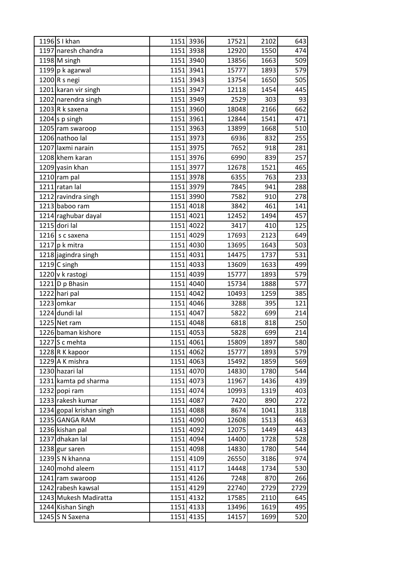| 1196 S I khan            | 1151 3936 | 17521 | 2102 | 643  |
|--------------------------|-----------|-------|------|------|
| 1197 naresh chandra      | 1151 3938 | 12920 | 1550 | 474  |
| 1198 M singh             | 1151 3940 | 13856 | 1663 | 509  |
| 1199 p k agarwal         | 1151 3941 | 15777 | 1893 | 579  |
| $1200$ R s negi          | 1151 3943 | 13754 | 1650 | 505  |
| 1201 karan vir singh     | 1151 3947 | 12118 | 1454 | 445  |
| 1202 narendra singh      | 1151 3949 | 2529  | 303  | 93   |
| $1203$ R k saxena        | 1151 3960 | 18048 | 2166 | 662  |
| 1204 s $p \sin g h$      | 1151 3961 | 12844 | 1541 | 471  |
| 1205 ram swaroop         | 1151 3963 | 13899 | 1668 | 510  |
| 1206 nathoo lal          | 1151 3973 | 6936  | 832  | 255  |
| 1207 laxmi narain        | 1151 3975 | 7652  | 918  | 281  |
| 1208 khem karan          | 1151 3976 | 6990  | 839  | 257  |
| 1209 yasin khan          | 1151 3977 | 12678 | 1521 | 465  |
| 1210 ram pal             | 1151 3978 | 6355  | 763  | 233  |
| 1211 ratan lal           | 1151 3979 | 7845  | 941  | 288  |
| 1212 ravindra singh      | 1151 3990 | 7582  | 910  | 278  |
| 1213 baboo ram           | 1151 4018 | 3842  | 461  | 141  |
| 1214 raghubar dayal      | 1151 4021 | 12452 | 1494 | 457  |
| $1215$ dori lal          | 1151 4022 | 3417  | 410  | 125  |
| 1216 s c saxena          | 1151 4029 | 17693 | 2123 | 649  |
| 1217 $p$ k mitra         | 1151 4030 | 13695 | 1643 | 503  |
| 1218 jagindra singh      | 1151 4031 | 14475 | 1737 | 531  |
| $1219$ C singh           | 1151 4033 | 13609 | 1633 | 499  |
| 1220 v k rastogi         | 1151 4039 | 15777 | 1893 | 579  |
| 1221 D p Bhasin          | 1151 4040 | 15734 | 1888 | 577  |
| 1222 hari pal            | 1151 4042 | 10493 | 1259 | 385  |
| 1223 omkar               | 1151 4046 | 3288  | 395  | 121  |
| 1224 dundi lal           | 1151 4047 | 5822  | 699  | 214  |
| 1225 Net ram             | 1151 4048 | 6818  | 818  | 250  |
| 1226 baman kishore       | 1151 4053 | 5828  | 699  | 214  |
| 1227 $S$ c mehta         | 1151 4061 | 15809 | 1897 | 580  |
| 1228R K kapoor           | 1151 4062 | 15777 | 1893 | 579  |
| 1229 A K mishra          | 1151 4063 | 15492 | 1859 | 569  |
| 1230 hazari lal          | 1151 4070 | 14830 | 1780 | 544  |
| 1231 kamta pd sharma     | 1151 4073 | 11967 | 1436 | 439  |
| 1232 popi ram            | 1151 4074 | 10993 | 1319 | 403  |
| 1233 rakesh kumar        | 1151 4087 | 7420  | 890  | 272  |
| 1234 gopal krishan singh | 1151 4088 | 8674  | 1041 | 318  |
| 1235 GANGA RAM           | 1151 4090 | 12608 | 1513 | 463  |
| 1236 kishan pal          | 1151 4092 | 12075 | 1449 | 443  |
| 1237 dhakan lal          | 1151 4094 | 14400 | 1728 | 528  |
| 1238 gur saren           | 1151 4098 | 14830 | 1780 | 544  |
| 1239 S N khanna          | 1151 4109 | 26550 | 3186 | 974  |
| 1240 mohd aleem          | 1151 4117 | 14448 | 1734 | 530  |
| 1241 ram swaroop         | 1151 4126 | 7248  | 870  | 266  |
| 1242 rabesh kawsal       | 1151 4129 | 22740 | 2729 | 2729 |
| 1243 Mukesh Madiratta    | 1151 4132 | 17585 | 2110 | 645  |
| 1244 Kishan Singh        | 1151 4133 | 13496 | 1619 | 495  |
| 1245 S N Saxena          | 1151 4135 | 14157 | 1699 | 520  |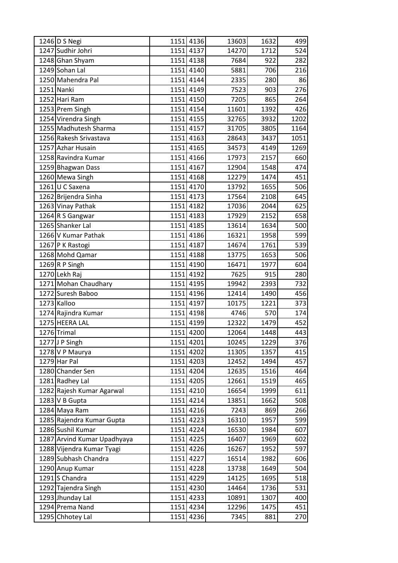| 1246 D S Negi               | 1151 4136 | 13603 | 1632 | 499  |
|-----------------------------|-----------|-------|------|------|
| 1247 Sudhir Johri           | 1151 4137 | 14270 | 1712 | 524  |
| 1248 Ghan Shyam             | 1151 4138 | 7684  | 922  | 282  |
| 1249 Sohan Lal              | 1151 4140 | 5881  | 706  | 216  |
| 1250 Mahendra Pal           | 1151 4144 | 2335  | 280  | 86   |
| 1251 Nanki                  | 1151 4149 | 7523  | 903  | 276  |
| 1252 Hari Ram               | 1151 4150 | 7205  | 865  | 264  |
| 1253 Prem Singh             | 1151 4154 | 11601 | 1392 | 426  |
| 1254 Virendra Singh         | 1151 4155 | 32765 | 3932 | 1202 |
| 1255 Madhutesh Sharma       | 1151 4157 | 31705 | 3805 | 1164 |
| 1256 Rakesh Srivastava      | 1151 4163 | 28643 | 3437 | 1051 |
| 1257 Azhar Husain           | 1151 4165 | 34573 | 4149 | 1269 |
| 1258 Ravindra Kumar         | 1151 4166 | 17973 | 2157 | 660  |
| 1259 Bhagwan Dass           | 1151 4167 | 12904 | 1548 | 474  |
| 1260 Mewa Singh             | 1151 4168 | 12279 | 1474 | 451  |
| 1261 U C Saxena             | 1151 4170 | 13792 | 1655 | 506  |
| 1262 Brijendra Sinha        | 1151 4173 | 17564 | 2108 | 645  |
| 1263 Vinay Pathak           | 1151 4182 | 17036 | 2044 | 625  |
| 1264 R S Gangwar            | 1151 4183 | 17929 | 2152 | 658  |
| 1265 Shanker Lal            | 1151 4185 | 13614 | 1634 | 500  |
| 1266 V Kumar Pathak         | 1151 4186 | 16321 | 1958 | 599  |
| 1267 P K Rastogi            | 1151 4187 | 14674 | 1761 | 539  |
| 1268 Mohd Qamar             | 1151 4188 | 13775 | 1653 | 506  |
| 1269R P Singh               | 1151 4190 | 16471 | 1977 | 604  |
| 1270 Lekh Raj               | 1151 4192 | 7625  | 915  | 280  |
| 1271 Mohan Chaudhary        | 1151 4195 | 19942 | 2393 | 732  |
| 1272 Suresh Baboo           | 1151 4196 | 12414 | 1490 | 456  |
| 1273 Kalloo                 | 1151 4197 | 10175 | 1221 | 373  |
| 1274 Rajindra Kumar         | 1151 4198 | 4746  | 570  | 174  |
| 1275 HEERA LAL              | 1151 4199 | 12322 | 1479 | 452  |
| 1276 Trimal                 | 1151 4200 | 12064 | 1448 | 443  |
| 1277 J P Singh              | 1151 4201 | 10245 | 1229 | 376  |
| 1278 V P Maurya             | 1151 4202 | 11305 | 1357 | 415  |
| 1279 Har Pal                | 1151 4203 | 12452 | 1494 | 457  |
| 1280 Chander Sen            | 1151 4204 | 12635 | 1516 | 464  |
| 1281 Radhey Lal             | 1151 4205 | 12661 | 1519 | 465  |
| 1282 Rajesh Kumar Agarwal   | 1151 4210 | 16654 | 1999 | 611  |
| $1283$ V B Gupta            | 1151 4214 | 13851 | 1662 | 508  |
| 1284 Maya Ram               | 1151 4216 | 7243  | 869  | 266  |
| 1285 Rajendra Kumar Gupta   | 1151 4223 | 16310 | 1957 | 599  |
| 1286 Sushil Kumar           | 1151 4224 | 16530 | 1984 | 607  |
| 1287 Arvind Kumar Upadhyaya | 1151 4225 | 16407 | 1969 | 602  |
| 1288 Vijendra Kumar Tyagi   | 1151 4226 | 16267 | 1952 | 597  |
| 1289 Subhash Chandra        | 1151 4227 | 16514 | 1982 | 606  |
| 1290 Anup Kumar             | 1151 4228 | 13738 | 1649 | 504  |
| 1291 S Chandra              | 1151 4229 | 14125 | 1695 | 518  |
| 1292 Tajendra Singh         | 1151 4230 | 14464 | 1736 | 531  |
| 1293 Jhunday Lal            | 1151 4233 | 10891 | 1307 | 400  |
| 1294 Prema Nand             | 1151 4234 | 12296 | 1475 | 451  |
| 1295 Chhotey Lal            | 1151 4236 | 7345  | 881  | 270  |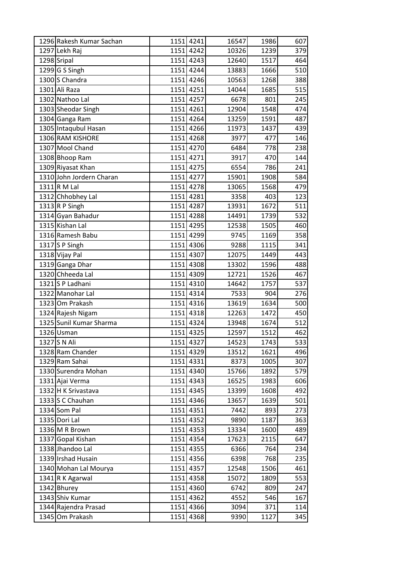| 1296 Rakesh Kumar Sachan | 1151 4241 | 16547 | 1986 | 607 |
|--------------------------|-----------|-------|------|-----|
| 1297 Lekh Raj            | 1151 4242 | 10326 | 1239 | 379 |
| 1298 Sripal              | 1151 4243 | 12640 | 1517 | 464 |
| 1299 G S Singh           | 1151 4244 | 13883 | 1666 | 510 |
| 1300 S Chandra           | 1151 4246 | 10563 | 1268 | 388 |
| 1301 Ali Raza            | 1151 4251 | 14044 | 1685 | 515 |
| 1302 Nathoo Lal          | 1151 4257 | 6678  | 801  | 245 |
| 1303 Sheodar Singh       | 1151 4261 | 12904 | 1548 | 474 |
| 1304 Ganga Ram           | 1151 4264 | 13259 | 1591 | 487 |
| 1305 Intaqubul Hasan     | 1151 4266 | 11973 | 1437 | 439 |
| 1306 RAM KISHORE         | 1151 4268 | 3977  | 477  | 146 |
| 1307 Mool Chand          | 1151 4270 | 6484  | 778  | 238 |
| 1308 Bhoop Ram           | 1151 4271 | 3917  | 470  | 144 |
| 1309 Riyasat Khan        | 1151 4275 | 6554  | 786  | 241 |
| 1310 John Jordern Charan | 1151 4277 | 15901 | 1908 | 584 |
| $1311$ R M Lal           | 1151 4278 | 13065 | 1568 | 479 |
| 1312 Chhobhey Lal        | 1151 4281 | 3358  | 403  | 123 |
| 1313 R P Singh           | 1151 4287 | 13931 | 1672 | 511 |
| 1314 Gyan Bahadur        | 1151 4288 | 14491 | 1739 | 532 |
| 1315 Kishan Lal          | 1151 4295 | 12538 | 1505 | 460 |
| 1316 Ramesh Babu         | 1151 4299 | 9745  | 1169 | 358 |
| 1317 S P Singh           | 1151 4306 | 9288  | 1115 | 341 |
| 1318 Vijay Pal           | 1151 4307 | 12075 | 1449 | 443 |
| 1319 Ganga Dhar          | 1151 4308 | 13302 | 1596 | 488 |
| 1320 Chheeda Lal         | 1151 4309 | 12721 | 1526 | 467 |
| 1321 S P Ladhani         | 1151 4310 | 14642 | 1757 | 537 |
| 1322 Manohar Lal         | 1151 4314 | 7533  | 904  | 276 |
| 1323 Om Prakash          | 1151 4316 | 13619 | 1634 | 500 |
| 1324 Rajesh Nigam        | 1151 4318 | 12263 | 1472 | 450 |
| 1325 Sunil Kumar Sharma  | 1151 4324 | 13948 | 1674 | 512 |
| 1326 Usman               | 1151 4325 | 12597 | 1512 | 462 |
| 1327 S N Ali             | 1151 4327 | 14523 | 1743 | 533 |
| 1328 Ram Chander         | 1151 4329 | 13512 | 1621 | 496 |
| 1329 Ram Sahai           | 1151 4331 | 8373  | 1005 | 307 |
| 1330 Surendra Mohan      | 1151 4340 | 15766 | 1892 | 579 |
| 1331 Ajai Verma          | 1151 4343 | 16525 | 1983 | 606 |
| 1332 H K Srivastava      | 1151 4345 | 13399 | 1608 | 492 |
| 1333 S C Chauhan         | 1151 4346 | 13657 | 1639 | 501 |
| 1334 Som Pal             | 1151 4351 | 7442  | 893  | 273 |
| 1335 Dori Lal            | 1151 4352 | 9890  | 1187 | 363 |
| 1336 M R Brown           | 1151 4353 | 13334 | 1600 | 489 |
| 1337 Gopal Kishan        | 1151 4354 | 17623 | 2115 | 647 |
| 1338 Jhandoo Lal         | 1151 4355 | 6366  | 764  | 234 |
| 1339 Irshad Husain       | 1151 4356 | 6398  | 768  | 235 |
| 1340 Mohan Lal Mourya    | 1151 4357 | 12548 | 1506 | 461 |
| 1341 R K Agarwal         | 1151 4358 | 15072 | 1809 | 553 |
| 1342 Bhurey              | 1151 4360 | 6742  | 809  | 247 |
| 1343 Shiv Kumar          | 1151 4362 | 4552  | 546  | 167 |
| 1344 Rajendra Prasad     | 1151 4366 | 3094  | 371  | 114 |
| 1345 Om Prakash          | 1151 4368 | 9390  | 1127 | 345 |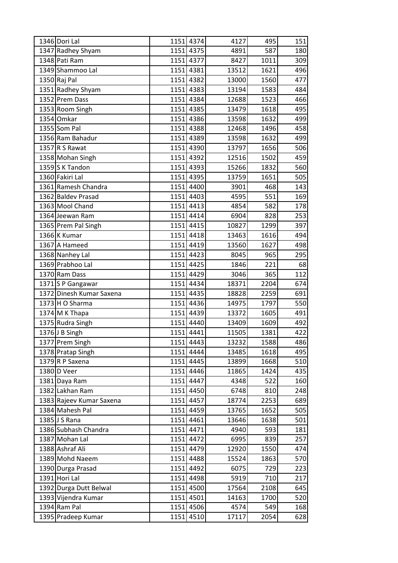| 1346 Dori Lal            | 1151 4374 | 4127  | 495  | 151              |
|--------------------------|-----------|-------|------|------------------|
| 1347 Radhey Shyam        | 1151 4375 | 4891  | 587  | 180              |
| 1348 Pati Ram            | 1151 4377 | 8427  | 1011 | 309              |
| 1349 Shammoo Lal         | 1151 4381 | 13512 | 1621 | 496              |
| 1350 Raj Pal             | 1151 4382 | 13000 | 1560 | 477              |
| 1351 Radhey Shyam        | 1151 4383 | 13194 | 1583 | 484              |
| 1352 Prem Dass           | 1151 4384 | 12688 | 1523 | 466              |
| 1353 Room Singh          | 1151 4385 | 13479 | 1618 | 495              |
| 1354 Omkar               | 1151 4386 | 13598 | 1632 | 499              |
| 1355 Som Pal             | 1151 4388 | 12468 | 1496 | 458              |
| 1356 Ram Bahadur         | 1151 4389 | 13598 | 1632 | 499              |
| 1357 R S Rawat           | 1151 4390 | 13797 | 1656 | 506              |
| 1358 Mohan Singh         | 1151 4392 | 12516 | 1502 | 459              |
| 1359 $S$ K Tandon        | 1151 4393 | 15266 | 1832 | 560              |
| 1360 Fakiri Lal          | 1151 4395 | 13759 | 1651 | 505              |
| 1361 Ramesh Chandra      | 1151 4400 | 3901  | 468  | 143              |
| 1362 Baldev Prasad       | 1151 4403 | 4595  | 551  | 169              |
| 1363 Mool Chand          | 1151 4413 | 4854  | 582  | 178              |
| 1364 Jeewan Ram          | 1151 4414 | 6904  | 828  | 253              |
| 1365 Prem Pal Singh      | 1151 4415 | 10827 | 1299 | 397              |
| 1366 K Kumar             | 1151 4418 | 13463 | 1616 | 494              |
| 1367 A Hameed            | 1151 4419 | 13560 | 1627 | 498              |
| 1368 Nanhey Lal          | 1151 4423 | 8045  | 965  | 295              |
| 1369 Prabhoo Lal         | 1151 4425 | 1846  | 221  | 68               |
| 1370 Ram Dass            | 1151 4429 | 3046  | 365  | 112              |
| 1371 S P Gangawar        | 1151 4434 | 18371 | 2204 | 674              |
| 1372 Dinesh Kumar Saxena | 1151 4435 | 18828 | 2259 | 691              |
| $1373$ H O Sharma        | 1151 4436 | 14975 | 1797 | 550              |
| $1374$ M K Thapa         | 1151 4439 | 13372 | 1605 | 491              |
| 1375 Rudra Singh         | 1151 4440 | 13409 | 1609 | 492              |
| $1376$ J B Singh         | 1151 4441 | 11505 | 1381 | $\overline{422}$ |
| 1377 Prem Singh          | 1151 4443 | 13232 | 1588 | 486              |
| 1378 Pratap Singh        | 1151 4444 | 13485 | 1618 | 495              |
| 1379 R P Saxena          | 1151 4445 | 13899 | 1668 | 510              |
| 1380 D Veer              | 1151 4446 | 11865 | 1424 | 435              |
| 1381 Daya Ram            | 1151 4447 | 4348  | 522  | 160              |
| 1382 Lakhan Ram          | 1151 4450 | 6748  | 810  | 248              |
| 1383 Rajeev Kumar Saxena | 1151 4457 | 18774 | 2253 | 689              |
| 1384 Mahesh Pal          | 1151 4459 | 13765 | 1652 | 505              |
| 1385 J S Rana            | 1151 4461 | 13646 | 1638 | 501              |
| 1386 Subhash Chandra     | 1151 4471 | 4940  | 593  | 181              |
| 1387 Mohan Lal           | 1151 4472 | 6995  | 839  | 257              |
| 1388 Ashraf Ali          | 1151 4479 | 12920 | 1550 | 474              |
| 1389 Mohd Naeem          | 1151 4488 | 15524 | 1863 | 570              |
| 1390 Durga Prasad        | 1151 4492 | 6075  | 729  | 223              |
| 1391 Hori Lal            | 1151 4498 | 5919  | 710  | 217              |
| 1392 Durga Dutt Belwal   | 1151 4500 | 17564 | 2108 | 645              |
| 1393 Vijendra Kumar      | 1151 4501 | 14163 | 1700 | 520              |
| 1394 Ram Pal             | 1151 4506 | 4574  | 549  | 168              |
| 1395 Pradeep Kumar       | 1151 4510 | 17117 | 2054 | 628              |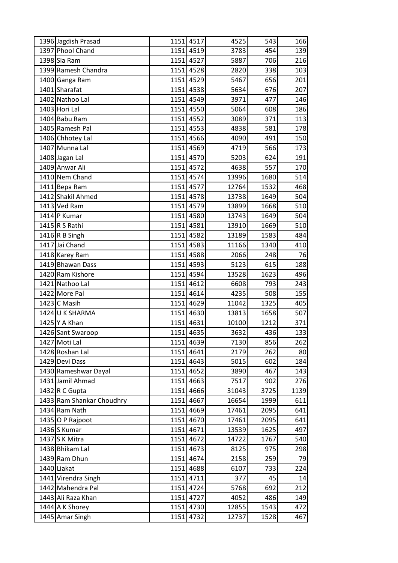| 1396 Jagdish Prasad       | 1151 4517 | 4525  | 543  | 166  |
|---------------------------|-----------|-------|------|------|
| 1397 Phool Chand          | 1151 4519 | 3783  | 454  | 139  |
| 1398 Sia Ram              | 1151 4527 | 5887  | 706  | 216  |
| 1399 Ramesh Chandra       | 1151 4528 | 2820  | 338  | 103  |
| 1400 Ganga Ram            | 1151 4529 | 5467  | 656  | 201  |
| 1401 Sharafat             | 1151 4538 | 5634  | 676  | 207  |
| 1402 Nathoo Lal           | 1151 4549 | 3971  | 477  | 146  |
| 1403 Hori Lal             | 1151 4550 | 5064  | 608  | 186  |
| 1404 Babu Ram             | 1151 4552 | 3089  | 371  | 113  |
| 1405 Ramesh Pal           | 1151 4553 | 4838  | 581  | 178  |
| 1406 Chhotey Lal          | 1151 4566 | 4090  | 491  | 150  |
| 1407 Munna Lal            | 1151 4569 | 4719  | 566  | 173  |
| 1408 Jagan Lal            | 1151 4570 | 5203  | 624  | 191  |
| 1409 Anwar Ali            | 1151 4572 | 4638  | 557  | 170  |
| 1410 Nem Chand            | 1151 4574 | 13996 | 1680 | 514  |
| 1411 Bepa Ram             | 1151 4577 | 12764 | 1532 | 468  |
| 1412 Shakil Ahmed         | 1151 4578 | 13738 | 1649 | 504  |
| 1413 Ved Ram              | 1151 4579 | 13899 | 1668 | 510  |
| 1414 P Kumar              | 1151 4580 | 13743 | 1649 | 504  |
| 1415 R S Rathi            | 1151 4581 | 13910 | 1669 | 510  |
| 1416 R B Singh            | 1151 4582 | 13189 | 1583 | 484  |
| 1417 Jai Chand            | 1151 4583 | 11166 | 1340 | 410  |
| 1418 Karey Ram            | 1151 4588 | 2066  | 248  | 76   |
| 1419 Bhawan Dass          | 1151 4593 | 5123  | 615  | 188  |
| 1420 Ram Kishore          | 1151 4594 | 13528 | 1623 | 496  |
| 1421 Nathoo Lal           | 1151 4612 | 6608  | 793  | 243  |
| 1422 More Pal             | 1151 4614 | 4235  | 508  | 155  |
| $1423$ C Masih            | 1151 4629 | 11042 | 1325 | 405  |
| 1424 U K SHARMA           | 1151 4630 | 13813 | 1658 | 507  |
| 1425 Y A Khan             | 1151 4631 | 10100 | 1212 | 371  |
| 1426 Sant Swaroop         | 1151 4635 | 3632  | 436  | 133  |
| 1427 Moti Lal             | 1151 4639 | 7130  | 856  | 262  |
| 1428 Roshan Lal           | 1151 4641 | 2179  | 262  | 80   |
| 1429 Devi Dass            | 1151 4643 | 5015  | 602  | 184  |
| 1430 Rameshwar Dayal      | 1151 4652 | 3890  | 467  | 143  |
| 1431 Jamil Ahmad          | 1151 4663 | 7517  | 902  | 276  |
| 1432 R C Gupta            | 1151 4666 | 31043 | 3725 | 1139 |
| 1433 Ram Shankar Choudhry | 1151 4667 | 16654 | 1999 | 611  |
| 1434 Ram Nath             | 1151 4669 | 17461 | 2095 | 641  |
| 1435 O P Rajpoot          | 1151 4670 | 17461 | 2095 | 641  |
| 1436 S Kumar              | 1151 4671 | 13539 | 1625 | 497  |
| 1437 S K Mitra            | 1151 4672 | 14722 | 1767 | 540  |
| 1438 Bhikam Lal           | 1151 4673 | 8125  | 975  | 298  |
| 1439 Ram Dhun             | 1151 4674 | 2158  | 259  | 79   |
| 1440 Liakat               | 1151 4688 | 6107  | 733  | 224  |
| 1441 Virendra Singh       | 1151 4711 | 377   | 45   | 14   |
| 1442 Mahendra Pal         | 1151 4724 | 5768  | 692  | 212  |
| 1443 Ali Raza Khan        | 1151 4727 | 4052  | 486  | 149  |
| 1444 A K Shorey           | 1151 4730 | 12855 | 1543 | 472  |
| 1445 Amar Singh           | 1151 4732 | 12737 | 1528 | 467  |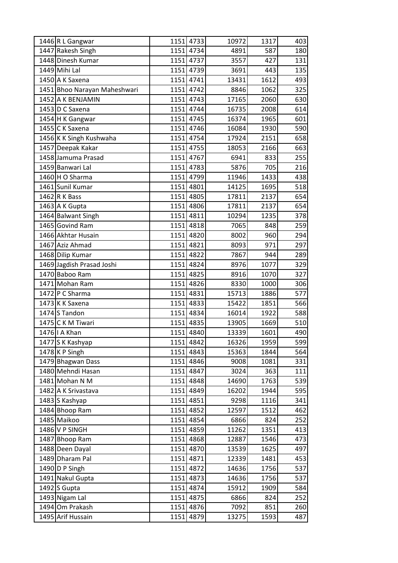| 1446 R L Gangwar             | 1151 4733 | 10972 | 1317 | 403 |
|------------------------------|-----------|-------|------|-----|
| 1447 Rakesh Singh            | 1151 4734 | 4891  | 587  | 180 |
| 1448 Dinesh Kumar            | 1151 4737 | 3557  | 427  | 131 |
| 1449 Mihi Lal                | 1151 4739 | 3691  | 443  | 135 |
| 1450 A K Saxena              | 1151 4741 | 13431 | 1612 | 493 |
| 1451 Bhoo Narayan Maheshwari | 1151 4742 | 8846  | 1062 | 325 |
| 1452 A K BENJAMIN            | 1151 4743 | 17165 | 2060 | 630 |
| 1453 D C Saxena              | 1151 4744 | 16735 | 2008 | 614 |
| 1454 H K Gangwar             | 1151 4745 | 16374 | 1965 | 601 |
| 1455 C K Saxena              | 1151 4746 | 16084 | 1930 | 590 |
| 1456 K K Singh Kushwaha      | 1151 4754 | 17924 | 2151 | 658 |
| 1457 Deepak Kakar            | 1151 4755 | 18053 | 2166 | 663 |
| 1458 Jamuma Prasad           | 1151 4767 | 6941  | 833  | 255 |
| 1459 Banwari Lal             | 1151 4783 | 5876  | 705  | 216 |
| 1460 H O Sharma              | 1151 4799 | 11946 | 1433 | 438 |
| 1461 Sunil Kumar             | 1151 4801 | 14125 | 1695 | 518 |
| $1462$ R K Bass              | 1151 4805 | 17811 | 2137 | 654 |
| 1463 A K Gupta               | 1151 4806 | 17811 | 2137 | 654 |
| 1464 Balwant Singh           | 1151 4811 | 10294 | 1235 | 378 |
| 1465 Govind Ram              | 1151 4818 | 7065  | 848  | 259 |
| 1466 Akhtar Husain           | 1151 4820 | 8002  | 960  | 294 |
| 1467 Aziz Ahmad              | 1151 4821 | 8093  | 971  | 297 |
| 1468 Dilip Kumar             | 1151 4822 | 7867  | 944  | 289 |
| 1469 Jagdish Prasad Joshi    | 1151 4824 | 8976  | 1077 | 329 |
| 1470 Baboo Ram               | 1151 4825 | 8916  | 1070 | 327 |
| 1471 Mohan Ram               | 1151 4826 | 8330  | 1000 | 306 |
| 1472 P C Sharma              | 1151 4831 | 15713 | 1886 | 577 |
| 1473 K K Saxena              | 1151 4833 | 15422 | 1851 | 566 |
| 1474 S Tandon                | 1151 4834 | 16014 | 1922 | 588 |
| 1475 C K M Tiwari            | 1151 4835 | 13905 | 1669 | 510 |
| 1476   A Khan                | 1151 4840 | 13339 | 1601 | 490 |
| 1477 S K Kashyap             | 1151 4842 | 16326 | 1959 | 599 |
| 1478 K P Singh               | 1151 4843 | 15363 | 1844 | 564 |
| 1479 Bhagwan Dass            | 1151 4846 | 9008  | 1081 | 331 |
| 1480 Mehndi Hasan            | 1151 4847 | 3024  | 363  | 111 |
| 1481 Mohan N M               | 1151 4848 | 14690 | 1763 | 539 |
| 1482 A K Srivastava          | 1151 4849 | 16202 | 1944 | 595 |
| 1483 S Kashyap               | 1151 4851 | 9298  | 1116 | 341 |
| 1484 Bhoop Ram               | 1151 4852 | 12597 | 1512 | 462 |
| 1485 Maikoo                  | 1151 4854 | 6866  | 824  | 252 |
| 1486 V P SINGH               | 1151 4859 | 11262 | 1351 | 413 |
| 1487 Bhoop Ram               | 1151 4868 | 12887 | 1546 | 473 |
| 1488 Deen Dayal              | 1151 4870 | 13539 | 1625 | 497 |
| 1489 Dharam Pal              | 1151 4871 | 12339 | 1481 | 453 |
| 1490 D P Singh               | 1151 4872 | 14636 | 1756 | 537 |
| 1491 Nakul Gupta             | 1151 4873 | 14636 | 1756 | 537 |
| $1492$ S Gupta               | 1151 4874 | 15912 | 1909 | 584 |
| 1493 Nigam Lal               | 1151 4875 | 6866  | 824  | 252 |
| 1494 Om Prakash              | 1151 4876 | 7092  | 851  | 260 |
| 1495 Arif Hussain            | 1151 4879 | 13275 | 1593 | 487 |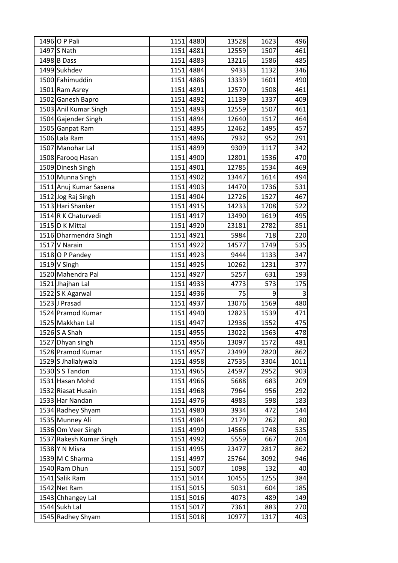| 1496 O P Pali           |      | 1151 4880 | 13528 | 1623 | 496  |
|-------------------------|------|-----------|-------|------|------|
| 1497 S Nath             |      | 1151 4881 | 12559 | 1507 | 461  |
| 1498 B Dass             |      | 1151 4883 | 13216 | 1586 | 485  |
| 1499 Sukhdev            |      | 1151 4884 | 9433  | 1132 | 346  |
| 1500 Fahimuddin         |      | 1151 4886 | 13339 | 1601 | 490  |
| 1501 Ram Asrey          |      | 1151 4891 | 12570 | 1508 | 461  |
| 1502 Ganesh Bapro       |      | 1151 4892 | 11139 | 1337 | 409  |
| 1503 Anil Kumar Singh   |      | 1151 4893 | 12559 | 1507 | 461  |
| 1504 Gajender Singh     |      | 1151 4894 | 12640 | 1517 | 464  |
| 1505 Ganpat Ram         |      | 1151 4895 | 12462 | 1495 | 457  |
| 1506 Lala Ram           |      | 1151 4896 | 7932  | 952  | 291  |
| 1507 Manohar Lal        |      | 1151 4899 | 9309  | 1117 | 342  |
| 1508 Farooq Hasan       |      | 1151 4900 | 12801 | 1536 | 470  |
| 1509 Dinesh Singh       |      | 1151 4901 | 12785 | 1534 | 469  |
| 1510 Munna Singh        |      | 1151 4902 | 13447 | 1614 | 494  |
| 1511 Anuj Kumar Saxena  |      | 1151 4903 | 14470 | 1736 | 531  |
| 1512 Jog Raj Singh      |      | 1151 4904 | 12726 | 1527 | 467  |
| 1513 Hari Shanker       |      | 1151 4915 | 14233 | 1708 | 522  |
| 1514 R K Chaturvedi     |      | 1151 4917 | 13490 | 1619 | 495  |
| 1515 D K Mittal         |      | 1151 4920 | 23181 | 2782 | 851  |
| 1516 Dharmendra Singh   |      | 1151 4921 | 5984  | 718  | 220  |
| 1517 V Narain           |      | 1151 4922 | 14577 | 1749 | 535  |
| 1518 O P Pandey         |      | 1151 4923 | 9444  | 1133 | 347  |
| $1519$ V Singh          |      | 1151 4925 | 10262 | 1231 | 377  |
| 1520 Mahendra Pal       |      | 1151 4927 | 5257  | 631  | 193  |
| 1521 Jhajhan Lal        |      | 1151 4933 | 4773  | 573  | 175  |
| 1522 S K Agarwal        |      | 1151 4936 | 75    | 9    | 3    |
| 1523 J Prasad           |      | 1151 4937 | 13076 | 1569 | 480  |
| 1524 Pramod Kumar       |      | 1151 4940 | 12823 | 1539 | 471  |
| 1525 Makkhan Lal        |      | 1151 4947 | 12936 | 1552 | 475  |
| $1526$ S A Shah         |      | 1151 4955 | 13022 | 1563 | 478  |
| 1527 Dhyan singh        |      | 1151 4956 | 13097 | 1572 | 481  |
| 1528 Pramod Kumar       |      | 1151 4957 | 23499 | 2820 | 862  |
| 1529 S Jhalialywala     |      | 1151 4958 | 27535 | 3304 | 1011 |
| 1530 $S$ S Tandon       |      | 1151 4965 | 24597 | 2952 | 903  |
| 1531 Hasan Mohd         |      | 1151 4966 | 5688  | 683  | 209  |
| 1532 Riasat Husain      |      | 1151 4968 | 7964  | 956  | 292  |
| 1533 Har Nandan         |      | 1151 4976 | 4983  | 598  | 183  |
| 1534 Radhey Shyam       |      | 1151 4980 | 3934  | 472  | 144  |
| 1535 Munney Ali         | 1151 | 4984      | 2179  | 262  | 80   |
| 1536 Om Veer Singh      |      | 1151 4990 | 14566 | 1748 | 535  |
| 1537 Rakesh Kumar Singh |      | 1151 4992 | 5559  | 667  | 204  |
| 1538 Y N Misra          |      | 1151 4995 | 23477 | 2817 | 862  |
| 1539 M C Sharma         |      | 1151 4997 | 25764 | 3092 | 946  |
| 1540 Ram Dhun           |      | 1151 5007 | 1098  | 132  | 40   |
| 1541 Salik Ram          |      | 1151 5014 | 10455 | 1255 | 384  |
| 1542 Net Ram            |      | 1151 5015 | 5031  | 604  | 185  |
| 1543 Chhangey Lal       |      | 1151 5016 | 4073  | 489  | 149  |
| 1544 Sukh Lal           |      | 1151 5017 | 7361  | 883  | 270  |
| 1545 Radhey Shyam       | 1151 | 5018      | 10977 | 1317 | 403  |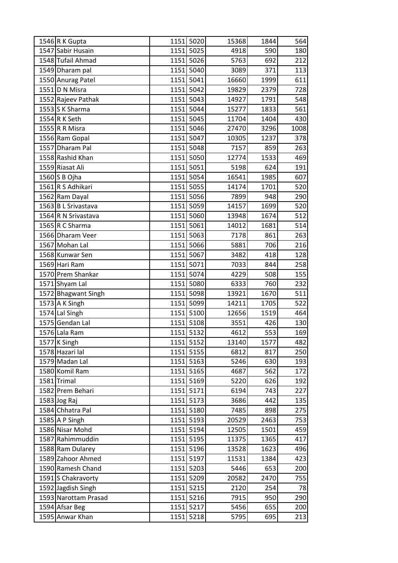| 1546 R K Gupta       |      | 1151 5020 | 15368 | 1844 | 564  |
|----------------------|------|-----------|-------|------|------|
| 1547 Sabir Husain    |      | 1151 5025 | 4918  | 590  | 180  |
| 1548 Tufail Ahmad    |      | 1151 5026 | 5763  | 692  | 212  |
| 1549 Dharam pal      |      | 1151 5040 | 3089  | 371  | 113  |
| 1550 Anurag Patel    |      | 1151 5041 | 16660 | 1999 | 611  |
| 1551 D N Misra       |      | 1151 5042 | 19829 | 2379 | 728  |
| 1552 Rajeev Pathak   |      | 1151 5043 | 14927 | 1791 | 548  |
| 1553 S K Sharma      |      | 1151 5044 | 15277 | 1833 | 561  |
| 1554 R K Seth        |      | 1151 5045 | 11704 | 1404 | 430  |
| 1555 R R Misra       |      | 1151 5046 | 27470 | 3296 | 1008 |
| 1556 Ram Gopal       |      | 1151 5047 | 10305 | 1237 | 378  |
| 1557 Dharam Pal      |      | 1151 5048 | 7157  | 859  | 263  |
| 1558 Rashid Khan     |      | 1151 5050 | 12774 | 1533 | 469  |
| 1559 Riasat Ali      |      | 1151 5051 | 5198  | 624  | 191  |
| 1560 S B Ojha        |      | 1151 5054 | 16541 | 1985 | 607  |
| 1561 R S Adhikari    |      | 1151 5055 | 14174 | 1701 | 520  |
| 1562 Ram Dayal       | 1151 | 5056      | 7899  | 948  | 290  |
| 1563 B L Srivastava  |      | 1151 5059 | 14157 | 1699 | 520  |
| 1564 R N Srivastava  |      | 1151 5060 | 13948 | 1674 | 512  |
| 1565 R C Sharma      | 1151 | 5061      | 14012 | 1681 | 514  |
| 1566 Dharam Veer     |      | 1151 5063 | 7178  | 861  | 263  |
| 1567 Mohan Lal       |      | 1151 5066 | 5881  | 706  | 216  |
| 1568 Kunwar Sen      |      | 1151 5067 | 3482  | 418  | 128  |
| 1569 Hari Ram        | 1151 | 5071      | 7033  | 844  | 258  |
| 1570 Prem Shankar    |      | 1151 5074 | 4229  | 508  | 155  |
| 1571 Shyam Lal       |      | 1151 5080 | 6333  | 760  | 232  |
| 1572 Bhagwant Singh  | 1151 | 5098      | 13921 | 1670 | 511  |
| 1573 A K Singh       |      | 1151 5099 | 14211 | 1705 | 522  |
| 1574 Lal Singh       |      | 1151 5100 | 12656 | 1519 | 464  |
| 1575 Gendan Lal      |      | 1151 5108 | 3551  | 426  | 130  |
| 1576 Lala Ram        |      | 1151 5132 | 4612  | 553  | 169  |
| 1577 K Singh         |      | 1151 5152 | 13140 | 1577 | 482  |
| 1578 Hazari lal      |      | 1151 5155 | 6812  | 817  | 250  |
| 1579 Madan Lal       |      | 1151 5163 | 5246  | 630  | 193  |
| 1580 Komil Ram       |      | 1151 5165 | 4687  | 562  | 172  |
| 1581 Trimal          |      | 1151 5169 | 5220  | 626  | 192  |
| 1582 Prem Behari     |      | 1151 5171 | 6194  | 743  | 227  |
| $1583$ Jog Raj       |      | 1151 5173 | 3686  | 442  | 135  |
| 1584 Chhatra Pal     |      | 1151 5180 | 7485  | 898  | 275  |
| 1585 A P Singh       |      | 1151 5193 | 20529 | 2463 | 753  |
| 1586 Nisar Mohd      |      | 1151 5194 | 12505 | 1501 | 459  |
| 1587 Rahimmuddin     |      | 1151 5195 | 11375 | 1365 | 417  |
| 1588 Ram Dularey     |      | 1151 5196 | 13528 | 1623 | 496  |
| 1589 Zahoor Ahmed    |      | 1151 5197 | 11531 | 1384 | 423  |
| 1590 Ramesh Chand    |      | 1151 5203 | 5446  | 653  | 200  |
| 1591 S Chakravorty   |      | 1151 5209 | 20582 | 2470 | 755  |
| 1592 Jagdish Singh   |      | 1151 5215 | 2120  | 254  | 78   |
| 1593 Narottam Prasad |      | 1151 5216 | 7915  | 950  | 290  |
| 1594 Afsar Beg       |      | 1151 5217 | 5456  | 655  | 200  |
| 1595 Anwar Khan      |      | 1151 5218 | 5795  | 695  | 213  |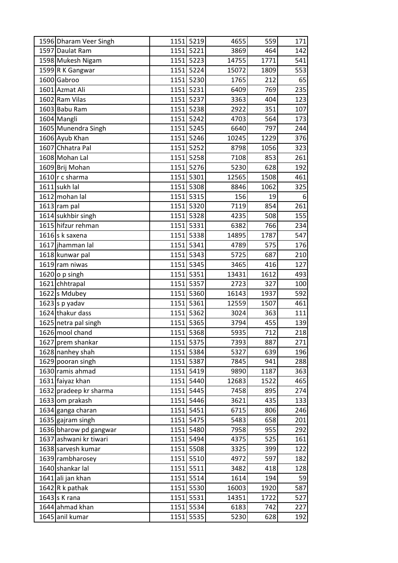| 1596 Dharam Veer Singh |      | 1151 5219 | 4655  | 559  | 171 |
|------------------------|------|-----------|-------|------|-----|
| 1597 Daulat Ram        |      | 1151 5221 | 3869  | 464  | 142 |
| 1598 Mukesh Nigam      |      | 1151 5223 | 14755 | 1771 | 541 |
| 1599 R K Gangwar       |      | 1151 5224 | 15072 | 1809 | 553 |
| 1600 Gabroo            |      | 1151 5230 | 1765  | 212  | 65  |
| 1601 Azmat Ali         |      | 1151 5231 | 6409  | 769  | 235 |
| 1602 Ram Vilas         |      | 1151 5237 | 3363  | 404  | 123 |
| 1603 Babu Ram          |      | 1151 5238 | 2922  | 351  | 107 |
| 1604 Mangli            |      | 1151 5242 | 4703  | 564  | 173 |
| 1605 Munendra Singh    |      | 1151 5245 | 6640  | 797  | 244 |
| 1606 Ayub Khan         |      | 1151 5246 | 10245 | 1229 | 376 |
| 1607 Chhatra Pal       |      | 1151 5252 | 8798  | 1056 | 323 |
| 1608 Mohan Lal         | 1151 | 5258      | 7108  | 853  | 261 |
| 1609 Brij Mohan        |      | 1151 5276 | 5230  | 628  | 192 |
| 1610 r c sharma        |      | 1151 5301 | 12565 | 1508 | 461 |
| 1611 sukh lal          |      | 1151 5308 | 8846  | 1062 | 325 |
| 1612 mohan lal         |      | 1151 5315 | 156   | 19   | 6   |
| 1613 ram pal           |      | 1151 5320 | 7119  | 854  | 261 |
| 1614 sukhbir singh     |      | 1151 5328 | 4235  | 508  | 155 |
| 1615 hifzur rehman     |      | 1151 5331 | 6382  | 766  | 234 |
| $1616$ s k saxena      |      | 1151 5338 | 14895 | 1787 | 547 |
| 1617 jhamman lal       |      | 1151 5341 | 4789  | 575  | 176 |
| 1618 kunwar pal        |      | 1151 5343 | 5725  | 687  | 210 |
| 1619 ram niwas         |      | 1151 5345 | 3465  | 416  | 127 |
| 1620 o p singh         |      | 1151 5351 | 13431 | 1612 | 493 |
| 1621 chhtrapal         |      | 1151 5357 | 2723  | 327  | 100 |
| 1622 s Mdubey          |      | 1151 5360 | 16143 | 1937 | 592 |
| $1623$ s p yadav       |      | 1151 5361 | 12559 | 1507 | 461 |
| 1624 thakur dass       |      | 1151 5362 | 3024  | 363  | 111 |
| 1625 netra pal singh   |      | 1151 5365 | 3794  | 455  | 139 |
| 1626 mool chand        |      | 1151 5368 | 5935  | 712  | 218 |
| 1627 prem shankar      |      | 1151 5375 | 7393  | 887  | 271 |
| 1628 nanhey shah       |      | 1151 5384 | 5327  | 639  | 196 |
| 1629 pooran singh      |      | 1151 5387 | 7845  | 941  | 288 |
| 1630 ramis ahmad       |      | 1151 5419 | 9890  | 1187 | 363 |
| 1631 faiyaz khan       |      | 1151 5440 | 12683 | 1522 | 465 |
| 1632 pradeep kr sharma |      | 1151 5445 | 7458  | 895  | 274 |
| 1633 om prakash        |      | 1151 5446 | 3621  | 435  | 133 |
| 1634 ganga charan      |      | 1151 5451 | 6715  | 806  | 246 |
| 1635 gajram singh      |      | 1151 5475 | 5483  | 658  | 201 |
| 1636 bharow pd gangwar |      | 1151 5480 | 7958  | 955  | 292 |
| 1637 ashwani kr tiwari |      | 1151 5494 | 4375  | 525  | 161 |
| 1638 sarvesh kumar     |      | 1151 5508 | 3325  | 399  | 122 |
| 1639 rambharosey       |      | 1151 5510 | 4972  | 597  | 182 |
| 1640 shankar lal       |      | 1151 5511 | 3482  | 418  | 128 |
| 1641 ali jan khan      |      | 1151 5514 | 1614  | 194  | 59  |
| $1642$ R k pathak      |      | 1151 5530 | 16003 | 1920 | 587 |
| 1643 s K rana          |      | 1151 5531 | 14351 | 1722 | 527 |
| 1644 ahmad khan        |      | 1151 5534 | 6183  | 742  | 227 |
| 1645 anil kumar        |      | 1151 5535 | 5230  | 628  | 192 |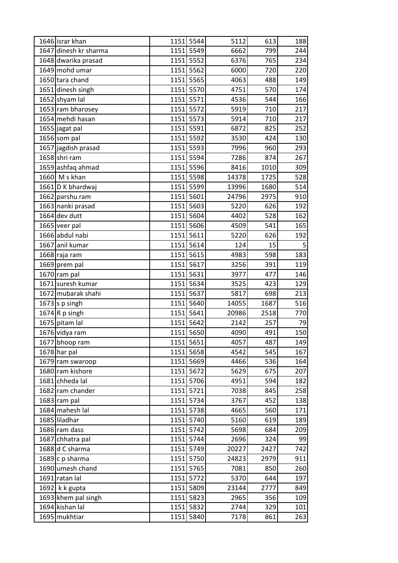| 1646 israr khan       |      | 1151 5544 | 5112  | 613  | 188 |
|-----------------------|------|-----------|-------|------|-----|
| 1647 dinesh kr sharma |      | 1151 5549 | 6662  | 799  | 244 |
| 1648 dwarika prasad   |      | 1151 5552 | 6376  | 765  | 234 |
| 1649 mohd umar        |      | 1151 5562 | 6000  | 720  | 220 |
| 1650 tara chand       | 1151 | 5565      | 4063  | 488  | 149 |
| 1651 dinesh singh     |      | 1151 5570 | 4751  | 570  | 174 |
| 1652 shyam lal        |      | 1151 5571 | 4536  | 544  | 166 |
| 1653 ram bharosey     |      | 1151 5572 | 5919  | 710  | 217 |
| 1654 mehdi hasan      |      | 1151 5573 | 5914  | 710  | 217 |
| 1655 jagat pal        | 1151 | 5591      | 6872  | 825  | 252 |
| 1656 som pal          |      | 1151 5592 | 3530  | 424  | 130 |
| 1657 jagdish prasad   | 1151 | 5593      | 7996  | 960  | 293 |
| 1658 shri ram         | 1151 | 5594      | 7286  | 874  | 267 |
| 1659 ashfaq ahmad     |      | 1151 5596 | 8416  | 1010 | 309 |
| 1660 M s khan         |      | 1151 5598 | 14378 | 1725 | 528 |
| 1661 D K bhardwaj     |      | 1151 5599 | 13996 | 1680 | 514 |
| 1662 parshu ram       |      | 1151 5601 | 24796 | 2975 | 910 |
| 1663 nanki prasad     | 1151 | 5603      | 5220  | 626  | 192 |
| $1664$ dev dutt       |      | 1151 5604 | 4402  | 528  | 162 |
| 1665 veer pal         | 1151 | 5606      | 4509  | 541  | 165 |
| 1666 abdul nabi       |      | 1151 5611 | 5220  | 626  | 192 |
| 1667 anil kumar       |      | 1151 5614 | 124   | 15   | 5   |
| 1668 raja ram         |      | 1151 5615 | 4983  | 598  | 183 |
| 1669 prem pal         | 1151 | 5617      | 3256  | 391  | 119 |
| 1670 ram pal          | 1151 | 5631      | 3977  | 477  | 146 |
| 1671 suresh kumar     |      | 1151 5634 | 3525  | 423  | 129 |
| 1672 mubarak shahi    | 1151 | 5637      | 5817  | 698  | 213 |
| $1673$ s p singh      |      | 1151 5640 | 14055 | 1687 | 516 |
| 1674R p singh         | 1151 | 5641      | 20986 | 2518 | 770 |
| 1675 pitam lal        |      | 1151 5642 | 2142  | 257  | 79  |
| 1676 vidya ram        |      | 1151 5650 | 4090  | 491  | 150 |
| 1677 bhoop ram        |      | 1151 5651 | 4057  | 487  | 149 |
| $1678$ har pal        |      | 1151 5658 | 4542  | 545  | 167 |
| 1679 ram swaroop      |      | 1151 5669 | 4466  | 536  | 164 |
| 1680 ram kishore      |      | 1151 5672 | 5629  | 675  | 207 |
| 1681 chheda lal       |      | 1151 5706 | 4951  | 594  | 182 |
| 1682 ram chander      |      | 1151 5721 | 7038  | 845  | 258 |
| 1683 ram pal          |      | 1151 5734 | 3767  | 452  | 138 |
| 1684 mahesh lal       |      | 1151 5738 | 4665  | 560  | 171 |
| 1685 liladhar         |      | 1151 5740 | 5160  | 619  | 189 |
| 1686 ram dass         |      | 1151 5742 | 5698  | 684  | 209 |
| 1687 chhatra pal      |      | 1151 5744 | 2696  | 324  | 99  |
| 1688 d C sharma       |      | 1151 5749 | 20227 | 2427 | 742 |
| 1689 c p sharma       |      | 1151 5750 | 24823 | 2979 | 911 |
| 1690 umesh chand      |      | 1151 5765 | 7081  | 850  | 260 |
| 1691 ratan lal        |      | 1151 5772 | 5370  | 644  | 197 |
| 1692 $k$ k gupta      |      | 1151 5809 | 23144 | 2777 | 849 |
| 1693 khem pal singh   |      | 1151 5823 | 2965  | 356  | 109 |
| 1694 kishan lal       |      | 1151 5832 | 2744  | 329  | 101 |
| 1695 mukhtiar         |      | 1151 5840 | 7178  | 861  | 263 |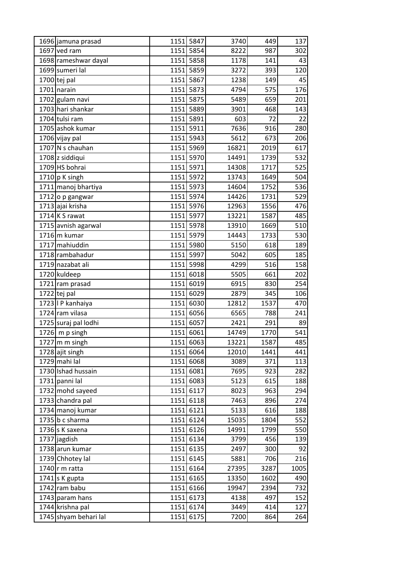| 1696 jamuna prasad     |      | 1151 5847 | 3740  | 449  | 137  |
|------------------------|------|-----------|-------|------|------|
| 1697 ved ram           |      | 1151 5854 | 8222  | 987  | 302  |
| 1698 rameshwar dayal   |      | 1151 5858 | 1178  | 141  | 43   |
| 1699 sumeri lal        |      | 1151 5859 | 3272  | 393  | 120  |
| $1700$ tej pal         | 1151 | 5867      | 1238  | 149  | 45   |
| 1701 narain            |      | 1151 5873 | 4794  | 575  | 176  |
| 1702 gulam navi        |      | 1151 5875 | 5489  | 659  | 201  |
| 1703 hari shankar      | 1151 | 5889      | 3901  | 468  | 143  |
| 1704 tulsi ram         |      | 1151 5891 | 603   | 72   | 22   |
| 1705 ashok kumar       | 1151 | 5911      | 7636  | 916  | 280  |
| 1706 vijay pal         |      | 1151 5943 | 5612  | 673  | 206  |
| 1707 N s chauhan       | 1151 | 5969      | 16821 | 2019 | 617  |
| 1708 z siddiqui        |      | 1151 5970 | 14491 | 1739 | 532  |
| 1709 HS bohrai         |      | 1151 5971 | 14308 | 1717 | 525  |
| $1710$ p K singh       |      | 1151 5972 | 13743 | 1649 | 504  |
| 1711 manoj bhartiya    |      | 1151 5973 | 14604 | 1752 | 536  |
| 1712 o p gangwar       |      | 1151 5974 | 14426 | 1731 | 529  |
| 1713 ajai krisha       |      | 1151 5976 | 12963 | 1556 | 476  |
| 1714 K S rawat         |      | 1151 5977 | 13221 | 1587 | 485  |
| 1715 avnish agarwal    |      | 1151 5978 | 13910 | 1669 | 510  |
| 1716 m kumar           |      | 1151 5979 | 14443 | 1733 | 530  |
| 1717 mahiuddin         |      | 1151 5980 | 5150  | 618  | 189  |
| 1718 rambahadur        |      | 1151 5997 | 5042  | 605  | 185  |
| 1719 nazabat ali       | 1151 | 5998      | 4299  | 516  | 158  |
| 1720 kuldeep           |      | 1151 6018 | 5505  | 661  | 202  |
| 1721 ram prasad        |      | 1151 6019 | 6915  | 830  | 254  |
| 1722 tej pal           | 1151 | 6029      | 2879  | 345  | 106  |
| 1723   P kanhaiya      |      | 1151 6030 | 12812 | 1537 | 470  |
| 1724 ram vilasa        |      | 1151 6056 | 6565  | 788  | 241  |
| 1725 suraj pal lodhi   |      | 1151 6057 | 2421  | 291  | 89   |
| $1726$ m p singh       |      | 1151 6061 | 14749 | 1770 | 541  |
| $1727$ m m singh       |      | 1151 6063 | 13221 | 1587 | 485  |
| 1728 ajit singh        |      | 1151 6064 | 12010 | 1441 | 441  |
| 1729 mahi lal          |      | 1151 6068 | 3089  | 371  | 113  |
| 1730 Ishad hussain     |      | 1151 6081 | 7695  | 923  | 282  |
| 1731 panni lal         |      | 1151 6083 | 5123  | 615  | 188  |
| 1732 mohd sayeed       |      | 1151 6117 | 8023  | 963  | 294  |
| 1733 chandra pal       |      | 1151 6118 | 7463  | 896  | 274  |
| 1734 manoj kumar       |      | 1151 6121 | 5133  | 616  | 188  |
| 1735 $b$ c sharma      |      | 1151 6124 | 15035 | 1804 | 552  |
| 1736 s K saxena        |      | 1151 6126 | 14991 | 1799 | 550  |
| 1737 jagdish           |      | 1151 6134 | 3799  | 456  | 139  |
| 1738 arun kumar        |      | 1151 6135 | 2497  | 300  | 92   |
| 1739 Chhotey lal       |      | 1151 6145 | 5881  | 706  | 216  |
| 1740 $\vert$ r m ratta |      | 1151 6164 | 27395 | 3287 | 1005 |
| 1741 s K gupta         |      | 1151 6165 | 13350 | 1602 | 490  |
| 1742 ram babu          |      | 1151 6166 | 19947 | 2394 | 732  |
| 1743 param hans        |      | 1151 6173 | 4138  | 497  | 152  |
| 1744 krishna pal       |      | 1151 6174 | 3449  | 414  | 127  |
| 1745 shyam behari lal  | 1151 | 6175      | 7200  | 864  | 264  |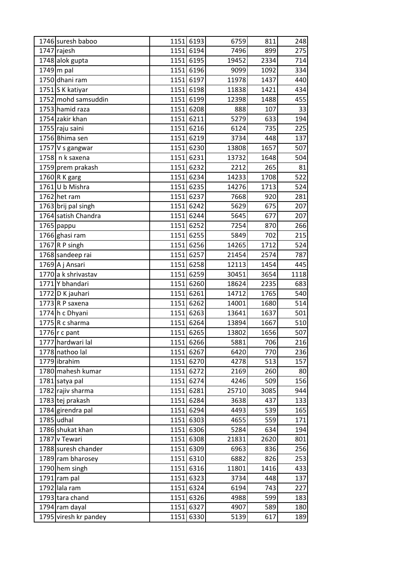| 1746 suresh baboo     |      | 1151 6193 | 6759  | 811  | 248  |
|-----------------------|------|-----------|-------|------|------|
| 1747 rajesh           |      | 1151 6194 | 7496  | 899  | 275  |
| 1748 alok gupta       |      | 1151 6195 | 19452 | 2334 | 714  |
| $1749$ m pal          |      | 1151 6196 | 9099  | 1092 | 334  |
| 1750 dhani ram        |      | 1151 6197 | 11978 | 1437 | 440  |
| 1751 S K katiyar      |      | 1151 6198 | 11838 | 1421 | 434  |
| 1752 mohd samsuddin   |      | 1151 6199 | 12398 | 1488 | 455  |
| 1753 hamid raza       |      | 1151 6208 | 888   | 107  | 33   |
| 1754 zakir khan       |      | 1151 6211 | 5279  | 633  | 194  |
| 1755 raju saini       |      | 1151 6216 | 6124  | 735  | 225  |
| 1756 Bhima sen        |      | 1151 6219 | 3734  | 448  | 137  |
| 1757 V s gangwar      |      | 1151 6230 | 13808 | 1657 | 507  |
| 1758 n k saxena       |      | 1151 6231 | 13732 | 1648 | 504  |
| 1759 prem prakash     |      | 1151 6232 | 2212  | 265  | 81   |
| 1760 R K garg         |      | 1151 6234 | 14233 | 1708 | 522  |
| 1761 U b Mishra       |      | 1151 6235 | 14276 | 1713 | 524  |
| 1762 het ram          | 1151 | 6237      | 7668  | 920  | 281  |
| 1763 brij pal singh   |      | 1151 6242 | 5629  | 675  | 207  |
| 1764 satish Chandra   |      | 1151 6244 | 5645  | 677  | 207  |
| 1765 pappu            |      | 1151 6252 | 7254  | 870  | 266  |
| 1766 ghasi ram        |      | 1151 6255 | 5849  | 702  | 215  |
| 1767 R P singh        |      | 1151 6256 | 14265 | 1712 | 524  |
| 1768 sandeep rai      |      | 1151 6257 | 21454 | 2574 | 787  |
| 1769 A j Ansari       | 1151 | 6258      | 12113 | 1454 | 445  |
| 1770 a k shrivastav   |      | 1151 6259 | 30451 | 3654 | 1118 |
| 1771 Y bhandari       |      | 1151 6260 | 18624 | 2235 | 683  |
| 1772 D K jauhari      |      | 1151 6261 | 14712 | 1765 | 540  |
| 1773 R P saxena       |      | 1151 6262 | 14001 | 1680 | 514  |
| 1774 h c Dhyani       |      | 1151 6263 | 13641 | 1637 | 501  |
| 1775 $R$ c sharma     |      | 1151 6264 | 13894 | 1667 | 510  |
| 1776 $r c$ pant       |      | 1151 6265 | 13802 | 1656 | 507  |
| 1777 hardwari lal     |      | 1151 6266 | 5881  | 706  | 216  |
| 1778 nathoo lal       |      | 1151 6267 | 6420  | 770  | 236  |
| 1779 librahim         |      | 1151 6270 | 4278  | 513  | 157  |
| 1780 mahesh kumar     |      | 1151 6272 | 2169  | 260  | 80   |
| 1781 satya pal        |      | 1151 6274 | 4246  | 509  | 156  |
| 1782 rajiv sharma     |      | 1151 6281 | 25710 | 3085 | 944  |
| 1783 tej prakash      |      | 1151 6284 | 3638  | 437  | 133  |
| 1784 girendra pal     |      | 1151 6294 | 4493  | 539  | 165  |
| 1785 udhal            |      | 1151 6303 | 4655  | 559  | 171  |
| 1786 shukat khan      |      | 1151 6306 | 5284  | 634  | 194  |
| 1787 v Tewari         |      | 1151 6308 | 21831 | 2620 | 801  |
| 1788 suresh chander   |      | 1151 6309 | 6963  | 836  | 256  |
| 1789 ram bharosey     |      | 1151 6310 | 6882  | 826  | 253  |
| 1790 hem singh        |      | 1151 6316 | 11801 | 1416 | 433  |
| 1791 ram pal          |      | 1151 6323 | 3734  | 448  | 137  |
| 1792 lala ram         |      | 1151 6324 | 6194  | 743  | 227  |
| 1793 tara chand       |      | 1151 6326 | 4988  | 599  | 183  |
| 1794 ram dayal        |      | 1151 6327 | 4907  | 589  | 180  |
| 1795 viresh kr pandey | 1151 | 6330      | 5139  | 617  | 189  |
|                       |      |           |       |      |      |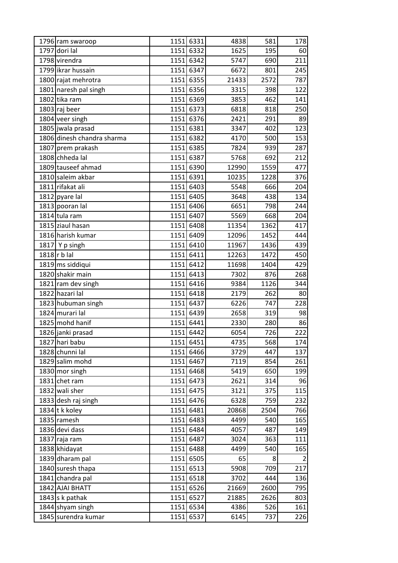| 1796 ram swaroop           | 1151 6331 | 4838  | 581  | 178 |
|----------------------------|-----------|-------|------|-----|
| 1797 dori lal              | 1151 6332 | 1625  | 195  | 60  |
| 1798 virendra              | 1151 6342 | 5747  | 690  | 211 |
| 1799 likrar hussain        | 1151 6347 | 6672  | 801  | 245 |
| 1800 rajat mehrotra        | 1151 6355 | 21433 | 2572 | 787 |
| 1801 naresh pal singh      | 1151 6356 | 3315  | 398  | 122 |
| 1802 tika ram              | 1151 6369 | 3853  | 462  | 141 |
| 1803 raj beer              | 1151 6373 | 6818  | 818  | 250 |
| 1804 veer singh            | 1151 6376 | 2421  | 291  | 89  |
| 1805 jwala prasad          | 1151 6381 | 3347  | 402  | 123 |
| 1806 dinesh chandra sharma | 1151 6382 | 4170  | 500  | 153 |
| 1807 prem prakash          | 1151 6385 | 7824  | 939  | 287 |
| 1808 chheda lal            | 1151 6387 | 5768  | 692  | 212 |
| 1809 tauseef ahmad         | 1151 6390 | 12990 | 1559 | 477 |
| 1810 saleim akbar          | 1151 6391 | 10235 | 1228 | 376 |
| 1811 rifakat ali           | 1151 6403 | 5548  | 666  | 204 |
| 1812 pyare lal             | 1151 6405 | 3648  | 438  | 134 |
| 1813 pooran lal            | 1151 6406 | 6651  | 798  | 244 |
| 1814 tula ram              | 1151 6407 | 5569  | 668  | 204 |
| 1815 ziaul hasan           | 1151 6408 | 11354 | 1362 | 417 |
| 1816 harish kumar          | 1151 6409 | 12096 | 1452 | 444 |
| 1817 $\vert$ Y p singh     | 1151 6410 | 11967 | 1436 | 439 |
| $1818$ r b lal             | 1151 6411 | 12263 | 1472 | 450 |
| 1819 ms siddiqui           | 1151 6412 | 11698 | 1404 | 429 |
| 1820 shakir main           | 1151 6413 | 7302  | 876  | 268 |
| 1821 ram dev singh         | 1151 6416 | 9384  | 1126 | 344 |
| 1822 hazari lal            | 1151 6418 | 2179  | 262  | 80  |
| 1823 hubuman singh         | 1151 6437 | 6226  | 747  | 228 |
| 1824 murari lal            | 1151 6439 | 2658  | 319  | 98  |
| 1825 mohd hanif            | 1151 6441 | 2330  | 280  | 86  |
| 1826 janki prasad          | 1151 6442 | 6054  | 726  | 222 |
| 1827 hari babu             | 1151 6451 | 4735  | 568  | 174 |
| 1828 chunni lal            | 1151 6466 | 3729  | 447  | 137 |
| 1829 salim mohd            | 1151 6467 | 7119  | 854  | 261 |
| 1830 mor singh             | 1151 6468 | 5419  | 650  | 199 |
| 1831 chet ram              | 1151 6473 | 2621  | 314  | 96  |
| 1832 wali sher             | 1151 6475 | 3121  | 375  | 115 |
| 1833 desh raj singh        | 1151 6476 | 6328  | 759  | 232 |
| 1834 t k koley             | 1151 6481 | 20868 | 2504 | 766 |
| 1835 ramesh                | 1151 6483 | 4499  | 540  | 165 |
| 1836 devi dass             | 1151 6484 | 4057  | 487  | 149 |
| 1837 raja ram              | 1151 6487 | 3024  | 363  | 111 |
| 1838 khidayat              | 1151 6488 | 4499  | 540  | 165 |
| 1839 dharam pal            | 1151 6505 | 65    | 8    | 2   |
| 1840 suresh thapa          | 1151 6513 | 5908  | 709  | 217 |
| 1841 chandra pal           | 1151 6518 | 3702  | 444  | 136 |
| 1842 AJAI BHATT            | 1151 6526 | 21669 | 2600 | 795 |
| 1843 s k pathak            | 1151 6527 | 21885 | 2626 | 803 |
| 1844 shyam singh           | 1151 6534 | 4386  | 526  | 161 |
| 1845 surendra kumar        | 1151 6537 | 6145  | 737  | 226 |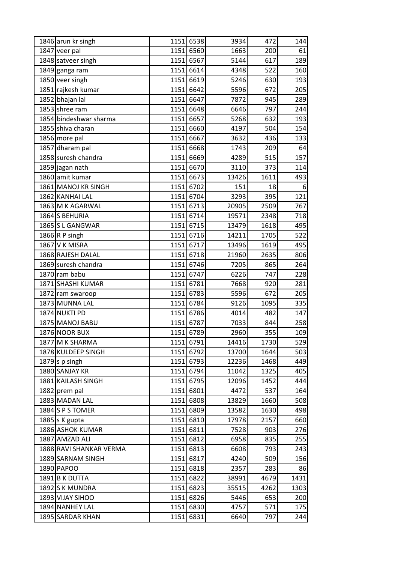| 1846 arun kr singh      |      | 1151 6538 | 3934  | 472  | 144  |
|-------------------------|------|-----------|-------|------|------|
| 1847 veer pal           |      | 1151 6560 | 1663  | 200  | 61   |
| 1848 satveer singh      |      | 1151 6567 | 5144  | 617  | 189  |
| 1849 ganga ram          |      | 1151 6614 | 4348  | 522  | 160  |
| 1850 veer singh         |      | 1151 6619 | 5246  | 630  | 193  |
| 1851 rajkesh kumar      |      | 1151 6642 | 5596  | 672  | 205  |
| 1852 bhajan lal         |      | 1151 6647 | 7872  | 945  | 289  |
| 1853 shree ram          | 1151 | 6648      | 6646  | 797  | 244  |
| 1854 bindeshwar sharma  |      | 1151 6657 | 5268  | 632  | 193  |
| 1855 shiva charan       |      | 1151 6660 | 4197  | 504  | 154  |
| 1856 more pal           |      | 1151 6667 | 3632  | 436  | 133  |
| 1857 dharam pal         | 1151 | 6668      | 1743  | 209  | 64   |
| 1858 suresh chandra     |      | 1151 6669 | 4289  | 515  | 157  |
| 1859 jagan nath         |      | 1151 6670 | 3110  | 373  | 114  |
| 1860 amit kumar         |      | 1151 6673 | 13426 | 1611 | 493  |
| 1861 MANOJ KR SINGH     |      | 1151 6702 | 151   | 18   | 6    |
| 1862 KANHAI LAL         |      | 1151 6704 | 3293  | 395  | 121  |
| 1863 M K AGARWAL        |      | 1151 6713 | 20905 | 2509 | 767  |
| 1864 S BEHURIA          |      | 1151 6714 | 19571 | 2348 | 718  |
| 1865 S L GANGWAR        |      | 1151 6715 | 13479 | 1618 | 495  |
| 1866 R P singh          |      | 1151 6716 | 14211 | 1705 | 522  |
| 1867 V K MISRA          |      | 1151 6717 | 13496 | 1619 | 495  |
| 1868 RAJESH DALAL       |      | 1151 6718 | 21960 | 2635 | 806  |
| 1869 suresh chandra     |      | 1151 6746 | 7205  | 865  | 264  |
| 1870 ram babu           |      | 1151 6747 | 6226  | 747  | 228  |
| 1871 SHASHI KUMAR       |      | 1151 6781 | 7668  | 920  | 281  |
| 1872 ram swaroop        |      | 1151 6783 | 5596  | 672  | 205  |
| 1873 MUNNA LAL          |      | 1151 6784 | 9126  | 1095 | 335  |
| 1874 NUKTI PD           |      | 1151 6786 | 4014  | 482  | 147  |
| 1875 MANOJ BABU         |      | 1151 6787 | 7033  | 844  | 258  |
| 1876 NOOR BUX           |      | 1151 6789 | 2960  | 355  | 109  |
| 1877 M K SHARMA         |      | 1151 6791 | 14416 | 1730 | 529  |
| 1878 KULDEEP SINGH      |      | 1151 6792 | 13700 | 1644 | 503  |
| 1879 s p singh          |      | 1151 6793 | 12236 | 1468 | 449  |
| 1880 SANJAY KR          |      | 1151 6794 | 11042 | 1325 | 405  |
| 1881 KAILASH SINGH      |      | 1151 6795 | 12096 | 1452 | 444  |
| 1882 prem pal           |      | 1151 6801 | 4472  | 537  | 164  |
| 1883 MADAN LAL          |      | 1151 6808 | 13829 | 1660 | 508  |
| 1884 S P S TOMER        |      | 1151 6809 | 13582 | 1630 | 498  |
| 1885 s $K$ gupta        |      | 1151 6810 | 17978 | 2157 | 660  |
| 1886 ASHOK KUMAR        |      | 1151 6811 | 7528  | 903  | 276  |
| 1887 AMZAD ALI          |      | 1151 6812 | 6958  | 835  | 255  |
| 1888 RAVI SHANKAR VERMA |      | 1151 6813 | 6608  | 793  | 243  |
| 1889 SARNAM SINGH       |      | 1151 6817 | 4240  | 509  | 156  |
| 1890 PAPOO              |      | 1151 6818 | 2357  | 283  | 86   |
| 1891 B K DUTTA          |      | 1151 6822 | 38991 | 4679 | 1431 |
| 1892 S K MUNDRA         |      | 1151 6823 | 35515 | 4262 | 1303 |
| 1893 VIJAY SIHOO        |      | 1151 6826 | 5446  | 653  | 200  |
| 1894 NANHEY LAL         |      | 1151 6830 | 4757  | 571  | 175  |
| 1895 SARDAR KHAN        |      | 1151 6831 | 6640  | 797  | 244  |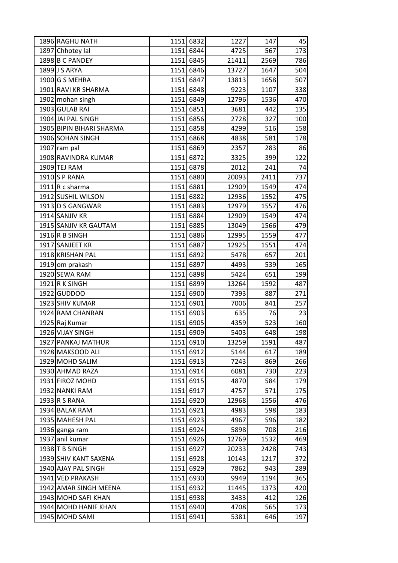| 1896 RAGHU NATH          | 1151 | 6832      | 1227  | 147  | 45  |
|--------------------------|------|-----------|-------|------|-----|
| 1897 Chhotey lal         |      | 1151 6844 | 4725  | 567  | 173 |
| 1898 B C PANDEY          |      | 1151 6845 | 21411 | 2569 | 786 |
| 1899 J S ARYA            |      | 1151 6846 | 13727 | 1647 | 504 |
| 1900 G S MEHRA           |      | 1151 6847 | 13813 | 1658 | 507 |
| 1901 RAVI KR SHARMA      |      | 1151 6848 | 9223  | 1107 | 338 |
| 1902 mohan singh         |      | 1151 6849 | 12796 | 1536 | 470 |
| 1903 GULAB RAI           |      | 1151 6851 | 3681  | 442  | 135 |
| 1904 JAI PAL SINGH       |      | 1151 6856 | 2728  | 327  | 100 |
| 1905 BIPIN BIHARI SHARMA |      | 1151 6858 | 4299  | 516  | 158 |
| 1906 SOHAN SINGH         |      | 1151 6868 | 4838  | 581  | 178 |
| 1907 ram pal             |      | 1151 6869 | 2357  | 283  | 86  |
| 1908 RAVINDRA KUMAR      |      | 1151 6872 | 3325  | 399  | 122 |
| 1909 TEJ RAM             |      | 1151 6878 | 2012  | 241  | 74  |
| 1910 S P RANA            |      | 1151 6880 | 20093 | 2411 | 737 |
| $1911$ R c sharma        |      | 1151 6881 | 12909 | 1549 | 474 |
| 1912 SUSHIL WILSON       |      | 1151 6882 | 12936 | 1552 | 475 |
| 1913 D S GANGWAR         |      | 1151 6883 | 12979 | 1557 | 476 |
| 1914 SANJIV KR           |      | 1151 6884 | 12909 | 1549 | 474 |
| 1915 SANJIV KR GAUTAM    |      | 1151 6885 | 13049 | 1566 | 479 |
| $1916$ R B SINGH         |      | 1151 6886 | 12995 | 1559 | 477 |
| 1917 SANJEET KR          |      | 1151 6887 | 12925 | 1551 | 474 |
| 1918 KRISHAN PAL         |      | 1151 6892 | 5478  | 657  | 201 |
| 1919 om prakash          |      | 1151 6897 | 4493  | 539  | 165 |
| 1920 SEWA RAM            |      | 1151 6898 | 5424  | 651  | 199 |
| 1921 R K SINGH           |      | 1151 6899 | 13264 | 1592 | 487 |
| 1922 GUDDOO              |      | 1151 6900 | 7393  | 887  | 271 |
| 1923 SHIV KUMAR          |      | 1151 6901 | 7006  | 841  | 257 |
| 1924 RAM CHANRAN         |      | 1151 6903 | 635   | 76   | 23  |
| 1925 Raj Kumar           |      | 1151 6905 | 4359  | 523  | 160 |
| 1926 VIJAY SINGH         |      | 1151 6909 | 5403  | 648  | 198 |
| 1927 PANKAJ MATHUR       |      | 1151 6910 | 13259 | 1591 | 487 |
| 1928 MAKSOOD ALI         |      | 1151 6912 | 5144  | 617  | 189 |
| 1929 MOHD SALIM          |      | 1151 6913 | 7243  | 869  | 266 |
| 1930 AHMAD RAZA          |      | 1151 6914 | 6081  | 730  | 223 |
| 1931 FIROZ MOHD          |      | 1151 6915 | 4870  | 584  | 179 |
| 1932 NANKI RAM           |      | 1151 6917 | 4757  | 571  | 175 |
| 1933 R S RANA            |      | 1151 6920 | 12968 | 1556 | 476 |
| 1934 BALAK RAM           |      | 1151 6921 | 4983  | 598  | 183 |
| 1935 MAHESH PAL          |      | 1151 6923 | 4967  | 596  | 182 |
| 1936 ganga ram           |      | 1151 6924 | 5898  | 708  | 216 |
| 1937 anil kumar          |      | 1151 6926 | 12769 | 1532 | 469 |
| 1938 T B SINGH           |      | 1151 6927 | 20233 | 2428 | 743 |
| 1939 SHIV KANT SAXENA    |      | 1151 6928 | 10143 | 1217 | 372 |
| 1940 AJAY PAL SINGH      |      | 1151 6929 | 7862  | 943  | 289 |
| 1941 VED PRAKASH         |      | 1151 6930 | 9949  | 1194 | 365 |
| 1942 AMAR SINGH MEENA    |      | 1151 6932 | 11445 | 1373 | 420 |
| 1943 MOHD SAFI KHAN      |      | 1151 6938 | 3433  | 412  | 126 |
| 1944 MOHD HANIF KHAN     |      | 1151 6940 | 4708  | 565  | 173 |
| 1945 MOHD SAMI           |      | 1151 6941 | 5381  | 646  | 197 |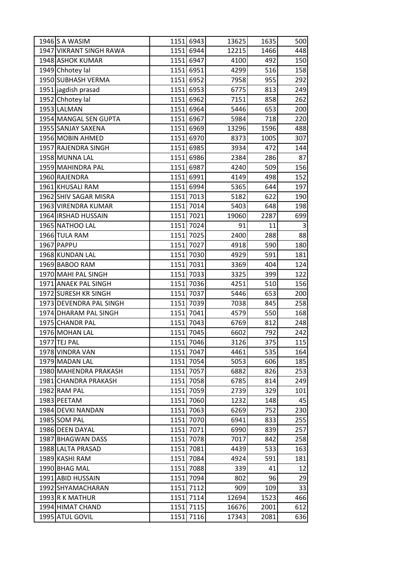| 1946 S A WASIM          | 1151 6943 | 13625 | 1635 | 500 |
|-------------------------|-----------|-------|------|-----|
| 1947 VIKRANT SINGH RAWA | 1151 6944 | 12215 | 1466 | 448 |
| 1948 ASHOK KUMAR        | 1151 6947 | 4100  | 492  | 150 |
| 1949 Chhotey lal        | 1151 6951 | 4299  | 516  | 158 |
| 1950 SUBHASH VERMA      | 1151 6952 | 7958  | 955  | 292 |
| 1951 jagdish prasad     | 1151 6953 | 6775  | 813  | 249 |
| 1952 Chhotey lal        | 1151 6962 | 7151  | 858  | 262 |
| 1953 LALMAN             | 1151 6964 | 5446  | 653  | 200 |
| 1954 MANGAL SEN GUPTA   | 1151 6967 | 5984  | 718  | 220 |
| 1955 SANJAY SAXENA      | 1151 6969 | 13296 | 1596 | 488 |
| 1956 MOBIN AHMED        | 1151 6970 | 8373  | 1005 | 307 |
| 1957 RAJENDRA SINGH     | 1151 6985 | 3934  | 472  | 144 |
| 1958 MUNNA LAL          | 1151 6986 | 2384  | 286  | 87  |
| 1959 MAHINDRA PAL       | 1151 6987 | 4240  | 509  | 156 |
| 1960 RAJENDRA           | 1151 6991 | 4149  | 498  | 152 |
| 1961 KHUSALI RAM        | 1151 6994 | 5365  | 644  | 197 |
| 1962 SHIV SAGAR MISRA   | 1151 7013 | 5182  | 622  | 190 |
| 1963 VIRENDRA KUMAR     | 1151 7014 | 5403  | 648  | 198 |
| 1964 IRSHAD HUSSAIN     | 1151 7021 | 19060 | 2287 | 699 |
| 1965 NATHOO LAL         | 1151 7024 | 91    | 11   | 3   |
| 1966 TULA RAM           | 1151 7025 | 2400  | 288  | 88  |
| 1967 PAPPU              | 1151 7027 | 4918  | 590  | 180 |
| 1968 KUNDAN LAL         | 1151 7030 | 4929  | 591  | 181 |
| 1969 BABOO RAM          | 1151 7031 | 3369  | 404  | 124 |
| 1970 MAHI PAL SINGH     | 1151 7033 | 3325  | 399  | 122 |
| 1971 ANAEK PAL SINGH    | 1151 7036 | 4251  | 510  | 156 |
| 1972 SURESH KR SINGH    | 1151 7037 | 5446  | 653  | 200 |
| 1973 DEVENDRA PAL SINGH | 1151 7039 | 7038  | 845  | 258 |
| 1974 DHARAM PAL SINGH   | 1151 7041 | 4579  | 550  | 168 |
| 1975 CHANDR PAL         | 1151 7043 | 6769  | 812  | 248 |
| 1976 MOHAN LAL          | 1151 7045 | 6602  | 792  | 242 |
| 1977 TEJ PAL            | 1151 7046 | 3126  | 375  | 115 |
| 1978 VINDRA VAN         | 1151 7047 | 4461  | 535  | 164 |
| 1979 MADAN LAL          | 1151 7054 | 5053  | 606  | 185 |
| 1980 MAHENDRA PRAKASH   | 1151 7057 | 6882  | 826  | 253 |
| 1981 CHANDRA PRAKASH    | 1151 7058 | 6785  | 814  | 249 |
| 1982 RAM PAL            | 1151 7059 | 2739  | 329  | 101 |
| 1983 PEETAM             | 1151 7060 | 1232  | 148  | 45  |
| 1984 DEVKI NANDAN       | 1151 7063 | 6269  | 752  | 230 |
| 1985 SOM PAL            | 1151 7070 | 6941  | 833  | 255 |
| 1986 DEEN DAYAL         | 1151 7071 | 6990  | 839  | 257 |
| 1987 BHAGWAN DASS       | 1151 7078 | 7017  | 842  | 258 |
| 1988 LALTA PRASAD       | 1151 7081 | 4439  | 533  | 163 |
| 1989 KASHI RAM          | 1151 7084 | 4924  | 591  | 181 |
| 1990 BHAG MAL           | 1151 7088 | 339   | 41   | 12  |
| 1991 ABID HUSSAIN       | 1151 7094 | 802   | 96   | 29  |
| 1992 SHYAMACHARAN       | 1151 7112 | 909   | 109  | 33  |
| 1993 R K MATHUR         | 1151 7114 | 12694 | 1523 | 466 |
| 1994 HIMAT CHAND        | 1151 7115 | 16676 | 2001 | 612 |
| 1995 ATUL GOVIL         | 1151 7116 | 17343 | 2081 | 636 |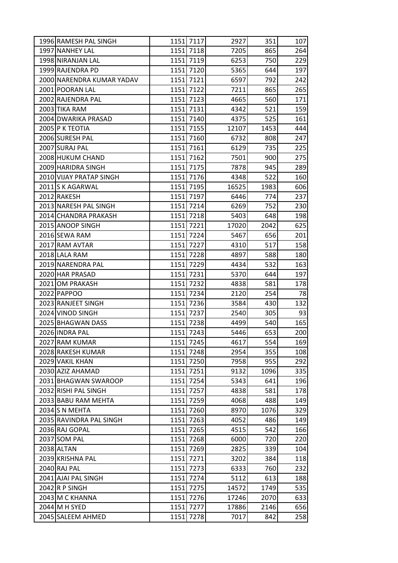| 1996 RAMESH PAL SINGH     | 1151 7117 | 2927  | 351  | 107 |
|---------------------------|-----------|-------|------|-----|
| 1997 NANHEY LAL           | 1151 7118 | 7205  | 865  | 264 |
| 1998 NIRANJAN LAL         | 1151 7119 | 6253  | 750  | 229 |
| 1999 RAJENDRA PD          | 1151 7120 | 5365  | 644  | 197 |
| 2000 NARENDRA KUMAR YADAV | 1151 7121 | 6597  | 792  | 242 |
| 2001 POORAN LAL           | 1151 7122 | 7211  | 865  | 265 |
| 2002 RAJENDRA PAL         | 1151 7123 | 4665  | 560  | 171 |
| 2003 TIKA RAM             | 1151 7131 | 4342  | 521  | 159 |
| 2004 DWARIKA PRASAD       | 1151 7140 | 4375  | 525  | 161 |
| 2005 P K TEOTIA           | 1151 7155 | 12107 | 1453 | 444 |
| 2006 SURESH PAL           | 1151 7160 | 6732  | 808  | 247 |
| 2007 SURAJ PAL            | 1151 7161 | 6129  | 735  | 225 |
| 2008 HUKUM CHAND          | 1151 7162 | 7501  | 900  | 275 |
| 2009 HARIDRA SINGH        | 1151 7175 | 7878  | 945  | 289 |
| 2010 VIJAY PRATAP SINGH   | 1151 7176 | 4348  | 522  | 160 |
| 2011 S K AGARWAL          | 1151 7195 | 16525 | 1983 | 606 |
| 2012 RAKESH               | 1151 7197 | 6446  | 774  | 237 |
| 2013 NARESH PAL SINGH     | 1151 7214 | 6269  | 752  | 230 |
| 2014 CHANDRA PRAKASH      | 1151 7218 | 5403  | 648  | 198 |
| 2015 ANOOP SINGH          | 1151 7221 | 17020 | 2042 | 625 |
| 2016 SEWA RAM             | 1151 7224 | 5467  | 656  | 201 |
| 2017 RAM AVTAR            | 1151 7227 | 4310  | 517  | 158 |
| 2018 LALA RAM             | 1151 7228 | 4897  | 588  | 180 |
| 2019 NARENDRA PAL         | 1151 7229 | 4434  | 532  | 163 |
| 2020 HAR PRASAD           | 1151 7231 | 5370  | 644  | 197 |
| 2021 OM PRAKASH           | 1151 7232 | 4838  | 581  | 178 |
| 2022 PAPPOO               | 1151 7234 | 2120  | 254  | 78  |
| 2023 RANJEET SINGH        | 1151 7236 | 3584  | 430  | 132 |
| 2024 VINOD SINGH          | 1151 7237 | 2540  | 305  | 93  |
| 2025 BHAGWAN DASS         | 1151 7238 | 4499  | 540  | 165 |
| 2026 INDRA PAL            | 1151 7243 | 5446  | 653  | 200 |
| 2027 RAM KUMAR            | 1151 7245 | 4617  | 554  | 169 |
| 2028 RAKESH KUMAR         | 1151 7248 | 2954  | 355  | 108 |
| 2029 VAKIL KHAN           | 1151 7250 | 7958  | 955  | 292 |
| 2030 AZIZ AHAMAD          | 1151 7251 | 9132  | 1096 | 335 |
| 2031 BHAGWAN SWAROOP      | 1151 7254 | 5343  | 641  | 196 |
| 2032 RISHI PAL SINGH      | 1151 7257 | 4838  | 581  | 178 |
| 2033 BABU RAM MEHTA       | 1151 7259 | 4068  | 488  | 149 |
| 2034 S N MEHTA            | 1151 7260 | 8970  | 1076 | 329 |
| 2035 RAVINDRA PAL SINGH   | 1151 7263 | 4052  | 486  | 149 |
| 2036 RAJ GOPAL            | 1151 7265 | 4515  | 542  | 166 |
| 2037 SOM PAL              | 1151 7268 | 6000  | 720  | 220 |
| 2038 ALTAN                | 1151 7269 | 2825  | 339  | 104 |
| 2039 KRISHNA PAL          | 1151 7271 | 3202  | 384  | 118 |
| 2040 RAJ PAL              | 1151 7273 | 6333  | 760  | 232 |
| 2041 AJAI PAL SINGH       | 1151 7274 | 5112  | 613  | 188 |
| $2042$ R P SINGH          | 1151 7275 | 14572 | 1749 | 535 |
| 2043 M C KHANNA           | 1151 7276 | 17246 | 2070 | 633 |
| 2044 M H SYED             | 1151 7277 | 17886 | 2146 | 656 |
| 2045 SALEEM AHMED         | 1151 7278 | 7017  | 842  | 258 |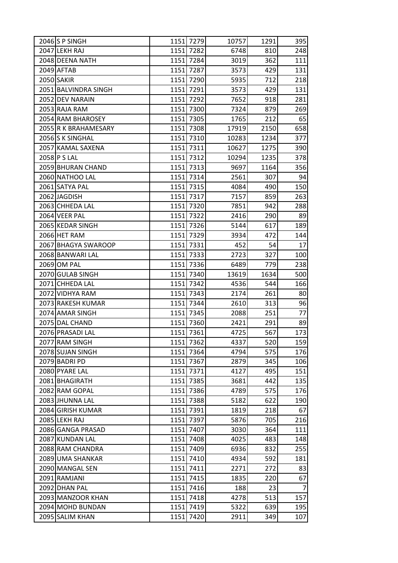| 2046 S P SINGH       |      | 1151 7279 | 10757 | 1291 | 395            |
|----------------------|------|-----------|-------|------|----------------|
| 2047 LEKH RAJ        |      | 1151 7282 | 6748  | 810  | 248            |
| 2048 DEENA NATH      |      | 1151 7284 | 3019  | 362  | 111            |
| 2049 AFTAB           |      | 1151 7287 | 3573  | 429  | 131            |
| 2050 SAKIR           |      | 1151 7290 | 5935  | 712  | 218            |
| 2051 BALVINDRA SINGH |      | 1151 7291 | 3573  | 429  | 131            |
| 2052 DEV NARAIN      |      | 1151 7292 | 7652  | 918  | 281            |
| 2053 RAJA RAM        |      | 1151 7300 | 7324  | 879  | 269            |
| 2054 RAM BHAROSEY    |      | 1151 7305 | 1765  | 212  | 65             |
| 2055 R K BRAHAMESARY |      | 1151 7308 | 17919 | 2150 | 658            |
| 2056 S K SINGHAL     |      | 1151 7310 | 10283 | 1234 | 377            |
| 2057 KAMAL SAXENA    |      | 1151 7311 | 10627 | 1275 | 390            |
| 2058 P S LAL         |      | 1151 7312 | 10294 | 1235 | 378            |
| 2059 BHURAN CHAND    |      | 1151 7313 | 9697  | 1164 | 356            |
| 2060 NATHOO LAL      |      | 1151 7314 | 2561  | 307  | 94             |
| 2061 SATYA PAL       |      | 1151 7315 | 4084  | 490  | 150            |
| 2062 JAGDISH         |      | 1151 7317 | 7157  | 859  | 263            |
| 2063 CHHEDA LAL      |      | 1151 7320 | 7851  | 942  | 288            |
| 2064 VEER PAL        |      | 1151 7322 | 2416  | 290  | 89             |
| 2065 KEDAR SINGH     |      | 1151 7326 | 5144  | 617  | 189            |
| 2066 HET RAM         |      | 1151 7329 | 3934  | 472  | 144            |
| 2067 BHAGYA SWAROOP  |      | 1151 7331 | 452   | 54   | 17             |
| 2068 BANWARI LAL     |      | 1151 7333 | 2723  | 327  | 100            |
| 2069 OM PAL          |      | 1151 7336 | 6489  | 779  | 238            |
| 2070 GULAB SINGH     |      | 1151 7340 | 13619 | 1634 | 500            |
| 2071 CHHEDA LAL      |      | 1151 7342 | 4536  | 544  | 166            |
| 2072 VIDHYA RAM      |      | 1151 7343 | 2174  | 261  | 80             |
| 2073 RAKESH KUMAR    |      | 1151 7344 | 2610  | 313  | 96             |
| 2074 AMAR SINGH      |      | 1151 7345 | 2088  | 251  | 77             |
| 2075 DAL CHAND       |      | 1151 7360 | 2421  | 291  | 89             |
| 2076 PRASADI LAL     |      | 1151 7361 | 4725  | 567  | 173            |
| 2077 RAM SINGH       |      | 1151 7362 | 4337  | 520  | 159            |
| 2078 SUJAN SINGH     |      | 1151 7364 | 4794  | 575  | 176            |
| 2079 BADRI PD        |      | 1151 7367 | 2879  | 345  | 106            |
| 2080 PYARE LAL       |      | 1151 7371 | 4127  | 495  | 151            |
| 2081 BHAGIRATH       | 1151 | 7385      | 3681  | 442  | 135            |
| 2082 RAM GOPAL       |      | 1151 7386 | 4789  | 575  | 176            |
| 2083 JHUNNA LAL      |      | 1151 7388 | 5182  | 622  | 190            |
| 2084 GIRISH KUMAR    |      | 1151 7391 | 1819  | 218  | 67             |
| 2085 LEKH RAJ        | 1151 | 7397      | 5876  | 705  | 216            |
| 2086 GANGA PRASAD    |      | 1151 7407 | 3030  | 364  | 111            |
| 2087 KUNDAN LAL      |      | 1151 7408 | 4025  | 483  | 148            |
| 2088 RAM CHANDRA     | 1151 | 7409      | 6936  | 832  | 255            |
| 2089 UMA SHANKAR     |      | 1151 7410 | 4934  | 592  | 181            |
| 2090 MANGAL SEN      |      | 1151 7411 | 2271  | 272  | 83             |
| 2091 RAMJANI         | 1151 | 7415      | 1835  | 220  | 67             |
| 2092 DHAN PAL        |      | 1151 7416 | 188   | 23   | $\overline{7}$ |
| 2093 MANZOOR KHAN    | 1151 | 7418      | 4278  | 513  | 157            |
| 2094 MOHD BUNDAN     |      | 1151 7419 | 5322  | 639  | 195            |
| 2095 SALIM KHAN      | 1151 | 7420      | 2911  | 349  | 107            |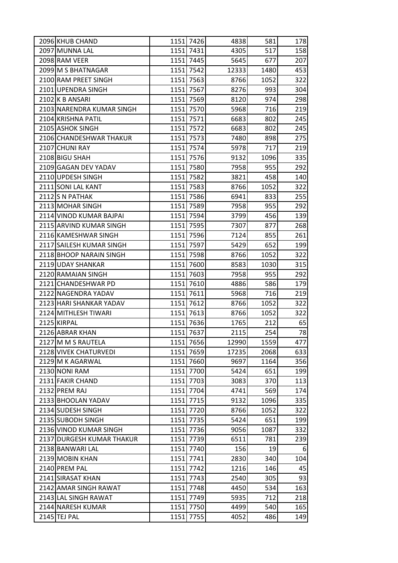| 2096 KHUB CHAND           |      | 1151 7426 | 4838  | 581  | 178      |
|---------------------------|------|-----------|-------|------|----------|
| 2097 MUNNA LAL            |      | 1151 7431 | 4305  | 517  | 158      |
| 2098 RAM VEER             |      | 1151 7445 | 5645  | 677  | 207      |
| 2099 M S BHATNAGAR        |      | 1151 7542 | 12333 | 1480 | 453      |
| 2100 RAM PREET SINGH      |      | 1151 7563 | 8766  | 1052 | 322      |
| 2101 UPENDRA SINGH        |      | 1151 7567 | 8276  | 993  | 304      |
| 2102 K B ANSARI           |      | 1151 7569 | 8120  | 974  | 298      |
| 2103 NARENDRA KUMAR SINGH |      | 1151 7570 | 5968  | 716  | 219      |
| 2104 KRISHNA PATIL        |      | 1151 7571 | 6683  | 802  | 245      |
| 2105 ASHOK SINGH          |      | 1151 7572 | 6683  | 802  | 245      |
| 2106 CHANDESHWAR THAKUR   |      | 1151 7573 | 7480  | 898  | 275      |
| 2107 CHUNI RAY            |      | 1151 7574 | 5978  | 717  | 219      |
| 2108 BIGU SHAH            | 1151 | 7576      | 9132  | 1096 | 335      |
| 2109 GAGAN DEV YADAV      |      | 1151 7580 | 7958  | 955  | 292      |
| 2110 UPDESH SINGH         |      | 1151 7582 | 3821  | 458  | 140      |
| 2111 SONI LAL KANT        |      | 1151 7583 | 8766  | 1052 | 322      |
| 2112 S N PATHAK           |      | 1151 7586 | 6941  | 833  | 255      |
| 2113 MOHAR SINGH          |      | 1151 7589 | 7958  | 955  | 292      |
| 2114 VINOD KUMAR BAJPAI   |      | 1151 7594 | 3799  | 456  | 139      |
| 2115 ARVIND KUMAR SINGH   |      | 1151 7595 | 7307  | 877  | 268      |
| 2116 KAMESHWAR SINGH      |      | 1151 7596 | 7124  | 855  | 261      |
| 2117 SAILESH KUMAR SINGH  |      | 1151 7597 | 5429  | 652  | 199      |
| 2118 BHOOP NARAIN SINGH   |      | 1151 7598 | 8766  | 1052 | 322      |
| 2119 UDAY SHANKAR         |      | 1151 7600 | 8583  | 1030 | 315      |
| 2120 RAMAIAN SINGH        |      | 1151 7603 | 7958  | 955  | 292      |
| 2121 CHANDESHWAR PD       |      | 1151 7610 | 4886  | 586  | 179      |
| 2122 NAGENDRA YADAV       |      | 1151 7611 | 5968  | 716  | 219      |
| 2123 HARI SHANKAR YADAV   |      | 1151 7612 | 8766  | 1052 | 322      |
| 2124 MITHLESH TIWARI      | 1151 | 7613      | 8766  | 1052 | 322      |
| 2125 KIRPAL               |      | 1151 7636 | 1765  | 212  | 65       |
| 2126 ABRAR KHAN           |      | 1151 7637 | 2115  | 254  | 78       |
| 2127 M M S RAUTELA        |      | 1151 7656 | 12990 | 1559 | 477      |
| 2128 VIVEK CHATURVEDI     |      | 1151 7659 | 17235 | 2068 | 633      |
| 2129 M K AGARWAL          | 1151 | 7660      | 9697  | 1164 | 356      |
| 2130 NONI RAM             |      | 1151 7700 | 5424  | 651  | 199      |
| 2131 FAKIR CHAND          |      | 1151 7703 | 3083  | 370  | 113      |
| 2132 PREM RAJ             |      | 1151 7704 | 4741  | 569  | 174      |
| 2133 BHOOLAN YADAV        |      | 1151 7715 | 9132  | 1096 | 335      |
| 2134 SUDESH SINGH         |      | 1151 7720 | 8766  | 1052 | 322      |
| 2135 SUBODH SINGH         |      | 1151 7735 | 5424  | 651  | 199      |
| 2136 VINOD KUMAR SINGH    | 1151 | 7736      | 9056  | 1087 | 332      |
| 2137 DURGESH KUMAR THAKUR |      | 1151 7739 | 6511  | 781  | 239      |
| 2138 BANWARI LAL          |      | 1151 7740 | 156   | 19   | $6 \mid$ |
| 2139 MOBIN KHAN           |      | 1151 7741 | 2830  | 340  | 104      |
| 2140 PREM PAL             |      | 1151 7742 | 1216  | 146  | 45       |
| 2141 SIRASAT KHAN         |      | 1151 7743 | 2540  | 305  | 93       |
| 2142 AMAR SINGH RAWAT     |      | 1151 7748 | 4450  | 534  | 163      |
| 2143 LAL SINGH RAWAT      | 1151 | 7749      | 5935  | 712  | 218      |
| 2144 NARESH KUMAR         |      | 1151 7750 | 4499  | 540  | 165      |
| 2145 TEJ PAL              |      | 1151 7755 | 4052  | 486  | 149      |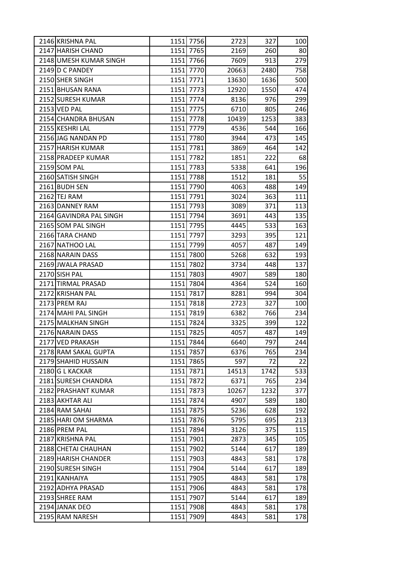| 2146 KRISHNA PAL        | 1151 7756 | 2723  | 327  | 100 |
|-------------------------|-----------|-------|------|-----|
| 2147 HARISH CHAND       | 1151 7765 | 2169  | 260  | 80  |
| 2148 UMESH KUMAR SINGH  | 1151 7766 | 7609  | 913  | 279 |
| 2149 D C PANDEY         | 1151 7770 | 20663 | 2480 | 758 |
| 2150 SHER SINGH         | 1151 7771 | 13630 | 1636 | 500 |
| 2151 BHUSAN RANA        | 1151 7773 | 12920 | 1550 | 474 |
| 2152 SURESH KUMAR       | 1151 7774 | 8136  | 976  | 299 |
| 2153 VED PAL            | 1151 7775 | 6710  | 805  | 246 |
| 2154 CHANDRA BHUSAN     | 1151 7778 | 10439 | 1253 | 383 |
| 2155 KESHRI LAL         | 1151 7779 | 4536  | 544  | 166 |
| 2156 JAG NANDAN PD      | 1151 7780 | 3944  | 473  | 145 |
| 2157 HARISH KUMAR       | 1151 7781 | 3869  | 464  | 142 |
| 2158 PRADEEP KUMAR      | 1151 7782 | 1851  | 222  | 68  |
| 2159 SOM PAL            | 1151 7783 | 5338  | 641  | 196 |
| 2160 SATISH SINGH       | 1151 7788 | 1512  | 181  | 55  |
| 2161 BUDH SEN           | 1151 7790 | 4063  | 488  | 149 |
| 2162 TEJ RAM            | 1151 7791 | 3024  | 363  | 111 |
| 2163 DANNEY RAM         | 1151 7793 | 3089  | 371  | 113 |
| 2164 GAVINDRA PAL SINGH | 1151 7794 | 3691  | 443  | 135 |
| 2165 SOM PAL SINGH      | 1151 7795 | 4445  | 533  | 163 |
| 2166 TARA CHAND         | 1151 7797 | 3293  | 395  | 121 |
| 2167 NATHOO LAL         | 1151 7799 | 4057  | 487  | 149 |
| 2168 NARAIN DASS        | 1151 7800 | 5268  | 632  | 193 |
| 2169 JWALA PRASAD       | 1151 7802 | 3734  | 448  | 137 |
| 2170 SISH PAL           | 1151 7803 | 4907  | 589  | 180 |
| 2171 TIRMAL PRASAD      | 1151 7804 | 4364  | 524  | 160 |
| 2172 KRISHAN PAL        | 1151 7817 | 8281  | 994  | 304 |
| 2173 PREM RAJ           | 1151 7818 | 2723  | 327  | 100 |
| 2174 MAHI PAL SINGH     | 1151 7819 | 6382  | 766  | 234 |
| 2175 MALKHAN SINGH      | 1151 7824 | 3325  | 399  | 122 |
| 2176 NARAIN DASS        | 1151 7825 | 4057  | 487  | 149 |
| 2177 VED PRAKASH        | 1151 7844 | 6640  | 797  | 244 |
| 2178 RAM SAKAL GUPTA    | 1151 7857 | 6376  | 765  | 234 |
| 2179 SHAHID HUSSAIN     | 1151 7865 | 597   | 72   | 22  |
| 2180 G L KACKAR         | 1151 7871 | 14513 | 1742 | 533 |
| 2181 SURESH CHANDRA     | 1151 7872 | 6371  | 765  | 234 |
| 2182 PRASHANT KUMAR     | 1151 7873 | 10267 | 1232 | 377 |
| 2183 AKHTAR ALI         | 1151 7874 | 4907  | 589  | 180 |
| 2184 RAM SAHAI          | 1151 7875 | 5236  | 628  | 192 |
| 2185 HARI OM SHARMA     | 1151 7876 | 5795  | 695  | 213 |
| 2186 PREM PAL           | 1151 7894 | 3126  | 375  | 115 |
| 2187 KRISHNA PAL        | 1151 7901 | 2873  | 345  | 105 |
| 2188 CHETAI CHAUHAN     | 1151 7902 | 5144  | 617  | 189 |
| 2189 HARISH CHANDER     | 1151 7903 | 4843  | 581  | 178 |
| 2190 SURESH SINGH       | 1151 7904 | 5144  | 617  | 189 |
| 2191 KANHAIYA           | 1151 7905 | 4843  | 581  | 178 |
| 2192 ADHYA PRASAD       | 1151 7906 | 4843  | 581  | 178 |
| 2193 SHREE RAM          | 1151 7907 | 5144  | 617  | 189 |
| 2194 JANAK DEO          | 1151 7908 | 4843  | 581  | 178 |
| 2195 RAM NARESH         | 1151 7909 | 4843  | 581  | 178 |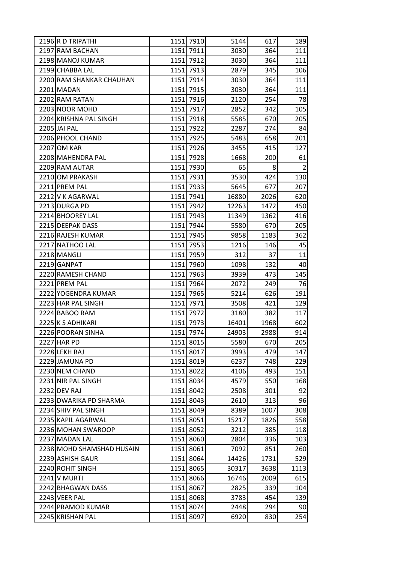| 2196 R D TRIPATHI         | 1151 7910 | 5144  | 617  | 189            |
|---------------------------|-----------|-------|------|----------------|
| 2197 RAM BACHAN           | 1151 7911 | 3030  | 364  | 111            |
| 2198 MANOJ KUMAR          | 1151 7912 | 3030  | 364  | 111            |
| 2199 CHABBA LAL           | 1151 7913 | 2879  | 345  | 106            |
| 2200 RAM SHANKAR CHAUHAN  | 1151 7914 | 3030  | 364  | 111            |
| 2201 MADAN                | 1151 7915 | 3030  | 364  | 111            |
| 2202 RAM RATAN            | 1151 7916 | 2120  | 254  | 78             |
| 2203 NOOR MOHD            | 1151 7917 | 2852  | 342  | 105            |
| 2204 KRISHNA PAL SINGH    | 1151 7918 | 5585  | 670  | 205            |
| 2205 JAI PAL              | 1151 7922 | 2287  | 274  | 84             |
| 2206 PHOOL CHAND          | 1151 7925 | 5483  | 658  | 201            |
| 2207 OM KAR               | 1151 7926 | 3455  | 415  | 127            |
| 2208 MAHENDRA PAL         | 1151 7928 | 1668  | 200  | 61             |
| 2209 RAM AUTAR            | 1151 7930 | 65    | 8    | $\overline{2}$ |
| 2210 OM PRAKASH           | 1151 7931 | 3530  | 424  | 130            |
| 2211 PREM PAL             | 1151 7933 | 5645  | 677  | 207            |
| 2212 V K AGARWAL          | 1151 7941 | 16880 | 2026 | 620            |
| 2213 DURGA PD             | 1151 7942 | 12263 | 1472 | 450            |
| 2214 BHOOREY LAL          | 1151 7943 | 11349 | 1362 | 416            |
| 2215 DEEPAK DASS          | 1151 7944 | 5580  | 670  | 205            |
| 2216 RAJESH KUMAR         | 1151 7945 | 9858  | 1183 | 362            |
| 2217 NATHOO LAL           | 1151 7953 | 1216  | 146  | 45             |
| 2218 MANGLI               | 1151 7959 | 312   | 37   | 11             |
| 2219 GANPAT               | 1151 7960 | 1098  | 132  | 40             |
| 2220 RAMESH CHAND         | 1151 7963 | 3939  | 473  | 145            |
| 2221 PREM PAL             | 1151 7964 | 2072  | 249  | 76             |
| 2222 YOGENDRA KUMAR       | 1151 7965 | 5214  | 626  | 191            |
| 2223 HAR PAL SINGH        | 1151 7971 | 3508  | 421  | 129            |
| 2224 BABOO RAM            | 1151 7972 | 3180  | 382  | 117            |
| 2225 K S ADHIKARI         | 1151 7973 | 16401 | 1968 | 602            |
| 2226 POORAN SINHA         | 1151 7974 | 24903 | 2988 | 914            |
| 2227 HAR PD               | 1151 8015 | 5580  | 670  | 205            |
| 2228 LEKH RAJ             | 1151 8017 | 3993  | 479  | 147            |
| 2229 JAMUNA PD            | 1151 8019 | 6237  | 748  | 229            |
| 2230 NEM CHAND            | 1151 8022 | 4106  | 493  | 151            |
| 2231 NIR PAL SINGH        | 1151 8034 | 4579  | 550  | 168            |
| 2232 DEV RAJ              | 1151 8042 | 2508  | 301  | 92             |
| 2233 DWARIKA PD SHARMA    | 1151 8043 | 2610  | 313  | 96             |
| 2234 SHIV PAL SINGH       | 1151 8049 | 8389  | 1007 | 308            |
| 2235 KAPIL AGARWAL        | 1151 8051 | 15217 | 1826 | 558            |
| 2236 MOHAN SWAROOP        | 1151 8052 | 3212  | 385  | 118            |
| 2237 MADAN LAL            | 1151 8060 | 2804  | 336  | 103            |
| 2238 MOHD SHAMSHAD HUSAIN | 1151 8061 | 7092  | 851  | 260            |
| 2239 ASHISH GAUR          | 1151 8064 | 14426 | 1731 | 529            |
| 2240 ROHIT SINGH          | 1151 8065 | 30317 | 3638 | 1113           |
| <b>2241 V MURTI</b>       | 1151 8066 | 16746 | 2009 | 615            |
| 2242 BHAGWAN DASS         | 1151 8067 | 2825  | 339  | 104            |
| 2243 VEER PAL             | 1151 8068 | 3783  | 454  | 139            |
| 2244 PRAMOD KUMAR         | 1151 8074 | 2448  | 294  | 90             |
| 2245 KRISHAN PAL          | 1151 8097 | 6920  | 830  | 254            |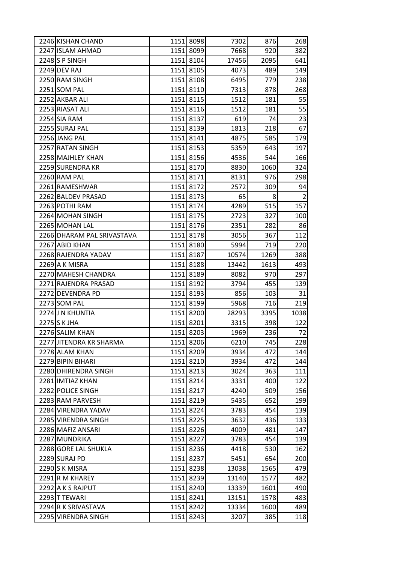| 2246 KISHAN CHAND          | 1151 8098 | 7302  | 876  | 268            |
|----------------------------|-----------|-------|------|----------------|
| 2247 ISLAM AHMAD           | 1151 8099 | 7668  | 920  | 382            |
| 2248 S P SINGH             | 1151 8104 | 17456 | 2095 | 641            |
| 2249 DEV RAJ               | 1151 8105 | 4073  | 489  | 149            |
| 2250 RAM SINGH             | 1151 8108 | 6495  | 779  | 238            |
| 2251 SOM PAL               | 1151 8110 | 7313  | 878  | 268            |
| 2252 AKBAR ALI             | 1151 8115 | 1512  | 181  | 55             |
| 2253 RIASAT ALI            | 1151 8116 | 1512  | 181  | 55             |
| 2254 SIA RAM               | 1151 8137 | 619   | 74   | 23             |
| 2255 SURAJ PAL             | 1151 8139 | 1813  | 218  | 67             |
| 2256 JANG PAL              | 1151 8141 | 4875  | 585  | 179            |
| 2257 RATAN SINGH           | 1151 8153 | 5359  | 643  | 197            |
| 2258 MAJHLEY KHAN          | 1151 8156 | 4536  | 544  | 166            |
| 2259 SURENDRA KR           | 1151 8170 | 8830  | 1060 | 324            |
| 2260 RAM PAL               | 1151 8171 | 8131  | 976  | 298            |
| 2261 RAMESHWAR             | 1151 8172 | 2572  | 309  | 94             |
| 2262 BALDEV PRASAD         | 1151 8173 | 65    | 8    | $\overline{2}$ |
| 2263 POTHI RAM             | 1151 8174 | 4289  | 515  | 157            |
| 2264 MOHAN SINGH           | 1151 8175 | 2723  | 327  | 100            |
| 2265 MOHAN LAL             | 1151 8176 | 2351  | 282  | 86             |
| 2266 DHARAM PAL SRIVASTAVA | 1151 8178 | 3056  | 367  | 112            |
| 2267 ABID KHAN             | 1151 8180 | 5994  | 719  | 220            |
| 2268 RAJENDRA YADAV        | 1151 8187 | 10574 | 1269 | 388            |
| 2269 A K MISRA             | 1151 8188 | 13442 | 1613 | 493            |
| 2270 MAHESH CHANDRA        | 1151 8189 | 8082  | 970  | 297            |
| 2271 RAJENDRA PRASAD       | 1151 8192 | 3794  | 455  | 139            |
| 2272 DEVENDRA PD           | 1151 8193 | 856   | 103  | 31             |
| 2273 SOM PAL               | 1151 8199 | 5968  | 716  | 219            |
| 2274 J N KHUNTIA           | 1151 8200 | 28293 | 3395 | 1038           |
| 2275 S K JHA               | 1151 8201 | 3315  | 398  | 122            |
| 2276 SALIM KHAN            | 1151 8203 | 1969  | 236  | 72             |
| 2277 JITENDRA KR SHARMA    | 1151 8206 | 6210  | 745  | 228            |
| 2278 ALAM KHAN             | 1151 8209 | 3934  | 472  | 144            |
| 2279 BIPIN BIHARI          | 1151 8210 | 3934  | 472  | 144            |
| 2280 DHIRENDRA SINGH       | 1151 8213 | 3024  | 363  | 111            |
| 2281 IMTIAZ KHAN           | 1151 8214 | 3331  | 400  | 122            |
| 2282 POLICE SINGH          | 1151 8217 | 4240  | 509  | 156            |
| 2283 RAM PARVESH           | 1151 8219 | 5435  | 652  | 199            |
| 2284 VIRENDRA YADAV        | 1151 8224 | 3783  | 454  | 139            |
| 2285 VIRENDRA SINGH        | 1151 8225 | 3632  | 436  | 133            |
| 2286 MAFIZ ANSARI          | 1151 8226 | 4009  | 481  | 147            |
| 2287 MUNDRIKA              | 1151 8227 | 3783  | 454  | 139            |
| 2288 GORE LAL SHUKLA       | 1151 8236 | 4418  | 530  | 162            |
| 2289 SURAJ PD              | 1151 8237 | 5451  | 654  | 200            |
| 2290 S K MISRA             | 1151 8238 | 13038 | 1565 | 479            |
| 2291 R M KHAREY            | 1151 8239 | 13140 | 1577 | 482            |
| 2292 A K S RAJPUT          | 1151 8240 | 13339 | 1601 | 490            |
| 2293 T TEWARI              | 1151 8241 | 13151 | 1578 | 483            |
| 2294 R K SRIVASTAVA        | 1151 8242 | 13334 | 1600 | 489            |
| 2295 VIRENDRA SINGH        | 1151 8243 | 3207  | 385  | 118            |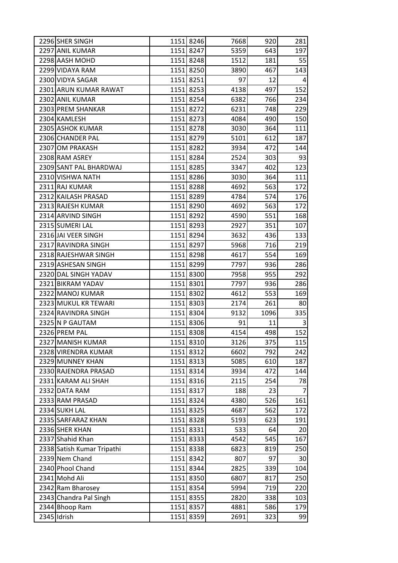| 2296 SHER SINGH            |      | 1151 8246 | 7668 | 920  | 281             |
|----------------------------|------|-----------|------|------|-----------------|
| 2297 ANIL KUMAR            |      | 1151 8247 | 5359 | 643  | 197             |
| 2298 AASH MOHD             |      | 1151 8248 | 1512 | 181  | 55              |
| 2299 VIDAYA RAM            |      | 1151 8250 | 3890 | 467  | 143             |
| 2300 VIDYA SAGAR           | 1151 | 8251      | 97   | 12   | 4               |
| 2301 ARUN KUMAR RAWAT      |      | 1151 8253 | 4138 | 497  | 152             |
| 2302 ANIL KUMAR            |      | 1151 8254 | 6382 | 766  | 234             |
| 2303 PREM SHANKAR          |      | 1151 8272 | 6231 | 748  | 229             |
| 2304 KAMLESH               |      | 1151 8273 | 4084 | 490  | 150             |
| 2305 ASHOK KUMAR           |      | 1151 8278 | 3030 | 364  | 111             |
| 2306 CHANDER PAL           |      | 1151 8279 | 5101 | 612  | 187             |
| 2307 OM PRAKASH            |      | 1151 8282 | 3934 | 472  | 144             |
| 2308 RAM ASREY             |      | 1151 8284 | 2524 | 303  | 93              |
| 2309 SANT PAL BHARDWAJ     |      | 1151 8285 | 3347 | 402  | 123             |
| 2310 VISHWA NATH           |      | 1151 8286 | 3030 | 364  | 111             |
| 2311 RAJ KUMAR             |      | 1151 8288 | 4692 | 563  | 172             |
| 2312 KAILASH PRASAD        | 1151 | 8289      | 4784 | 574  | 176             |
| 2313 RAJESH KUMAR          |      | 1151 8290 | 4692 | 563  | 172             |
| 2314 ARVIND SINGH          |      | 1151 8292 | 4590 | 551  | 168             |
| 2315 SUMERI LAL            |      | 1151 8293 | 2927 | 351  | 107             |
| 2316 JAI VEER SINGH        |      | 1151 8294 | 3632 | 436  | 133             |
| 2317 RAVINDRA SINGH        |      | 1151 8297 | 5968 | 716  | 219             |
| 2318 RAJESHWAR SINGH       |      | 1151 8298 | 4617 | 554  | 169             |
| 2319 ASHESAN SINGH         |      | 1151 8299 | 7797 | 936  | 286             |
| 2320 DAL SINGH YADAV       |      | 1151 8300 | 7958 | 955  | 292             |
| 2321 BIKRAM YADAV          |      | 1151 8301 | 7797 | 936  | 286             |
| 2322 MANOJ KUMAR           |      | 1151 8302 | 4612 | 553  | 169             |
| 2323 MUKUL KR TEWARI       |      | 1151 8303 | 2174 | 261  | 80              |
| 2324 RAVINDRA SINGH        |      | 1151 8304 | 9132 | 1096 | 335             |
| 2325 N P GAUTAM            |      | 1151 8306 | 91   | 11   | 3               |
| 2326 PREM PAL              |      | 1151 8308 | 4154 | 498  | 152             |
| 2327 MANISH KUMAR          |      | 1151 8310 | 3126 | 375  | 115             |
| 2328 VIRENDRA KUMAR        |      | 1151 8312 | 6602 | 792  | 242             |
| 2329 MUNNEY KHAN           |      | 1151 8313 | 5085 | 610  | 187             |
| 2330 RAJENDRA PRASAD       |      | 1151 8314 | 3934 | 472  | 144             |
| 2331 KARAM ALI SHAH        |      | 1151 8316 | 2115 | 254  | 78              |
| 2332 DATA RAM              |      | 1151 8317 | 188  | 23   | $\overline{7}$  |
| 2333 RAM PRASAD            |      | 1151 8324 | 4380 | 526  | 161             |
| 2334 SUKH LAL              |      | 1151 8325 | 4687 | 562  | 172             |
| 2335 SARFARAZ KHAN         | 1151 | 8328      | 5193 | 623  | 191             |
| 2336 SHER KHAN             |      | 1151 8331 | 533  | 64   | 20 <sup>2</sup> |
| 2337 Shahid Khan           |      | 1151 8333 | 4542 | 545  | 167             |
| 2338 Satish Kumar Tripathi | 1151 | 8338      | 6823 | 819  | 250             |
| 2339 Nem Chand             |      | 1151 8342 | 807  | 97   | 30 <sup>°</sup> |
| 2340 Phool Chand           |      | 1151 8344 | 2825 | 339  | 104             |
| 2341 Mohd Ali              |      | 1151 8350 | 6807 | 817  | 250             |
| 2342 Ram Bharosey          |      | 1151 8354 | 5994 | 719  | 220             |
| 2343 Chandra Pal Singh     |      | 1151 8355 | 2820 | 338  | 103             |
| 2344 Bhoop Ram             |      | 1151 8357 | 4881 | 586  | 179             |
| 2345 Idrish                | 1151 | 8359      | 2691 | 323  | 99              |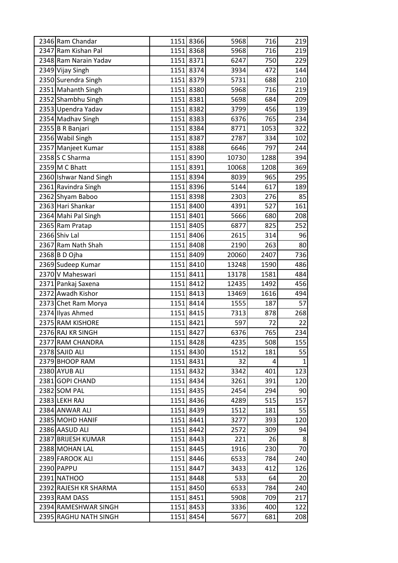| 2346 Ram Chandar       |      | 1151 8366 | 5968  | 716  | 219          |
|------------------------|------|-----------|-------|------|--------------|
| 2347 Ram Kishan Pal    |      | 1151 8368 | 5968  | 716  | 219          |
| 2348 Ram Narain Yadav  |      | 1151 8371 | 6247  | 750  | 229          |
| 2349 Vijay Singh       |      | 1151 8374 | 3934  | 472  | 144          |
| 2350 Surendra Singh    | 1151 | 8379      | 5731  | 688  | 210          |
| 2351 Mahanth Singh     |      | 1151 8380 | 5968  | 716  | 219          |
| 2352 Shambhu Singh     |      | 1151 8381 | 5698  | 684  | 209          |
| 2353 Upendra Yadav     | 1151 | 8382      | 3799  | 456  | 139          |
| 2354 Madhav Singh      |      | 1151 8383 | 6376  | 765  | 234          |
| 2355 B R Banjari       | 1151 | 8384      | 8771  | 1053 | 322          |
| 2356 Wabil Singh       | 1151 | 8387      | 2787  | 334  | 102          |
| 2357 Manjeet Kumar     | 1151 | 8388      | 6646  | 797  | 244          |
| 2358 S C Sharma        |      | 1151 8390 | 10730 | 1288 | 394          |
| $2359$ M C Bhatt       |      | 1151 8391 | 10068 | 1208 | 369          |
| 2360 Ishwar Nand Singh |      | 1151 8394 | 8039  | 965  | 295          |
| 2361 Ravindra Singh    |      | 1151 8396 | 5144  | 617  | 189          |
| 2362 Shyam Baboo       | 1151 | 8398      | 2303  | 276  | 85           |
| 2363 Hari Shankar      |      | 1151 8400 | 4391  | 527  | 161          |
| 2364 Mahi Pal Singh    |      | 1151 8401 | 5666  | 680  | 208          |
| 2365 Ram Pratap        |      | 1151 8405 | 6877  | 825  | 252          |
| 2366 Shiv Lal          |      | 1151 8406 | 2615  | 314  | 96           |
| 2367 Ram Nath Shah     | 1151 | 8408      | 2190  | 263  | 80           |
| 2368 B D Ojha          |      | 1151 8409 | 20060 | 2407 | 736          |
| 2369 Sudeep Kumar      | 1151 | 8410      | 13248 | 1590 | 486          |
| 2370 V Maheswari       |      | 1151 8411 | 13178 | 1581 | 484          |
| 2371 Pankaj Saxena     |      | 1151 8412 | 12435 | 1492 | 456          |
| 2372 Awadh Kishor      | 1151 | 8413      | 13469 | 1616 | 494          |
| 2373 Chet Ram Morya    |      | 1151 8414 | 1555  | 187  | 57           |
| 2374 Ilyas Ahmed       | 1151 | 8415      | 7313  | 878  | 268          |
| 2375 RAM KISHORE       | 1151 | 8421      | 597   | 72   | 22           |
| 2376 RAJ KR SINGH      |      | 1151 8427 | 6376  | 765  | 234          |
| 2377 RAM CHANDRA       |      | 1151 8428 | 4235  | 508  | 155          |
| 2378 SAJID ALI         |      | 1151 8430 | 1512  | 181  | 55           |
| 2379 BHOOP RAM         |      | 1151 8431 | 32    | 4    | $\mathbf{1}$ |
| 2380 AYUB ALI          |      | 1151 8432 | 3342  | 401  | 123          |
| 2381 GOPI CHAND        |      | 1151 8434 | 3261  | 391  | 120          |
| 2382 SOM PAL           |      | 1151 8435 | 2454  | 294  | 90           |
| 2383 LEKH RAJ          |      | 1151 8436 | 4289  | 515  | 157          |
| 2384 ANWAR ALI         |      | 1151 8439 | 1512  | 181  | 55           |
| 2385 MOHD HANIF        |      | 1151 8441 | 3277  | 393  | 120          |
| 2386 AASUD ALI         |      | 1151 8442 | 2572  | 309  | 94           |
| 2387 BRIJESH KUMAR     |      | 1151 8443 | 221   | 26   | 8            |
| 2388 MOHAN LAL         |      | 1151 8445 | 1916  | 230  | 70           |
| 2389 FAROOK ALI        |      | 1151 8446 | 6533  | 784  | 240          |
| 2390 PAPPU             |      | 1151 8447 | 3433  | 412  | 126          |
| 2391 NATHOO            |      | 1151 8448 | 533   | 64   | 20           |
| 2392 RAJESH KR SHARMA  |      | 1151 8450 | 6533  | 784  | 240          |
| 2393 RAM DASS          |      | 1151 8451 | 5908  | 709  | 217          |
| 2394 RAMESHWAR SINGH   |      | 1151 8453 | 3336  | 400  | 122          |
| 2395 RAGHU NATH SINGH  |      | 1151 8454 | 5677  | 681  | 208          |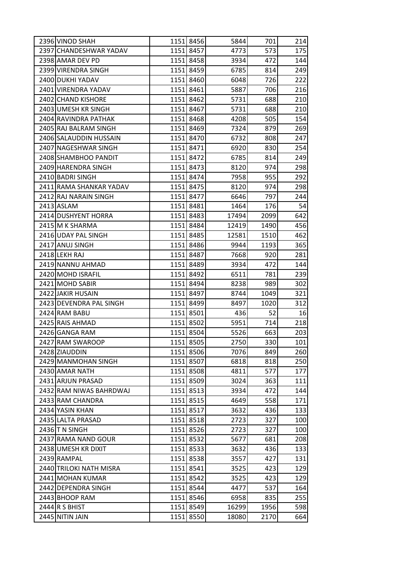| 2396 VINOD SHAH         | 1151 8456 | 5844  | 701  | 214 |
|-------------------------|-----------|-------|------|-----|
| 2397 CHANDESHWAR YADAV  | 1151 8457 | 4773  | 573  | 175 |
| 2398 AMAR DEV PD        | 1151 8458 | 3934  | 472  | 144 |
| 2399 VIRENDRA SINGH     | 1151 8459 | 6785  | 814  | 249 |
| 2400 DUKHI YADAV        | 1151 8460 | 6048  | 726  | 222 |
| 2401 VIRENDRA YADAV     | 1151 8461 | 5887  | 706  | 216 |
| 2402 CHAND KISHORE      | 1151 8462 | 5731  | 688  | 210 |
| 2403 UMESH KR SINGH     | 1151 8467 | 5731  | 688  | 210 |
| 2404 RAVINDRA PATHAK    | 1151 8468 | 4208  | 505  | 154 |
| 2405 RAJ BALRAM SINGH   | 1151 8469 | 7324  | 879  | 269 |
| 2406 SALAUDDIN HUSSAIN  | 1151 8470 | 6732  | 808  | 247 |
| 2407 NAGESHWAR SINGH    | 1151 8471 | 6920  | 830  | 254 |
| 2408 SHAMBHOO PANDIT    | 1151 8472 | 6785  | 814  | 249 |
| 2409 HARENDRA SINGH     | 1151 8473 | 8120  | 974  | 298 |
| 2410 BADRI SINGH        | 1151 8474 | 7958  | 955  | 292 |
| 2411 RAMA SHANKAR YADAV | 1151 8475 | 8120  | 974  | 298 |
| 2412 RAJ NARAIN SINGH   | 1151 8477 | 6646  | 797  | 244 |
| 2413 ASLAM              | 1151 8481 | 1464  | 176  | 54  |
| 2414 DUSHYENT HORRA     | 1151 8483 | 17494 | 2099 | 642 |
| 2415 M K SHARMA         | 1151 8484 | 12419 | 1490 | 456 |
| 2416 UDAY PAL SINGH     | 1151 8485 | 12581 | 1510 | 462 |
| 2417 ANUJ SINGH         | 1151 8486 | 9944  | 1193 | 365 |
| 2418 LEKH RAJ           | 1151 8487 | 7668  | 920  | 281 |
| 2419 NANNU AHMAD        | 1151 8489 | 3934  | 472  | 144 |
| 2420 MOHD ISRAFIL       | 1151 8492 | 6511  | 781  | 239 |
| 2421 MOHD SABIR         | 1151 8494 | 8238  | 989  | 302 |
| 2422 JAKIR HUSAIN       | 1151 8497 | 8744  | 1049 | 321 |
| 2423 DEVENDRA PAL SINGH | 1151 8499 | 8497  | 1020 | 312 |
| 2424 RAM BABU           | 1151 8501 | 436   | 52   | 16  |
| 2425 RAIS AHMAD         | 1151 8502 | 5951  | 714  | 218 |
| 2426 GANGA RAM          | 1151 8504 | 5526  | 663  | 203 |
| 2427 RAM SWAROOP        | 1151 8505 | 2750  | 330  | 101 |
| 2428 ZIAUDDIN           | 1151 8506 | 7076  | 849  | 260 |
| 2429 MANMOHAN SINGH     | 1151 8507 | 6818  | 818  | 250 |
| 2430 AMAR NATH          | 1151 8508 | 4811  | 577  | 177 |
| 2431 ARJUN PRASAD       | 1151 8509 | 3024  | 363  | 111 |
| 2432 RAM NIWAS BAHRDWAJ | 1151 8513 | 3934  | 472  | 144 |
| 2433 RAM CHANDRA        | 1151 8515 | 4649  | 558  | 171 |
| 2434 YASIN KHAN         | 1151 8517 | 3632  | 436  | 133 |
| 2435 LALTA PRASAD       | 1151 8518 | 2723  | 327  | 100 |
| 2436 T N SINGH          | 1151 8526 | 2723  | 327  | 100 |
| 2437 RAMA NAND GOUR     | 1151 8532 | 5677  | 681  | 208 |
| 2438 UMESH KR DIXIT     | 1151 8533 | 3632  | 436  | 133 |
| 2439 RAMPAL             | 1151 8538 | 3557  | 427  | 131 |
| 2440 TRILOKI NATH MISRA | 1151 8541 | 3525  | 423  | 129 |
| 2441 MOHAN KUMAR        | 1151 8542 | 3525  | 423  | 129 |
| 2442 DEPENDRA SINGH     | 1151 8544 | 4477  | 537  | 164 |
| 2443 BHOOP RAM          | 1151 8546 | 6958  | 835  | 255 |
| 2444 R S BHIST          | 1151 8549 | 16299 | 1956 | 598 |
| 2445 NITIN JAIN         | 1151 8550 | 18080 | 2170 | 664 |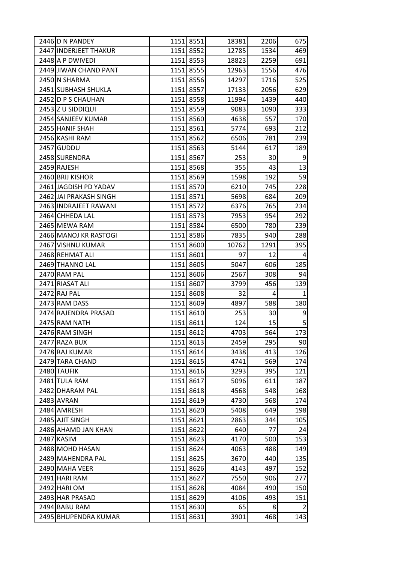| 2446 D N PANDEY        |      | 1151 8551 | 18381 | 2206 | 675            |
|------------------------|------|-----------|-------|------|----------------|
| 2447 INDERJEET THAKUR  |      | 1151 8552 | 12785 | 1534 | 469            |
| 2448 A P DWIVEDI       |      | 1151 8553 | 18823 | 2259 | 691            |
| 2449 JIWAN CHAND PANT  |      | 1151 8555 | 12963 | 1556 | 476            |
| 2450 N SHARMA          |      | 1151 8556 | 14297 | 1716 | 525            |
| 2451 SUBHASH SHUKLA    |      | 1151 8557 | 17133 | 2056 | 629            |
| 2452 D P S CHAUHAN     |      | 1151 8558 | 11994 | 1439 | 440            |
| 2453 Z U SIDDIQUI      |      | 1151 8559 | 9083  | 1090 | 333            |
| 2454 SANJEEV KUMAR     |      | 1151 8560 | 4638  | 557  | 170            |
| 2455 HANIF SHAH        |      | 1151 8561 | 5774  | 693  | 212            |
| 2456 KASHI RAM         |      | 1151 8562 | 6506  | 781  | 239            |
| 2457 GUDDU             |      | 1151 8563 | 5144  | 617  | 189            |
| 2458 SURENDRA          |      | 1151 8567 | 253   | 30   | 9              |
| 2459 RAJESH            |      | 1151 8568 | 355   | 43   | 13             |
| 2460 BRIJ KISHOR       |      | 1151 8569 | 1598  | 192  | 59             |
| 2461 JAGDISH PD YADAV  |      | 1151 8570 | 6210  | 745  | 228            |
| 2462 JAI PRAKASH SINGH |      | 1151 8571 | 5698  | 684  | 209            |
| 2463 INDRAJEET RAWANI  |      | 1151 8572 | 6376  | 765  | 234            |
| 2464 CHHEDA LAL        |      | 1151 8573 | 7953  | 954  | 292            |
| 2465 MEWA RAM          |      | 1151 8584 | 6500  | 780  | 239            |
| 2466 MANOJ KR RASTOGI  |      | 1151 8586 | 7835  | 940  | 288            |
| 2467 VISHNU KUMAR      |      | 1151 8600 | 10762 | 1291 | 395            |
| 2468 REHMAT ALI        |      | 1151 8601 | 97    | 12   | 4              |
| 2469 THANNO LAL        |      | 1151 8605 | 5047  | 606  | 185            |
| 2470 RAM PAL           |      | 1151 8606 | 2567  | 308  | 94             |
| 2471 RIASAT ALI        |      | 1151 8607 | 3799  | 456  | 139            |
| 2472 RAJ PAL           |      | 1151 8608 | 32    | 4    | 1              |
| 2473 RAM DASS          |      | 1151 8609 | 4897  | 588  | 180            |
| 2474 RAJENDRA PRASAD   |      | 1151 8610 | 253   | 30   | 9              |
| 2475 RAM NATH          |      | 1151 8611 | 124   | 15   | 5              |
| 2476 RAM SINGH         |      | 1151 8612 | 4703  | 564  | 173            |
| 2477 RAZA BUX          |      | 1151 8613 | 2459  | 295  | 90             |
| 2478 RAJ KUMAR         |      | 1151 8614 | 3438  | 413  | 126            |
| 2479 TARA CHAND        |      | 1151 8615 | 4741  | 569  | 174            |
| 2480 TAUFIK            |      | 1151 8616 | 3293  | 395  | 121            |
| 2481 TULA RAM          |      | 1151 8617 | 5096  | 611  | 187            |
| 2482 DHARAM PAL        |      | 1151 8618 | 4568  | 548  | 168            |
| 2483 AVRAN             |      | 1151 8619 | 4730  | 568  | 174            |
| 2484 AMRESH            |      | 1151 8620 | 5408  | 649  | 198            |
| 2485 AJIT SINGH        |      | 1151 8621 | 2863  | 344  | 105            |
| 2486 AHAMD JAN KHAN    |      | 1151 8622 | 640   | 77   | 24             |
| 2487 KASIM             |      | 1151 8623 | 4170  | 500  | 153            |
| 2488 MOHD HASAN        | 1151 | 8624      | 4063  | 488  | 149            |
| 2489 MAHENDRA PAL      |      | 1151 8625 | 3670  | 440  | 135            |
| 2490 MAHA VEER         |      | 1151 8626 | 4143  | 497  | 152            |
| 2491 HARI RAM          |      | 1151 8627 | 7550  | 906  | 277            |
| 2492 HARIOM            |      | 1151 8628 | 4084  | 490  | 150            |
| 2493 HAR PRASAD        | 1151 | 8629      | 4106  | 493  | 151            |
| 2494 BABU RAM          |      | 1151 8630 | 65    | 8    | $\overline{2}$ |
| 2495 BHUPENDRA KUMAR   |      | 1151 8631 | 3901  | 468  | 143            |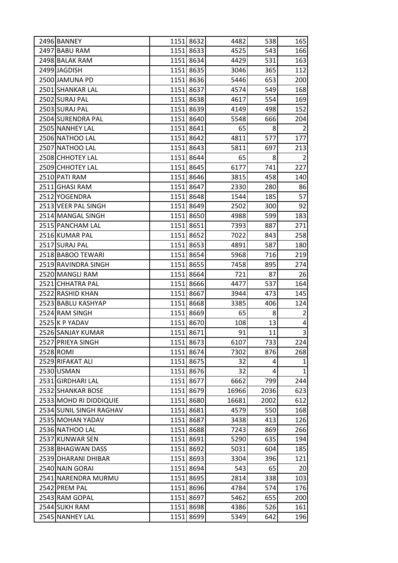| 2496 BANNEY             |      | 1151 8632 | 4482  | 538  | 165            |
|-------------------------|------|-----------|-------|------|----------------|
| 2497 BABU RAM           |      | 1151 8633 | 4525  | 543  | 166            |
| 2498 BALAK RAM          |      | 1151 8634 | 4429  | 531  | 163            |
| 2499 JAGDISH            |      | 1151 8635 | 3046  | 365  | 112            |
| 2500 JAMUNA PD          |      | 1151 8636 | 5446  | 653  | 200            |
| 2501 SHANKAR LAL        |      | 1151 8637 | 4574  | 549  | 168            |
| 2502 SURAJ PAL          |      | 1151 8638 | 4617  | 554  | 169            |
| 2503 SURAJ PAL          |      | 1151 8639 | 4149  | 498  | 152            |
| 2504 SURENDRA PAL       |      | 1151 8640 | 5548  | 666  | 204            |
| 2505 NANHEY LAL         |      | 1151 8641 | 65    | 8    | $\overline{2}$ |
| 2506 NATHOO LAL         |      | 1151 8642 | 4811  | 577  | 177            |
| 2507 NATHOO LAL         |      | 1151 8643 | 5811  | 697  | 213            |
| 2508 CHHOTEY LAL        | 1151 | 8644      | 65    | 8    | $\overline{2}$ |
| 2509 CHHOTEY LAL        |      | 1151 8645 | 6177  | 741  | 227            |
| 2510 PATI RAM           |      | 1151 8646 | 3815  | 458  | 140            |
| 2511 GHASI RAM          |      | 1151 8647 | 2330  | 280  | 86             |
| 2512 YOGENDRA           |      | 1151 8648 | 1544  | 185  | 57             |
| 2513 VEER PAL SINGH     |      | 1151 8649 | 2502  | 300  | 92             |
| 2514 MANGAL SINGH       |      | 1151 8650 | 4988  | 599  | 183            |
| 2515 PANCHAM LAL        |      | 1151 8651 | 7393  | 887  | 271            |
| 2516 KUMAR PAL          |      | 1151 8652 | 7022  | 843  | 258            |
| 2517 SURAJ PAL          |      | 1151 8653 | 4891  | 587  | 180            |
| 2518 BABOO TEWARI       |      | 1151 8654 | 5968  | 716  | 219            |
| 2519 RAVINDRA SINGH     |      | 1151 8655 | 7458  | 895  | 274            |
| 2520 MANGLI RAM         |      | 1151 8664 | 721   | 87   | 26             |
| 2521 CHHATRA PAL        |      | 1151 8666 | 4477  | 537  | 164            |
| 2522 RASHID KHAN        |      | 1151 8667 | 3944  | 473  | 145            |
| 2523 BABLU KASHYAP      |      | 1151 8668 | 3385  | 406  | 124            |
| 2524 RAM SINGH          | 1151 | 8669      | 65    | 8    | $\overline{2}$ |
| 2525 K P YADAV          |      | 1151 8670 | 108   | 13   | 4              |
| 2526 SANJAY KUMAR       |      | 1151 8671 | 91    | 11   | $\overline{3}$ |
| 2527 PRIEYA SINGH       |      | 1151 8673 | 6107  | 733  | 224            |
| 2528 ROMI               |      | 1151 8674 | 7302  | 876  | 268            |
| 2529 RIFAKAT ALI        |      | 1151 8675 | 32    | 4    | 1              |
| 2530 USMAN              |      | 1151 8676 | 32    | 4    | $\mathbf{1}$   |
| 2531 GIRDHARI LAL       |      | 1151 8677 | 6662  | 799  | 244            |
| 2532 SHANKAR BOSE       |      | 1151 8679 | 16966 | 2036 | 623            |
| 2533 MOHD RI DIDDIQUIE  |      | 1151 8680 | 16681 | 2002 | 612            |
| 2534 SUNIL SINGH RAGHAV |      | 1151 8681 | 4579  | 550  | 168            |
| 2535 MOHAN YADAV        |      | 1151 8687 | 3438  | 413  | 126            |
| 2536 NATHOO LAL         | 1151 | 8688      | 7243  | 869  | 266            |
| 2537 KUNWAR SEN         |      | 1151 8691 | 5290  | 635  | 194            |
| 2538 BHAGWAN DASS       |      | 1151 8692 | 5031  | 604  | 185            |
| 2539 DHARANI DHIBAR     |      | 1151 8693 | 3304  | 396  | 121            |
| 2540 NAIN GORAI         |      | 1151 8694 | 543   | 65   | 20             |
| 2541 NARENDRA MURMU     |      | 1151 8695 | 2814  | 338  | 103            |
| 2542 PREM PAL           |      | 1151 8696 | 4784  | 574  | 176            |
| 2543 RAM GOPAL          | 1151 | 8697      | 5462  | 655  | 200            |
| 2544 SUKH RAM           |      | 1151 8698 | 4386  | 526  | 161            |
| 2545 NANHEY LAL         |      | 1151 8699 | 5349  | 642  | 196            |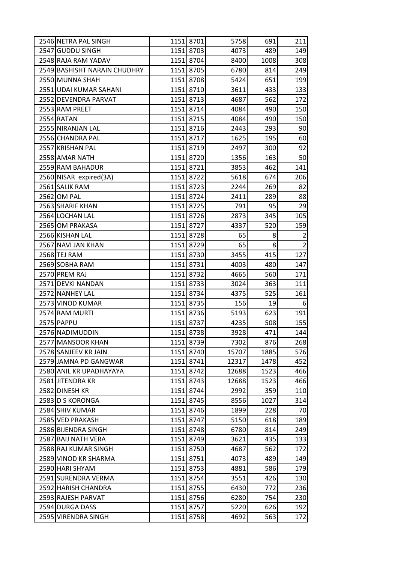| 2546 NETRA PAL SINGH         |      | 1151 8701 | 5758  | 691  | 211            |
|------------------------------|------|-----------|-------|------|----------------|
| 2547 GUDDU SINGH             |      | 1151 8703 | 4073  | 489  | 149            |
| 2548 RAJA RAM YADAV          |      | 1151 8704 | 8400  | 1008 | 308            |
| 2549 BASHISHT NARAIN CHUDHRY |      | 1151 8705 | 6780  | 814  | 249            |
| 2550 MUNNA SHAH              |      | 1151 8708 | 5424  | 651  | 199            |
| 2551 UDAI KUMAR SAHANI       |      | 1151 8710 | 3611  | 433  | 133            |
| 2552 DEVENDRA PARVAT         |      | 1151 8713 | 4687  | 562  | 172            |
| 2553 RAM PREET               |      | 1151 8714 | 4084  | 490  | 150            |
| 2554 RATAN                   |      | 1151 8715 | 4084  | 490  | 150            |
| 2555 NIRANJAN LAL            |      | 1151 8716 | 2443  | 293  | 90             |
| 2556 CHANDRA PAL             |      | 1151 8717 | 1625  | 195  | 60             |
| 2557 KRISHAN PAL             |      | 1151 8719 | 2497  | 300  | 92             |
| 2558 AMAR NATH               |      | 1151 8720 | 1356  | 163  | 50             |
| 2559 RAM BAHADUR             |      | 1151 8721 | 3853  | 462  | 141            |
| 2560 NISAR expired(3A)       |      | 1151 8722 | 5618  | 674  | 206            |
| 2561 SALIK RAM               |      | 1151 8723 | 2244  | 269  | 82             |
| 2562 OM PAL                  |      | 1151 8724 | 2411  | 289  | 88             |
| 2563 SHARIF KHAN             |      | 1151 8725 | 791   | 95   | 29             |
| 2564 LOCHAN LAL              |      | 1151 8726 | 2873  | 345  | 105            |
| 2565 OM PRAKASA              |      | 1151 8727 | 4337  | 520  | 159            |
| 2566 KISHAN LAL              |      | 1151 8728 | 65    | 8    | $\overline{2}$ |
| 2567 NAVI JAN KHAN           |      | 1151 8729 | 65    | 8    | $\overline{2}$ |
| 2568 TEJ RAM                 |      | 1151 8730 | 3455  | 415  | 127            |
| 2569 SOBHA RAM               |      | 1151 8731 | 4003  | 480  | 147            |
| 2570 PREM RAJ                |      | 1151 8732 | 4665  | 560  | 171            |
| 2571 DEVKI NANDAN            |      | 1151 8733 | 3024  | 363  | 111            |
| 2572 NANHEY LAL              |      | 1151 8734 | 4375  | 525  | 161            |
| 2573 VINOD KUMAR             |      | 1151 8735 | 156   | 19   | 6              |
| 2574 RAM MURTI               |      | 1151 8736 | 5193  | 623  | 191            |
| 2575 PAPPU                   |      | 1151 8737 | 4235  | 508  | 155            |
| 2576 NADIMUDDIN              |      | 1151 8738 | 3928  | 471  | 144            |
| 2577 MANSOOR KHAN            |      | 1151 8739 | 7302  | 876  | 268            |
| 2578 SANJEEV KR JAIN         |      | 1151 8740 | 15707 | 1885 | 576            |
| 2579 JAMNA PD GANGWAR        |      | 1151 8741 | 12317 | 1478 | 452            |
| 2580 ANIL KR UPADHAYAYA      |      | 1151 8742 | 12688 | 1523 | 466            |
| 2581 JITENDRA KR             |      | 1151 8743 | 12688 | 1523 | 466            |
| 2582 DINESH KR               |      | 1151 8744 | 2992  | 359  | 110            |
| 2583 D S KORONGA             |      | 1151 8745 | 8556  | 1027 | 314            |
| 2584 SHIV KUMAR              |      | 1151 8746 | 1899  | 228  | 70             |
| 2585 VED PRAKASH             |      | 1151 8747 | 5150  | 618  | 189            |
| 2586 BIJENDRA SINGH          |      | 1151 8748 | 6780  | 814  | 249            |
| 2587 BAIJ NATH VERA          |      | 1151 8749 | 3621  | 435  | 133            |
| 2588 RAJ KUMAR SINGH         |      | 1151 8750 | 4687  | 562  | 172            |
| 2589 VINOD KR SHARMA         |      | 1151 8751 | 4073  | 489  | 149            |
| 2590 HARI SHYAM              |      | 1151 8753 | 4881  | 586  | 179            |
| 2591 SURENDRA VERMA          |      | 1151 8754 | 3551  | 426  | 130            |
| 2592 HARISH CHANDRA          |      | 1151 8755 | 6430  | 772  | 236            |
| 2593 RAJESH PARVAT           | 1151 | 8756      | 6280  | 754  | 230            |
| 2594 DURGA DASS              |      | 1151 8757 | 5220  | 626  | 192            |
| 2595 VIRENDRA SINGH          |      | 1151 8758 | 4692  | 563  | 172            |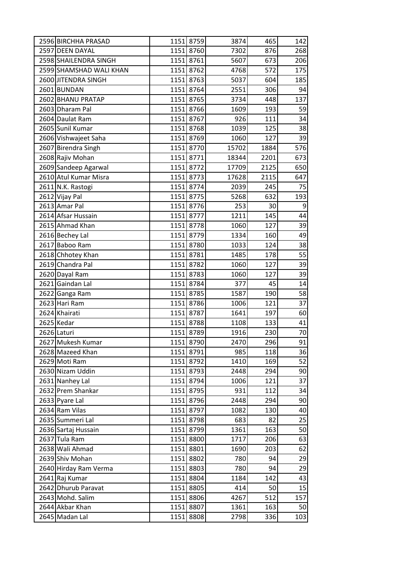| 2596 BIRCHHA PRASAD     |      | 1151 8759 | 3874  | 465  | 142 |
|-------------------------|------|-----------|-------|------|-----|
| 2597 DEEN DAYAL         |      | 1151 8760 | 7302  | 876  | 268 |
| 2598 SHAILENDRA SINGH   |      | 1151 8761 | 5607  | 673  | 206 |
| 2599 SHAMSHAD WALI KHAN |      | 1151 8762 | 4768  | 572  | 175 |
| 2600 JITENDRA SINGH     | 1151 | 8763      | 5037  | 604  | 185 |
| 2601 BUNDAN             |      | 1151 8764 | 2551  | 306  | 94  |
| 2602 BHANU PRATAP       |      | 1151 8765 | 3734  | 448  | 137 |
| 2603 Dharam Pal         |      | 1151 8766 | 1609  | 193  | 59  |
| 2604 Daulat Ram         |      | 1151 8767 | 926   | 111  | 34  |
| 2605 Sunil Kumar        |      | 1151 8768 | 1039  | 125  | 38  |
| 2606 Vishwajeet Saha    |      | 1151 8769 | 1060  | 127  | 39  |
| 2607 Birendra Singh     |      | 1151 8770 | 15702 | 1884 | 576 |
| 2608 Rajiv Mohan        |      | 1151 8771 | 18344 | 2201 | 673 |
| 2609 Sandeep Agarwal    |      | 1151 8772 | 17709 | 2125 | 650 |
| 2610 Atul Kumar Misra   |      | 1151 8773 | 17628 | 2115 | 647 |
| 2611 N.K. Rastogi       |      | 1151 8774 | 2039  | 245  | 75  |
| 2612 Vijay Pal          | 1151 | 8775      | 5268  | 632  | 193 |
| 2613 Amar Pal           |      | 1151 8776 | 253   | 30   | 9   |
| 2614 Afsar Hussain      |      | 1151 8777 | 1211  | 145  | 44  |
| 2615 Ahmad Khan         |      | 1151 8778 | 1060  | 127  | 39  |
| 2616 Bechey Lal         |      | 1151 8779 | 1334  | 160  | 49  |
| 2617 Baboo Ram          |      | 1151 8780 | 1033  | 124  | 38  |
| 2618 Chhotey Khan       |      | 1151 8781 | 1485  | 178  | 55  |
| 2619 Chandra Pal        | 1151 | 8782      | 1060  | 127  | 39  |
| 2620 Dayal Ram          |      | 1151 8783 | 1060  | 127  | 39  |
| 2621 Gaindan Lal        |      | 1151 8784 | 377   | 45   | 14  |
| 2622 Ganga Ram          |      | 1151 8785 | 1587  | 190  | 58  |
| 2623 Hari Ram           |      | 1151 8786 | 1006  | 121  | 37  |
| 2624 Khairati           |      | 1151 8787 | 1641  | 197  | 60  |
| 2625 Kedar              |      | 1151 8788 | 1108  | 133  | 41  |
| 2626 Laturi             |      | 1151 8789 | 1916  | 230  | 70  |
| 2627 Mukesh Kumar       |      | 1151 8790 | 2470  | 296  | 91  |
| 2628 Mazeed Khan        |      | 1151 8791 | 985   | 118  | 36  |
| 2629 Moti Ram           |      | 1151 8792 | 1410  | 169  | 52  |
| 2630 Nizam Uddin        |      | 1151 8793 | 2448  | 294  | 90  |
| 2631 Nanhey Lal         | 1151 | 8794      | 1006  | 121  | 37  |
| 2632 Prem Shankar       |      | 1151 8795 | 931   | 112  | 34  |
| 2633 Pyare Lal          |      | 1151 8796 | 2448  | 294  | 90  |
| 2634 Ram Vilas          | 1151 | 8797      | 1082  | 130  | 40  |
| 2635 Summeri Lal        |      | 1151 8798 | 683   | 82   | 25  |
| 2636 Sartaj Hussain     |      | 1151 8799 | 1361  | 163  | 50  |
| 2637 Tula Ram           |      | 1151 8800 | 1717  | 206  | 63  |
| 2638 Wali Ahmad         | 1151 | 8801      | 1690  | 203  | 62  |
| 2639 Shiv Mohan         |      | 1151 8802 | 780   | 94   | 29  |
| 2640 Hirday Ram Verma   | 1151 | 8803      | 780   | 94   | 29  |
| 2641 Raj Kumar          |      | 1151 8804 | 1184  | 142  | 43  |
| 2642 Dhurub Paravat     |      | 1151 8805 | 414   | 50   | 15  |
| 2643 Mohd. Salim        | 1151 | 8806      | 4267  | 512  | 157 |
| 2644 Akbar Khan         |      | 1151 8807 | 1361  | 163  | 50  |
| 2645 Madan Lal          |      | 1151 8808 | 2798  | 336  | 103 |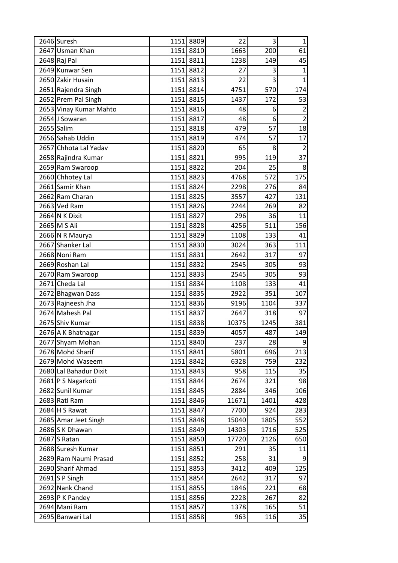| 2646 Suresh                            |      | 1151 8809              | 22           | 3           | $1\vert$        |
|----------------------------------------|------|------------------------|--------------|-------------|-----------------|
| 2647 Usman Khan                        |      | 1151 8810              | 1663         | 200         | 61              |
| 2648 Raj Pal                           |      | 1151 8811              | 1238         | 149         | 45              |
| 2649 Kunwar Sen                        |      | 1151 8812              | 27           | 3           | $1\vert$        |
| 2650 Zakir Husain                      |      | 1151 8813              | 22           | 3           | $1\vert$        |
| 2651 Rajendra Singh                    |      | 1151 8814              | 4751         | 570         | 174             |
| 2652 Prem Pal Singh                    |      | 1151 8815              | 1437         | 172         | 53              |
| 2653 Vinay Kumar Mahto                 | 1151 | 8816                   | 48           | 6           | $\overline{2}$  |
| 2654 J Sowaran                         |      | 1151 8817              | 48           | 6           | $\overline{2}$  |
| 2655 Salim                             |      | 1151 8818              | 479          | 57          | 18              |
| 2656 Sahab Uddin                       |      | 1151 8819              | 474          | 57          | 17              |
| 2657 Chhota Lal Yadav                  |      | 1151 8820              | 65           | 8           | $\overline{2}$  |
| 2658 Rajindra Kumar                    |      | 1151 8821              | 995          | 119         | 37              |
| 2659 Ram Swaroop                       |      | 1151 8822              | 204          | 25          | 8 <sup>1</sup>  |
| 2660 Chhotey Lal                       |      | 1151 8823              | 4768         | 572         | 175             |
| 2661 Samir Khan                        |      | 1151 8824              | 2298         | 276         | 84              |
| 2662 Ram Charan                        |      | 1151 8825              | 3557         | 427         | 131             |
| 2663 Ved Ram                           |      | 1151 8826              | 2244         | 269         | 82              |
| 2664 N K Dixit                         |      | 1151 8827              | 296          | 36          | 11              |
| 2665 M S Ali                           |      | 1151 8828              | 4256         | 511         | 156             |
| 2666 N R Maurya                        |      | 1151 8829              | 1108         | 133         | 41              |
| 2667 Shanker Lal                       |      | 1151 8830              | 3024         | 363         | 111             |
| 2668 Noni Ram                          |      | 1151 8831              | 2642         | 317         | 97              |
| 2669 Roshan Lal                        |      | 1151 8832              | 2545         | 305         | 93              |
| 2670 Ram Swaroop<br>2671 Cheda Lal     |      | 1151 8833              | 2545         | 305         | 93              |
|                                        |      | 1151 8834              | 1108         | 133         | 41              |
| 2672 Bhagwan Dass<br>2673 Rajneesh Jha |      | 1151 8835<br>1151 8836 | 2922<br>9196 | 351<br>1104 | 107<br>337      |
| 2674 Mahesh Pal                        |      | 1151 8837              | 2647         | 318         | 97              |
| 2675 Shiv Kumar                        |      | 1151 8838              | 10375        | 1245        | 381             |
| 2676 A K Bhatnagar                     | 1151 | 8839                   | 4057         | 487         | 149             |
| 2677 Shyam Mohan                       |      | 1151 8840              | 237          | 28          | $\overline{9}$  |
| 2678 Mohd Sharif                       |      | 1151 8841              | 5801         | 696         | 213             |
| 2679 Mohd Waseem                       |      | 1151 8842              | 6328         | 759         | 232             |
| 2680 Lal Bahadur Dixit                 |      | 1151 8843              | 958          | 115         | 35              |
| 2681 P S Nagarkoti                     |      | 1151 8844              | 2674         | 321         | 98              |
| 2682 Sunil Kumar                       |      | 1151 8845              | 2884         | 346         | 106             |
| 2683 Rati Ram                          |      | 1151 8846              | 11671        | 1401        | 428             |
| 2684 H S Rawat                         |      | 1151 8847              | 7700         | 924         | 283             |
| 2685 Amar Jeet Singh                   | 1151 | 8848                   | 15040        | 1805        | 552             |
| 2686 S K Dhawan                        | 1151 | 8849                   | 14303        | 1716        | 525             |
| 2687 S Ratan                           |      | 1151 8850              | 17720        | 2126        | 650             |
| 2688 Suresh Kumar                      |      | 1151 8851              | 291          | 35          | 11              |
| 2689 Ram Naumi Prasad                  |      | 1151 8852              | 258          | 31          | $\vert 9 \vert$ |
| 2690 Sharif Ahmad                      |      | 1151 8853              | 3412         | 409         | 125             |
| $2691$ S P Singh                       |      | 1151 8854              | 2642         | 317         | 97              |
| 2692 Nank Chand                        |      | 1151 8855              | 1846         | 221         | 68              |
| $2693$ P K Pandey                      |      | 1151 8856              | 2228         | 267         | 82              |
| 2694 Mani Ram                          |      | 1151 8857              | 1378         | 165         | 51              |
| 2695 Banwari Lal                       | 1151 | 8858                   | 963          | 116         | 35              |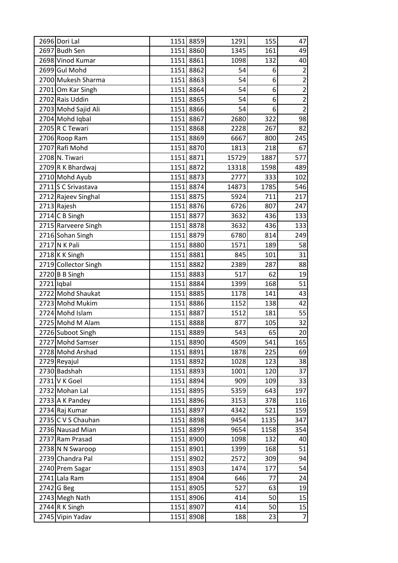| 2696 Dori Lal        | 1151 8859 | 1291  | 155  | 47             |
|----------------------|-----------|-------|------|----------------|
| 2697 Budh Sen        | 1151 8860 | 1345  | 161  | 49             |
| 2698 Vinod Kumar     | 1151 8861 | 1098  | 132  | 40             |
| 2699 Gul Mohd        | 1151 8862 | 54    | 6    | $\mathbf 2$    |
| 2700 Mukesh Sharma   | 1151 8863 | 54    | 6    | $\mathbf{2}$   |
| 2701 Om Kar Singh    | 1151 8864 | 54    | 6    | $\overline{2}$ |
| 2702 Rais Uddin      | 1151 8865 | 54    | 6    | $\overline{2}$ |
| 2703 Mohd Sajid Ali  | 1151 8866 | 54    | 6    | $\overline{2}$ |
| 2704 Mohd Iqbal      | 1151 8867 | 2680  | 322  | 98             |
| 2705 R C Tewari      | 1151 8868 | 2228  | 267  | 82             |
| 2706 Roop Ram        | 1151 8869 | 6667  | 800  | 245            |
| 2707 Rafi Mohd       | 1151 8870 | 1813  | 218  | 67             |
| 2708 N. Tiwari       | 1151 8871 | 15729 | 1887 | 577            |
| 2709 R K Bhardwaj    | 1151 8872 | 13318 | 1598 | 489            |
| 2710 Mohd Ayub       | 1151 8873 | 2777  | 333  | 102            |
| 2711 S C Srivastava  | 1151 8874 | 14873 | 1785 | 546            |
| 2712 Rajeev Singhal  | 1151 8875 | 5924  | 711  | 217            |
| 2713 Rajesh          | 1151 8876 | 6726  | 807  | 247            |
| 2714 C B Singh       | 1151 8877 | 3632  | 436  | 133            |
| 2715 Rarveere Singh  | 1151 8878 | 3632  | 436  | 133            |
| 2716 Sohan Singh     | 1151 8879 | 6780  | 814  | 249            |
| 2717 N K Pali        | 1151 8880 | 1571  | 189  | 58             |
| 2718 K K Singh       | 1151 8881 | 845   | 101  | 31             |
| 2719 Collector Singh | 1151 8882 | 2389  | 287  | 88             |
| $2720$ B B Singh     | 1151 8883 | 517   | 62   | 19             |
| 2721 Iqbal           | 1151 8884 | 1399  | 168  | 51             |
| 2722 Mohd Shaukat    | 1151 8885 | 1178  | 141  | 43             |
| 2723 Mohd Mukim      | 1151 8886 | 1152  | 138  | 42             |
| 2724 Mohd Islam      | 1151 8887 | 1512  | 181  | 55             |
| 2725 Mohd M Alam     | 1151 8888 | 877   | 105  | 32             |
| 2726 Suboot Singh    | 1151 8889 | 543   | 65   | 20             |
| 2727 Mohd Samser     | 1151 8890 | 4509  | 541  | 165            |
| 2728 Mohd Arshad     | 1151 8891 | 1878  | 225  | 69             |
| 2729 Reyajul         | 1151 8892 | 1028  | 123  | 38             |
| 2730 Badshah         | 1151 8893 | 1001  | 120  | 37             |
| 2731 V K Goel        | 1151 8894 | 909   | 109  | 33             |
| 2732 Mohan Lal       | 1151 8895 | 5359  | 643  | 197            |
| 2733 A K Pandey      | 1151 8896 | 3153  | 378  | 116            |
| 2734 Raj Kumar       | 1151 8897 | 4342  | 521  | 159            |
| 2735 C V S Chauhan   | 1151 8898 | 9454  | 1135 | 347            |
| 2736 Nausad Mian     | 1151 8899 | 9654  | 1158 | 354            |
| 2737 Ram Prasad      | 1151 8900 | 1098  | 132  | 40             |
| 2738 N N Swaroop     | 1151 8901 | 1399  | 168  | 51             |
| 2739 Chandra Pal     | 1151 8902 | 2572  | 309  | 94             |
| 2740 Prem Sagar      | 1151 8903 | 1474  | 177  | 54             |
| 2741 Lala Ram        | 1151 8904 | 646   | 77   | 24             |
| $2742$ G Beg         | 1151 8905 | 527   | 63   | 19             |
| 2743 Megh Nath       | 1151 8906 | 414   | 50   | 15             |
| $2744$ R K Singh     | 1151 8907 | 414   | 50   | 15             |
| 2745 Vipin Yadav     | 1151 8908 | 188   | 23   | $\overline{7}$ |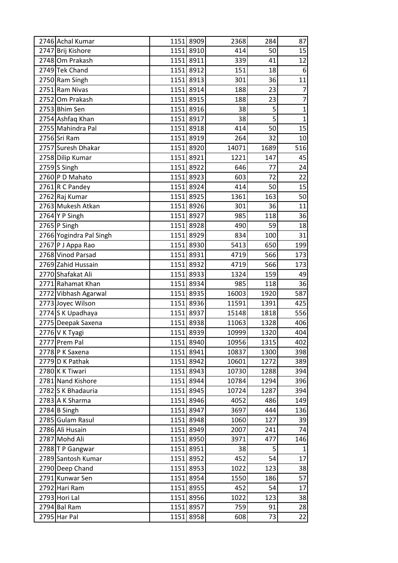| 2746 Achal Kumar        | 1151 8909 | 2368  | 284  | 87               |
|-------------------------|-----------|-------|------|------------------|
| 2747 Brij Kishore       | 1151 8910 | 414   | 50   | 15               |
| 2748 Om Prakash         | 1151 8911 | 339   | 41   | 12               |
| 2749 Tek Chand          | 1151 8912 | 151   | 18   | $6 \overline{6}$ |
| 2750 Ram Singh          | 1151 8913 | 301   | 36   | 11               |
| 2751 Ram Nivas          | 1151 8914 | 188   | 23   | $\overline{7}$   |
| 2752 Om Prakash         | 1151 8915 | 188   | 23   | $\overline{7}$   |
| 2753 Bhim Sen           | 1151 8916 | 38    | 5    | $\mathbf{1}$     |
| 2754 Ashfaq Khan        | 1151 8917 | 38    | 5    | $\mathbf{1}$     |
| 2755 Mahindra Pal       | 1151 8918 | 414   | 50   | 15               |
| 2756 Sri Ram            | 1151 8919 | 264   | 32   | 10 <sup>1</sup>  |
| 2757 Suresh Dhakar      | 1151 8920 | 14071 | 1689 | 516              |
| 2758 Dilip Kumar        | 1151 8921 | 1221  | 147  | 45               |
| $2759$ Singh            | 1151 8922 | 646   | 77   | 24               |
| 2760 P D Mahato         | 1151 8923 | 603   | 72   | 22               |
| $2761$ R C Pandey       | 1151 8924 | 414   | 50   | 15               |
| 2762 Raj Kumar          | 1151 8925 | 1361  | 163  | 50               |
| 2763 Mukesh Atkan       | 1151 8926 | 301   | 36   | 11               |
| 2764 Y P Singh          | 1151 8927 | 985   | 118  | 36               |
| 2765 P Singh            | 1151 8928 | 490   | 59   | 18               |
| 2766 Yogindra Pal Singh | 1151 8929 | 834   | 100  | 31               |
| 2767 P J Appa Rao       | 1151 8930 | 5413  | 650  | 199              |
| 2768 Vinod Parsad       | 1151 8931 | 4719  | 566  | 173              |
| 2769 Zahid Hussain      | 1151 8932 | 4719  | 566  | 173              |
| 2770 Shafakat Ali       | 1151 8933 | 1324  | 159  | 49               |
| 2771 Rahamat Khan       | 1151 8934 | 985   | 118  | 36               |
| 2772 Vibhash Agarwal    | 1151 8935 | 16003 | 1920 | 587              |
| 2773 Joyec Wilson       | 1151 8936 | 11591 | 1391 | 425              |
| 2774 S K Upadhaya       | 1151 8937 | 15148 | 1818 | 556              |
| 2775 Deepak Saxena      | 1151 8938 | 11063 | 1328 | 406              |
| 2776 V K Tyagi          | 1151 8939 | 10999 | 1320 | 404              |
| 2777 Prem Pal           | 1151 8940 | 10956 | 1315 | 402              |
| 2778 P K Saxena         | 1151 8941 | 10837 | 1300 | 398              |
| 2779 D K Pathak         | 1151 8942 | 10601 | 1272 | 389              |
| 2780 K K Tiwari         | 1151 8943 | 10730 | 1288 | 394              |
| 2781 Nand Kishore       | 1151 8944 | 10784 | 1294 | 396              |
| 2782 S K Bhadauria      | 1151 8945 | 10724 | 1287 | 394              |
| 2783 A K Sharma         | 1151 8946 | 4052  | 486  | 149              |
| 2784 B Singh            | 1151 8947 | 3697  | 444  | 136              |
| 2785 Gulam Rasul        | 1151 8948 | 1060  | 127  | 39               |
| 2786 Ali Husain         | 1151 8949 | 2007  | 241  | 74               |
| 2787 Mohd Ali           | 1151 8950 | 3971  | 477  | 146              |
| 2788 T P Gangwar        | 1151 8951 | 38    | 5    | 1                |
| 2789 Santosh Kumar      | 1151 8952 | 452   | 54   | 17               |
| 2790 Deep Chand         | 1151 8953 | 1022  | 123  | 38               |
| 2791 Kunwar Sen         | 1151 8954 | 1550  | 186  | 57               |
| 2792 Hari Ram           | 1151 8955 | 452   | 54   | 17               |
| 2793 Hori Lal           | 1151 8956 | 1022  | 123  | 38               |
| 2794 Bal Ram            | 1151 8957 | 759   | 91   | 28               |
| 2795 Har Pal            | 1151 8958 | 608   | 73   | 22               |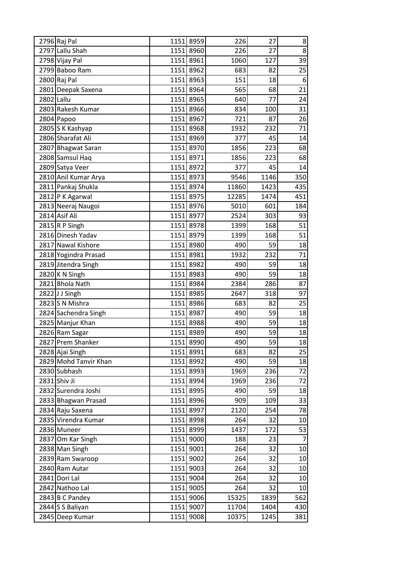| 2796 Raj Pal          | 1151 8959 | 226   | 27   | 8               |
|-----------------------|-----------|-------|------|-----------------|
| 2797 Lallu Shah       | 1151 8960 | 226   | 27   | 8 <sup>1</sup>  |
| 2798 Vijay Pal        | 1151 8961 | 1060  | 127  | 39              |
| 2799 Baboo Ram        | 1151 8962 | 683   | 82   | 25              |
| 2800 Raj Pal          | 1151 8963 | 151   | 18   | 6               |
| 2801 Deepak Saxena    | 1151 8964 | 565   | 68   | 21              |
| 2802 Lallu            | 1151 8965 | 640   | 77   | 24              |
| 2803 Rakesh Kumar     | 1151 8966 | 834   | 100  | 31              |
| 2804 Papoo            | 1151 8967 | 721   | 87   | 26              |
| 2805 S K Kashyap      | 1151 8968 | 1932  | 232  | 71              |
| 2806 Sharafat Ali     | 1151 8969 | 377   | 45   | 14              |
| 2807 Bhagwat Saran    | 1151 8970 | 1856  | 223  | 68              |
| 2808 Samsul Haq       | 1151 8971 | 1856  | 223  | 68              |
| 2809 Satya Veer       | 1151 8972 | 377   | 45   | 14              |
| 2810 Anil Kumar Arya  | 1151 8973 | 9546  | 1146 | 350             |
| 2811 Pankaj Shukla    | 1151 8974 | 11860 | 1423 | 435             |
| 2812 P K Agarwal      | 1151 8975 | 12285 | 1474 | 451             |
| 2813 Neeraj Naugoi    | 1151 8976 | 5010  | 601  | 184             |
| 2814 Asif Ali         | 1151 8977 | 2524  | 303  | 93              |
| 2815 R P Singh        | 1151 8978 | 1399  | 168  | 51              |
| 2816 Dinesh Yadav     | 1151 8979 | 1399  | 168  | 51              |
| 2817 Nawal Kishore    | 1151 8980 | 490   | 59   | 18              |
| 2818 Yogindra Prasad  | 1151 8981 | 1932  | 232  | 71              |
| 2819 Jitendra Singh   | 1151 8982 | 490   | 59   | 18              |
| 2820 K N Singh        | 1151 8983 | 490   | 59   | 18              |
| 2821 Bhola Nath       | 1151 8984 | 2384  | 286  | 87              |
| 2822JJ Singh          | 1151 8985 | 2647  | 318  | 97              |
| 2823 S N Mishra       | 1151 8986 | 683   | 82   | 25              |
| 2824 Sachendra Singh  | 1151 8987 | 490   | 59   | 18              |
| 2825 Manjur Khan      | 1151 8988 | 490   | 59   | 18              |
| 2826 Ram Sagar        | 1151 8989 | 490   | 59   | 18              |
| 2827 Prem Shanker     | 1151 8990 | 490   | 59   | 18              |
| 2828 Ajai Singh       | 1151 8991 | 683   | 82   | 25              |
| 2829 Mohd Tanvir Khan | 1151 8992 | 490   | 59   | 18              |
| 2830 Subhash          | 1151 8993 | 1969  | 236  | 72              |
| 2831 Shiv Ji          | 1151 8994 | 1969  | 236  | 72              |
| 2832 Surendra Joshi   | 1151 8995 | 490   | 59   | 18              |
| 2833 Bhagwan Prasad   | 1151 8996 | 909   | 109  | 33              |
| 2834 Raju Saxena      | 1151 8997 | 2120  | 254  | 78              |
| 2835 Virendra Kumar   | 1151 8998 | 264   | 32   | 10 <sup>1</sup> |
| 2836 Muneer           | 1151 8999 | 1437  | 172  | 53              |
| 2837 Om Kar Singh     | 1151 9000 | 188   | 23   | $\overline{7}$  |
| 2838 Man Singh        | 1151 9001 | 264   | 32   | 10              |
| 2839 Ram Swaroop      | 1151 9002 | 264   | 32   | 10              |
| 2840 Ram Autar        | 1151 9003 | 264   | 32   | 10              |
| 2841 Dori Lal         | 1151 9004 | 264   | 32   | 10              |
| 2842 Nathoo Lal       | 1151 9005 | 264   | 32   | 10              |
| $2843$ B C Pandey     | 1151 9006 | 15325 | 1839 | 562             |
| 2844 S S Baliyan      | 1151 9007 | 11704 | 1404 | 430             |
| 2845 Deep Kumar       | 1151 9008 | 10375 | 1245 | 381             |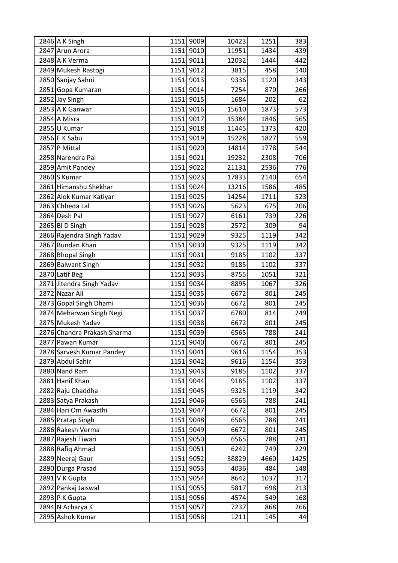| 2846 A K Singh              |      | 1151 9009 | 10423 | 1251 | 383  |
|-----------------------------|------|-----------|-------|------|------|
| 2847 Arun Arora             |      | 1151 9010 | 11951 | 1434 | 439  |
| 2848 A K Verma              |      | 1151 9011 | 12032 | 1444 | 442  |
| 2849 Mukesh Rastogi         |      | 1151 9012 | 3815  | 458  | 140  |
| 2850 Sanjay Sahni           |      | 1151 9013 | 9336  | 1120 | 343  |
| 2851 Gopa Kumaran           |      | 1151 9014 | 7254  | 870  | 266  |
| 2852 Jay Singh              |      | 1151 9015 | 1684  | 202  | 62   |
| 2853 A K Ganwar             |      | 1151 9016 | 15610 | 1873 | 573  |
| 2854 A Misra                |      | 1151 9017 | 15384 | 1846 | 565  |
| 2855U Kumar                 | 1151 | 9018      | 11445 | 1373 | 420  |
| 2856 E K Sabu               |      | 1151 9019 | 15228 | 1827 | 559  |
| 2857 P Mittal               |      | 1151 9020 | 14814 | 1778 | 544  |
| 2858 Narendra Pal           | 1151 | 9021      | 19232 | 2308 | 706  |
| 2859 Amit Pandey            |      | 1151 9022 | 21131 | 2536 | 776  |
| 2860 S Kumar                |      | 1151 9023 | 17833 | 2140 | 654  |
| 2861 Himanshu Shekhar       |      | 1151 9024 | 13216 | 1586 | 485  |
| 2862 Alok Kumar Katiyar     |      | 1151 9025 | 14254 | 1711 | 523  |
| 2863 Chheda Lal             |      | 1151 9026 | 5623  | 675  | 206  |
| 2864 Desh Pal               |      | 1151 9027 | 6161  | 739  | 226  |
| 2865 BI D Singh             |      | 1151 9028 | 2572  | 309  | 94   |
| 2866 Rajendra Singh Yadav   |      | 1151 9029 | 9325  | 1119 | 342  |
| 2867 Bundan Khan            | 1151 | 9030      | 9325  | 1119 | 342  |
| 2868 Bhopal Singh           |      | 1151 9031 | 9185  | 1102 | 337  |
| 2869 Balwant Singh          |      | 1151 9032 | 9185  | 1102 | 337  |
| 2870 Latif Beg              |      | 1151 9033 | 8755  | 1051 | 321  |
| 2871 Jitendra Singh Yadav   |      | 1151 9034 | 8895  | 1067 | 326  |
| 2872 Nazar Ali              |      | 1151 9035 | 6672  | 801  | 245  |
| 2873 Gopal Singh Dhami      |      | 1151 9036 | 6672  | 801  | 245  |
| 2874 Meharwan Singh Negi    | 1151 | 9037      | 6780  | 814  | 249  |
| 2875 Mukesh Yadav           |      | 1151 9038 | 6672  | 801  | 245  |
| 2876 Chandra Prakash Sharma |      | 1151 9039 | 6565  | 788  | 241  |
| 2877 Pawan Kumar            |      | 1151 9040 | 6672  | 801  | 245  |
| 2878 Sarvesh Kumar Pandey   |      | 1151 9041 | 9616  | 1154 | 353  |
| 2879 Abdul Sahir            |      | 1151 9042 | 9616  | 1154 | 353  |
| 2880 Nand Ram               |      | 1151 9043 | 9185  | 1102 | 337  |
| 2881 Hanif Khan             |      | 1151 9044 | 9185  | 1102 | 337  |
| 2882 Raju Chaddha           |      | 1151 9045 | 9325  | 1119 | 342  |
| 2883 Satya Prakash          |      | 1151 9046 | 6565  | 788  | 241  |
| 2884 Hari Om Awasthi        |      | 1151 9047 | 6672  | 801  | 245  |
| 2885 Pratap Singh           |      | 1151 9048 | 6565  | 788  | 241  |
| 2886 Rakesh Verma           |      | 1151 9049 | 6672  | 801  | 245  |
| 2887 Rajesh Tiwari          |      | 1151 9050 | 6565  | 788  | 241  |
| 2888 Rafiq Ahmad            |      | 1151 9051 | 6242  | 749  | 229  |
| 2889 Neeraj Gaur            |      | 1151 9052 | 38829 | 4660 | 1425 |
| 2890 Durga Prasad           |      | 1151 9053 | 4036  | 484  | 148  |
| 2891 V K Gupta              |      | 1151 9054 | 8642  | 1037 | 317  |
| 2892 Pankaj Jaiswal         |      | 1151 9055 | 5817  | 698  | 213  |
| 2893 P K Gupta              | 1151 | 9056      | 4574  | 549  | 168  |
| 2894 N Acharya K            |      | 1151 9057 | 7237  | 868  | 266  |
| 2895 Ashok Kumar            |      | 1151 9058 | 1211  | 145  | 44   |